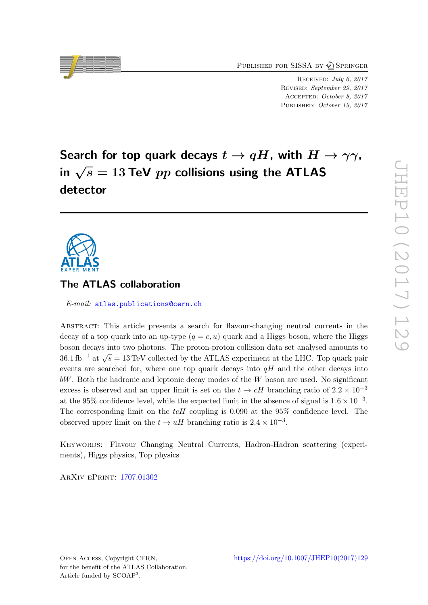PUBLISHED FOR SISSA BY 2 SPRINGER

Received: July 6, 2017 Revised: September 29, 2017 Accepted: October 8, 2017 PUBLISHED: October 19, 2017

Search for top quark decays  $t \to qH$ , with  $H \to \gamma\gamma$ , in  $\sqrt{s} = 13$  TeV pp collisions using the ATLAS detector

# The ATLAS collaboration

E-mail: [atlas.publications@cern.ch](mailto:atlas.publications@cern.ch)

Abstract: This article presents a search for flavour-changing neutral currents in the decay of a top quark into an up-type  $(q = c, u)$  quark and a Higgs boson, where the Higgs boson decays into two photons. The proton-proton collision data set analysed amounts to 36.1 fb<sup>-1</sup> at  $\sqrt{s}$  = 13 TeV collected by the ATLAS experiment at the LHC. Top quark pair events are searched for, where one top quark decays into  $qH$  and the other decays into  $bW$ . Both the hadronic and leptonic decay modes of the W boson are used. No significant excess is observed and an upper limit is set on the  $t \to cH$  branching ratio of  $2.2 \times 10^{-3}$ at the 95% confidence level, while the expected limit in the absence of signal is  $1.6 \times 10^{-3}$ . The corresponding limit on the  $tcH$  coupling is 0.090 at the 95% confidence level. The observed upper limit on the  $t \to uH$  branching ratio is  $2.4 \times 10^{-3}$ .

Keywords: Flavour Changing Neutral Currents, Hadron-Hadron scattering (experiments), Higgs physics, Top physics

ArXiv ePrint: [1707.01302](https://arxiv.org/abs/1707.01302)

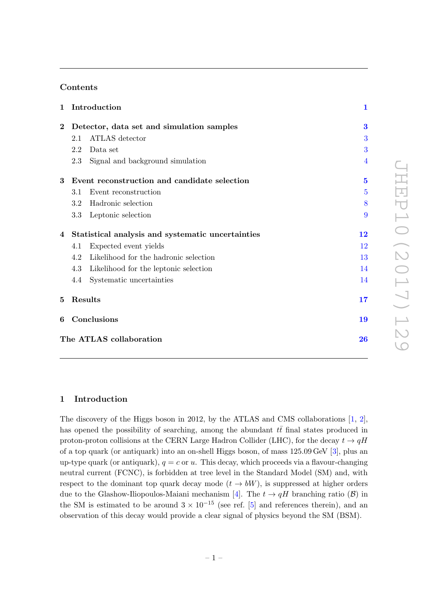# Contents

| $\mathbf{1}$ |     | Introduction                                      | 1              |
|--------------|-----|---------------------------------------------------|----------------|
| $\bf{2}$     |     | Detector, data set and simulation samples         | $\bf{3}$       |
|              | 2.1 | ATLAS detector                                    | 3              |
|              | 2.2 | Data set                                          | 3              |
|              | 2.3 | Signal and background simulation                  | $\overline{4}$ |
| 3            |     | Event reconstruction and candidate selection      | $\bf{5}$       |
|              | 3.1 | Event reconstruction                              | $\overline{5}$ |
|              | 3.2 | Hadronic selection                                | 8              |
|              | 3.3 | Leptonic selection                                | 9              |
| 4            |     | Statistical analysis and systematic uncertainties | 12             |
|              | 4.1 | Expected event yields                             | 12             |
|              | 4.2 | Likelihood for the hadronic selection             | 13             |
|              | 4.3 | Likelihood for the leptonic selection             | 14             |
|              | 4.4 | Systematic uncertainties                          | 14             |
| 5            |     | Results                                           | 17             |
| 6            |     | Conclusions                                       | 19             |
|              |     | The ATLAS collaboration                           | 26             |

# <span id="page-1-0"></span>1 Introduction

The discovery of the Higgs boson in 2012, by the ATLAS and CMS collaborations [\[1,](#page-21-0) [2\]](#page-21-1), has opened the possibility of searching, among the abundant  $t\bar{t}$  final states produced in proton-proton collisions at the CERN Large Hadron Collider (LHC), for the decay  $t \rightarrow qH$ of a top quark (or antiquark) into an on-shell Higgs boson, of mass 125.09 GeV [\[3\]](#page-21-2), plus an up-type quark (or antiquark),  $q = c$  or u. This decay, which proceeds via a flavour-changing neutral current (FCNC), is forbidden at tree level in the Standard Model (SM) and, with respect to the dominant top quark decay mode  $(t \to bW)$ , is suppressed at higher orders due to the Glashow-Iliopoulos-Maiani mechanism [\[4\]](#page-21-3). The  $t \to qH$  branching ratio ( $\beta$ ) in the SM is estimated to be around  $3 \times 10^{-15}$  (see ref. [\[5\]](#page-21-4) and references therein), and an observation of this decay would provide a clear signal of physics beyond the SM (BSM).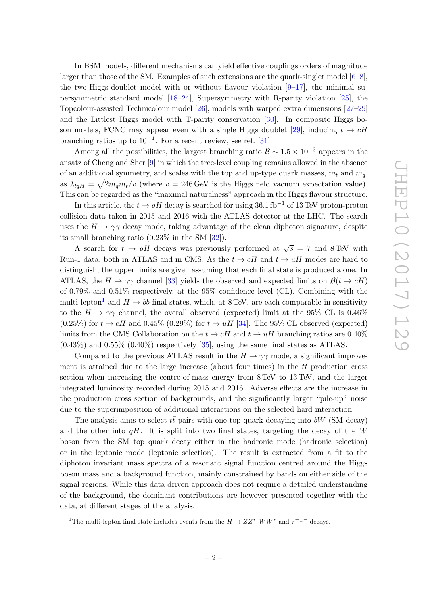In BSM models, different mechanisms can yield effective couplings orders of magnitude larger than those of the SM. Examples of such extensions are the quark-singlet model [\[6](#page-21-5)[–8\]](#page-21-6), the two-Higgs-doublet model with or without flavour violation  $[9-17]$  $[9-17]$ , the minimal supersymmetric standard model [\[18–](#page-22-1)[24\]](#page-22-2), Supersymmetry with R-parity violation [\[25\]](#page-22-3), the Topcolour-assisted Technicolour model [\[26\]](#page-22-4), models with warped extra dimensions [\[27–](#page-22-5)[29\]](#page-22-6) and the Littlest Higgs model with T-parity conservation [\[30\]](#page-22-7). In composite Higgs bo-son models, FCNC may appear even with a single Higgs doublet [\[29\]](#page-22-6), inducing  $t \to cH$ branching ratios up to  $10^{-4}$ . For a recent review, see ref. [\[31\]](#page-22-8).

Among all the possibilities, the largest branching ratio  $\mathcal{B} \sim 1.5 \times 10^{-3}$  appears in the ansatz of Cheng and Sher [\[9\]](#page-21-7) in which the tree-level coupling remains allowed in the absence of an additional symmetry, and scales with the top and up-type quark masses,  $m_t$  and  $m_q$ , as  $\lambda_{tqH} = \sqrt{2m_qm_t}/v$  (where  $v = 246 \text{ GeV}$  is the Higgs field vacuum expectation value). This can be regarded as the "maximal naturalness" approach in the Higgs flavour structure.

In this article, the  $t \to qH$  decay is searched for using 36.1 fb<sup>-1</sup> of 13 TeV proton-proton collision data taken in 2015 and 2016 with the ATLAS detector at the LHC. The search uses the  $H \to \gamma\gamma$  decay mode, taking advantage of the clean diphoton signature, despite its small branching ratio (0.23% in the SM [\[32\]](#page-22-9)).

A search for  $t \to qH$  decays was previously performed at  $\sqrt{s} = 7$  and 8 TeV with Run-1 data, both in ATLAS and in CMS. As the  $t \to cH$  and  $t \to uH$  modes are hard to distinguish, the upper limits are given assuming that each final state is produced alone. In ATLAS, the  $H \to \gamma\gamma$  channel [\[33\]](#page-22-10) yields the observed and expected limits on  $\mathcal{B}(t \to cH)$ of 0.79% and 0.51% respectively, at the 95% confidence level (CL). Combining with the multi-lepton<sup>[1](#page-2-0)</sup> and  $H \to b\bar{b}$  final states, which, at 8 TeV, are each comparable in sensitivity to the  $H \to \gamma\gamma$  channel, the overall observed (expected) limit at the 95% CL is 0.46%  $(0.25\%)$  for  $t \rightarrow cH$  and  $(0.45\%)(0.29\%)$  for  $t \rightarrow uH$  [\[34\]](#page-22-11). The 95% CL observed (expected) limits from the CMS Collaboration on the  $t \to cH$  and  $t \to uH$  branching ratios are 0.40%  $(0.43\%)$  and  $0.55\%$   $(0.40\%)$  respectively [\[35\]](#page-23-0), using the same final states as ATLAS.

Compared to the previous ATLAS result in the  $H \to \gamma\gamma$  mode, a significant improvement is attained due to the large increase (about four times) in the  $t\bar{t}$  production cross section when increasing the centre-of-mass energy from 8 TeV to 13 TeV, and the larger integrated luminosity recorded during 2015 and 2016. Adverse effects are the increase in the production cross section of backgrounds, and the significantly larger "pile-up" noise due to the superimposition of additional interactions on the selected hard interaction.

The analysis aims to select  $t\bar{t}$  pairs with one top quark decaying into bW (SM decay) and the other into  $qH$ . It is split into two final states, targeting the decay of the W boson from the SM top quark decay either in the hadronic mode (hadronic selection) or in the leptonic mode (leptonic selection). The result is extracted from a fit to the diphoton invariant mass spectra of a resonant signal function centred around the Higgs boson mass and a background function, mainly constrained by bands on either side of the signal regions. While this data driven approach does not require a detailed understanding of the background, the dominant contributions are however presented together with the data, at different stages of the analysis.

<span id="page-2-0"></span><sup>&</sup>lt;sup>1</sup>The multi-lepton final state includes events from the  $H \to ZZ^*$ ,  $WW^*$  and  $\tau^+\tau^-$  decays.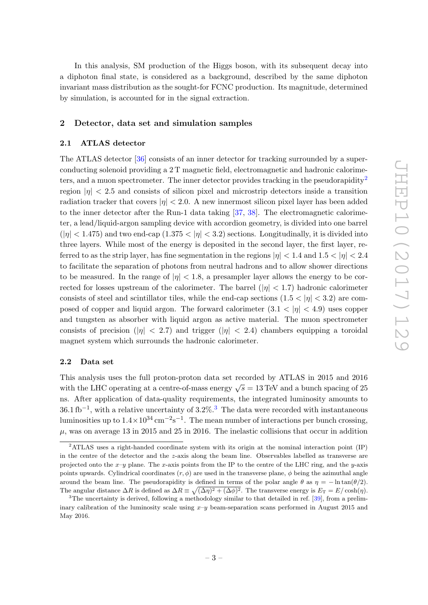In this analysis, SM production of the Higgs boson, with its subsequent decay into a diphoton final state, is considered as a background, described by the same diphoton invariant mass distribution as the sought-for FCNC production. Its magnitude, determined by simulation, is accounted for in the signal extraction.

# <span id="page-3-0"></span>2 Detector, data set and simulation samples

#### <span id="page-3-1"></span>2.1 ATLAS detector

The ATLAS detector [\[36\]](#page-23-1) consists of an inner detector for tracking surrounded by a superconducting solenoid providing a 2 T magnetic field, electromagnetic and hadronic calorimeters, and a muon spectrometer. The inner detector provides tracking in the pseudorapidity[2](#page-3-3) region  $|\eta| < 2.5$  and consists of silicon pixel and microstrip detectors inside a transition radiation tracker that covers  $|\eta| < 2.0$ . A new innermost silicon pixel layer has been added to the inner detector after the Run-1 data taking [\[37,](#page-23-2) [38\]](#page-23-3). The electromagnetic calorimeter, a lead/liquid-argon sampling device with accordion geometry, is divided into one barrel  $(|\eta| < 1.475)$  and two end-cap  $(1.375 < |\eta| < 3.2)$  sections. Longitudinally, it is divided into three layers. While most of the energy is deposited in the second layer, the first layer, referred to as the strip layer, has fine segmentation in the regions  $|\eta| < 1.4$  and  $1.5 < |\eta| < 2.4$ to facilitate the separation of photons from neutral hadrons and to allow shower directions to be measured. In the range of  $|\eta| < 1.8$ , a presampler layer allows the energy to be corrected for losses upstream of the calorimeter. The barrel  $(|\eta| < 1.7)$  hadronic calorimeter consists of steel and scintillator tiles, while the end-cap sections  $(1.5 < |\eta| < 3.2)$  are composed of copper and liquid argon. The forward calorimeter  $(3.1 < |\eta| < 4.9)$  uses copper and tungsten as absorber with liquid argon as active material. The muon spectrometer consists of precision ( $|\eta| < 2.7$ ) and trigger ( $|\eta| < 2.4$ ) chambers equipping a toroidal magnet system which surrounds the hadronic calorimeter.

#### <span id="page-3-2"></span>2.2 Data set

This analysis uses the full proton-proton data set recorded by ATLAS in 2015 and 2016 with the LHC operating at a centre-of-mass energy  $\sqrt{s} = 13$  TeV and a bunch spacing of 25 ns. After application of data-quality requirements, the integrated luminosity amounts to  $36.1\,\mathrm{fb}^{-1}$  $36.1\,\mathrm{fb}^{-1}$ , with a relative uncertainty of  $3.2\%$ .<sup>3</sup> The data were recorded with instantaneous luminosities up to  $1.4 \times 10^{34}$  cm<sup>-2</sup>s<sup>-1</sup>. The mean number of interactions per bunch crossing,  $\mu$ , was on average 13 in 2015 and 25 in 2016. The inelastic collisions that occur in addition

<span id="page-3-3"></span><sup>&</sup>lt;sup>2</sup>ATLAS uses a right-handed coordinate system with its origin at the nominal interaction point (IP) in the centre of the detector and the z-axis along the beam line. Observables labelled as transverse are projected onto the  $x-y$  plane. The x-axis points from the IP to the centre of the LHC ring, and the y-axis points upwards. Cylindrical coordinates  $(r, \phi)$  are used in the transverse plane,  $\phi$  being the azimuthal angle around the beam line. The pseudorapidity is defined in terms of the polar angle  $\theta$  as  $\eta = -\ln \tan(\theta/2)$ . The angular distance  $\Delta R$  is defined as  $\Delta R \equiv \sqrt{(\Delta \eta)^2 + (\Delta \phi)^2}$ . The transverse energy is  $E_T = E/\cosh(\eta)$ .

<span id="page-3-4"></span> $3$ The uncertainty is derived, following a methodology similar to that detailed in ref. [\[39\]](#page-23-4), from a preliminary calibration of the luminosity scale using  $x-y$  beam-separation scans performed in August 2015 and May 2016.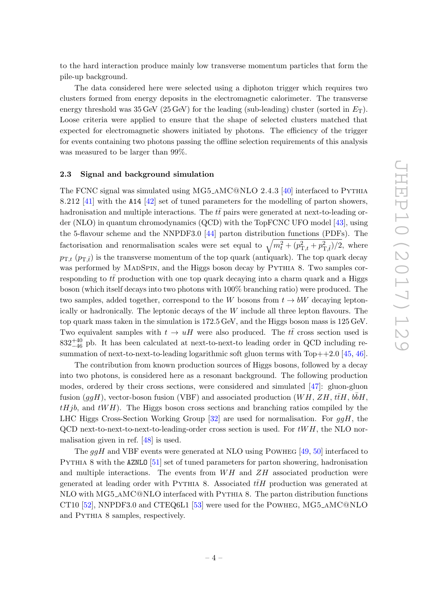to the hard interaction produce mainly low transverse momentum particles that form the pile-up background.

The data considered here were selected using a diphoton trigger which requires two clusters formed from energy deposits in the electromagnetic calorimeter. The transverse energy threshold was 35 GeV (25 GeV) for the leading (sub-leading) cluster (sorted in  $E_T$ ). Loose criteria were applied to ensure that the shape of selected clusters matched that expected for electromagnetic showers initiated by photons. The efficiency of the trigger for events containing two photons passing the offline selection requirements of this analysis was measured to be larger than 99%.

#### <span id="page-4-0"></span>2.3 Signal and background simulation

The FCNC signal was simulated using MG5\_AMC@NLO 2.4.3 [\[40\]](#page-23-5) interfaced to PYTHIA 8.212  $[41]$  with the A14  $[42]$  set of tuned parameters for the modelling of parton showers, hadronisation and multiple interactions. The  $t\bar{t}$  pairs were generated at next-to-leading order (NLO) in quantum chromodynamics (QCD) with the TopFCNC UFO model [\[43\]](#page-23-8), using the 5-flavour scheme and the NNPDF3.0 [\[44\]](#page-23-9) parton distribution functions (PDFs). The factorisation and renormalisation scales were set equal to  $\sqrt{m_t^2 + (p_{\rm T,t}^2 + p_{\rm T,\bar{t}}^2)/2}$ , where  $p_{T,t}$  ( $p_{T,t}$ ) is the transverse momentum of the top quark (antiquark). The top quark decay was performed by MADSPIN, and the Higgs boson decay by PYTHIA 8. Two samples corresponding to  $t\bar{t}$  production with one top quark decaying into a charm quark and a Higgs boson (which itself decays into two photons with 100% branching ratio) were produced. The two samples, added together, correspond to the W bosons from  $t \to bW$  decaying leptonically or hadronically. The leptonic decays of the W include all three lepton flavours. The top quark mass taken in the simulation is 172.5 GeV, and the Higgs boson mass is 125 GeV. Two equivalent samples with  $t \to uH$  were also produced. The  $t\bar{t}$  cross section used is  $832^{+40}_{-46}$  pb. It has been calculated at next-to-next-to leading order in QCD including resummation of next-to-next-to-leading logarithmic soft gluon terms with  $Top++2.0$  [\[45,](#page-23-10) [46\]](#page-23-11).

The contribution from known production sources of Higgs bosons, followed by a decay into two photons, is considered here as a resonant background. The following production modes, ordered by their cross sections, were considered and simulated [\[47\]](#page-23-12): gluon-gluon fusion  $(ggH)$ , vector-boson fusion (VBF) and associated production (WH, ZH,  $t\bar{t}H$ ,  $b\bar{b}H$ ,  $tHjb$ , and  $tWH$ ). The Higgs boson cross sections and branching ratios compiled by the LHC Higgs Cross-Section Working Group [\[32\]](#page-22-9) are used for normalisation. For  $ggH$ , the  $QCD$  next-to-next-to-next-to-leading-order cross section is used. For  $tWH$ , the NLO normalisation given in ref. [\[48\]](#page-23-13) is used.

The  $ggH$  and VBF events were generated at NLO using POWHEG [\[49,](#page-23-14) [50\]](#page-23-15) interfaced to Pythia 8 with the AZNLO [\[51\]](#page-23-16) set of tuned parameters for parton showering, hadronisation and multiple interactions. The events from  $WH$  and  $ZH$  associated production were generated at leading order with PYTHIA 8. Associated  $t\bar{t}H$  production was generated at NLO with MG5\_AMC@NLO interfaced with PYTHIA 8. The parton distribution functions CT10 [\[52\]](#page-23-17), NNPDF3.0 and CTEQ6L1 [\[53\]](#page-24-0) were used for the Powheg, MG5 aMC@NLO and Pythia 8 samples, respectively.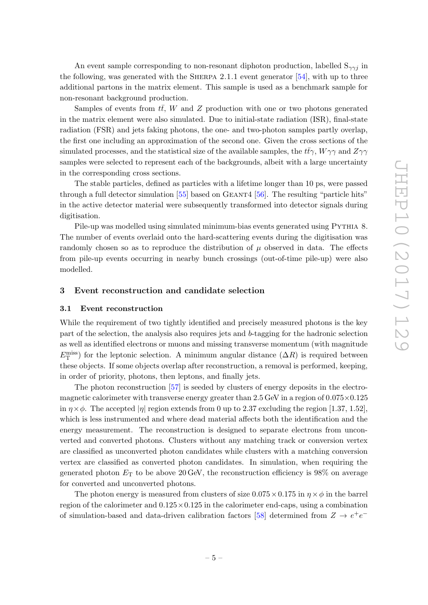An event sample corresponding to non-resonant diphoton production, labelled  $S_{\gamma\gamma j}$  in the following, was generated with the SHERPA 2.1.1 event generator  $[54]$ , with up to three additional partons in the matrix element. This sample is used as a benchmark sample for non-resonant background production.

Samples of events from  $t\bar{t}$ , W and Z production with one or two photons generated in the matrix element were also simulated. Due to initial-state radiation (ISR), final-state radiation (FSR) and jets faking photons, the one- and two-photon samples partly overlap, the first one including an approximation of the second one. Given the cross sections of the simulated processes, and the statistical size of the available samples, the  $t\bar{t}\gamma$ ,  $W\gamma\gamma$  and  $Z\gamma\gamma$ samples were selected to represent each of the backgrounds, albeit with a large uncertainty in the corresponding cross sections.

The stable particles, defined as particles with a lifetime longer than 10 ps, were passed through a full detector simulation  $[55]$  based on GEANT4  $[56]$ . The resulting "particle hits" in the active detector material were subsequently transformed into detector signals during digitisation.

Pile-up was modelled using simulated minimum-bias events generated using Pythia 8. The number of events overlaid onto the hard-scattering events during the digitisation was randomly chosen so as to reproduce the distribution of  $\mu$  observed in data. The effects from pile-up events occurring in nearby bunch crossings (out-of-time pile-up) were also modelled.

# <span id="page-5-0"></span>3 Event reconstruction and candidate selection

#### <span id="page-5-1"></span>3.1 Event reconstruction

While the requirement of two tightly identified and precisely measured photons is the key part of the selection, the analysis also requires jets and b-tagging for the hadronic selection as well as identified electrons or muons and missing transverse momentum (with magnitude  $E_{\rm T}^{\rm miss}$ ) for the leptonic selection. A minimum angular distance  $(\Delta R)$  is required between these objects. If some objects overlap after reconstruction, a removal is performed, keeping, in order of priority, photons, then leptons, and finally jets.

The photon reconstruction [\[57\]](#page-24-4) is seeded by clusters of energy deposits in the electromagnetic calorimeter with transverse energy greater than 2.5 GeV in a region of  $0.075 \times 0.125$ in  $\eta \times \phi$ . The accepted  $|\eta|$  region extends from 0 up to 2.37 excluding the region [1.37, 1.52], which is less instrumented and where dead material affects both the identification and the energy measurement. The reconstruction is designed to separate electrons from unconverted and converted photons. Clusters without any matching track or conversion vertex are classified as unconverted photon candidates while clusters with a matching conversion vertex are classified as converted photon candidates. In simulation, when requiring the generated photon  $E_T$  to be above 20 GeV, the reconstruction efficiency is 98% on average for converted and unconverted photons.

The photon energy is measured from clusters of size  $0.075 \times 0.175$  in  $\eta \times \phi$  in the barrel region of the calorimeter and  $0.125 \times 0.125$  in the calorimeter end-caps, using a combination of simulation-based and data-driven calibration factors [\[58\]](#page-24-5) determined from  $Z \rightarrow e^+e^-$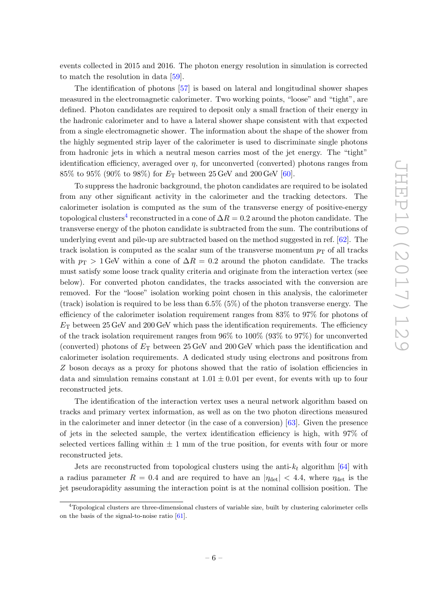events collected in 2015 and 2016. The photon energy resolution in simulation is corrected to match the resolution in data [\[59\]](#page-24-6).

The identification of photons [\[57\]](#page-24-4) is based on lateral and longitudinal shower shapes measured in the electromagnetic calorimeter. Two working points, "loose" and "tight", are defined. Photon candidates are required to deposit only a small fraction of their energy in the hadronic calorimeter and to have a lateral shower shape consistent with that expected from a single electromagnetic shower. The information about the shape of the shower from the highly segmented strip layer of the calorimeter is used to discriminate single photons from hadronic jets in which a neutral meson carries most of the jet energy. The "tight" identification efficiency, averaged over  $\eta$ , for unconverted (converted) photons ranges from 85% to 95% (90% to 98%) for  $E_T$  between 25 GeV and 200 GeV [\[60\]](#page-24-7).

To suppress the hadronic background, the photon candidates are required to be isolated from any other significant activity in the calorimeter and the tracking detectors. The calorimeter isolation is computed as the sum of the transverse energy of positive-energy topological clusters<sup>[4](#page-6-0)</sup> reconstructed in a cone of  $\Delta R = 0.2$  around the photon candidate. The transverse energy of the photon candidate is subtracted from the sum. The contributions of underlying event and pile-up are subtracted based on the method suggested in ref. [\[62\]](#page-24-8). The track isolation is computed as the scalar sum of the transverse momentum  $p<sub>T</sub>$  of all tracks with  $p_T > 1$  GeV within a cone of  $\Delta R = 0.2$  around the photon candidate. The tracks must satisfy some loose track quality criteria and originate from the interaction vertex (see below). For converted photon candidates, the tracks associated with the conversion are removed. For the "loose" isolation working point chosen in this analysis, the calorimeter (track) isolation is required to be less than  $6.5\%$  (5%) of the photon transverse energy. The efficiency of the calorimeter isolation requirement ranges from 83% to 97% for photons of  $E<sub>T</sub>$  between 25 GeV and 200 GeV which pass the identification requirements. The efficiency of the track isolation requirement ranges from 96% to 100% (93% to 97%) for unconverted (converted) photons of  $E_T$  between 25 GeV and 200 GeV which pass the identification and calorimeter isolation requirements. A dedicated study using electrons and positrons from Z boson decays as a proxy for photons showed that the ratio of isolation efficiencies in data and simulation remains constant at  $1.01 \pm 0.01$  per event, for events with up to four reconstructed jets.

The identification of the interaction vertex uses a neural network algorithm based on tracks and primary vertex information, as well as on the two photon directions measured in the calorimeter and inner detector (in the case of a conversion) [\[63\]](#page-24-9). Given the presence of jets in the selected sample, the vertex identification efficiency is high, with 97% of selected vertices falling within  $\pm 1$  mm of the true position, for events with four or more reconstructed jets.

Jets are reconstructed from topological clusters using the anti- $k_t$  algorithm [\[64\]](#page-24-10) with a radius parameter  $R = 0.4$  and are required to have an  $|\eta_{\text{det}}| < 4.4$ , where  $\eta_{\text{det}}$  is the jet pseudorapidity assuming the interaction point is at the nominal collision position. The

<span id="page-6-0"></span><sup>4</sup>Topological clusters are three-dimensional clusters of variable size, built by clustering calorimeter cells on the basis of the signal-to-noise ratio [\[61\]](#page-24-11).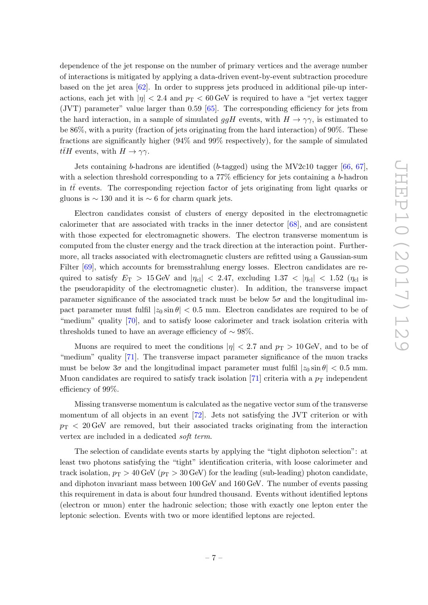dependence of the jet response on the number of primary vertices and the average number of interactions is mitigated by applying a data-driven event-by-event subtraction procedure based on the jet area [\[62\]](#page-24-8). In order to suppress jets produced in additional pile-up interactions, each jet with  $|\eta| < 2.4$  and  $p_T < 60$  GeV is required to have a "jet vertex tagger (JVT) parameter" value larger than  $0.59$  [\[65\]](#page-24-12). The corresponding efficiency for jets from the hard interaction, in a sample of simulated ggH events, with  $H \to \gamma\gamma$ , is estimated to be 86%, with a purity (fraction of jets originating from the hard interaction) of 90%. These fractions are significantly higher (94% and 99% respectively), for the sample of simulated  $t\bar{t}H$  events, with  $H \to \gamma\gamma$ .

Jets containing b-hadrons are identified (b-tagged) using the MV2c10 tagger [\[66,](#page-24-13) [67\]](#page-24-14), with a selection threshold corresponding to a 77% efficiency for jets containing a b-hadron in  $t\bar{t}$  events. The corresponding rejection factor of jets originating from light quarks or gluons is  $\sim$  130 and it is  $\sim$  6 for charm quark jets.

Electron candidates consist of clusters of energy deposited in the electromagnetic calorimeter that are associated with tracks in the inner detector [\[68\]](#page-24-15), and are consistent with those expected for electromagnetic showers. The electron transverse momentum is computed from the cluster energy and the track direction at the interaction point. Furthermore, all tracks associated with electromagnetic clusters are refitted using a Gaussian-sum Filter [\[69\]](#page-24-16), which accounts for bremsstrahlung energy losses. Electron candidates are required to satisfy  $E_T > 15$  GeV and  $|\eta_{\text{cl}}| < 2.47$ , excluding  $1.37 < |\eta_{\text{cl}}| < 1.52$   $(\eta_{\text{cl}})$  is the pseudorapidity of the electromagnetic cluster). In addition, the transverse impact parameter significance of the associated track must be below  $5\sigma$  and the longitudinal impact parameter must fulfil  $|z_0 \sin \theta| < 0.5$  mm. Electron candidates are required to be of "medium" quality [\[70\]](#page-24-17), and to satisfy loose calorimeter and track isolation criteria with thresholds tuned to have an average efficiency of  $\sim 98\%$ .

Muons are required to meet the conditions  $|\eta| < 2.7$  and  $p_T > 10$  GeV, and to be of "medium" quality [\[71\]](#page-25-0). The transverse impact parameter significance of the muon tracks must be below  $3\sigma$  and the longitudinal impact parameter must fulfil  $|z_0 \sin \theta| < 0.5$  mm. Muon candidates are required to satisfy track isolation [\[71\]](#page-25-0) criteria with a  $p<sub>T</sub>$  independent efficiency of 99%.

Missing transverse momentum is calculated as the negative vector sum of the transverse momentum of all objects in an event [\[72\]](#page-25-1). Jets not satisfying the JVT criterion or with  $p_{\rm T}$  < 20 GeV are removed, but their associated tracks originating from the interaction vertex are included in a dedicated soft term.

The selection of candidate events starts by applying the "tight diphoton selection": at least two photons satisfying the "tight" identification criteria, with loose calorimeter and track isolation,  $p_T > 40$  GeV ( $p_T > 30$  GeV) for the leading (sub-leading) photon candidate, and diphoton invariant mass between 100 GeV and 160 GeV. The number of events passing this requirement in data is about four hundred thousand. Events without identified leptons (electron or muon) enter the hadronic selection; those with exactly one lepton enter the leptonic selection. Events with two or more identified leptons are rejected.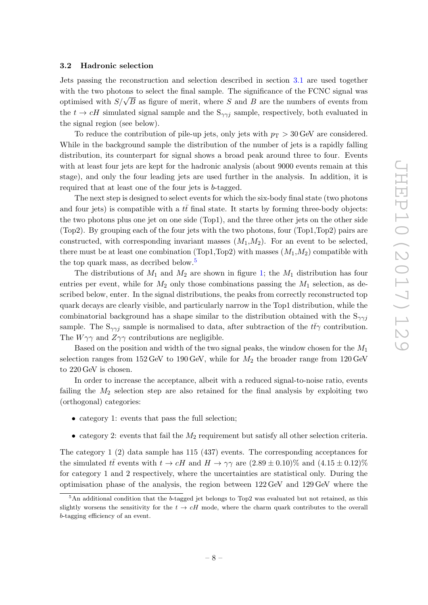#### <span id="page-8-0"></span>3.2 Hadronic selection

Jets passing the reconstruction and selection described in section [3.1](#page-5-1) are used together with the two photons to select the final sample. The significance of the FCNC signal was optimised with  $S/\sqrt{B}$  as figure of merit, where S and B are the numbers of events from the  $t \to cH$  simulated signal sample and the S<sub>γγj</sub> sample, respectively, both evaluated in the signal region (see below).

To reduce the contribution of pile-up jets, only jets with  $p_T > 30$  GeV are considered. While in the background sample the distribution of the number of jets is a rapidly falling distribution, its counterpart for signal shows a broad peak around three to four. Events with at least four jets are kept for the hadronic analysis (about 9000 events remain at this stage), and only the four leading jets are used further in the analysis. In addition, it is required that at least one of the four jets is b-tagged.

The next step is designed to select events for which the six-body final state (two photons and four jets) is compatible with a  $t\bar{t}$  final state. It starts by forming three-body objects: the two photons plus one jet on one side (Top1), and the three other jets on the other side (Top2). By grouping each of the four jets with the two photons, four (Top1,Top2) pairs are constructed, with corresponding invariant masses  $(M_1,M_2)$ . For an event to be selected, there must be at least one combination (Top1,Top2) with masses  $(M_1,M_2)$  compatible with the top quark mass, as decribed below.<sup>[5](#page-8-1)</sup>

The distributions of  $M_1$  and  $M_2$  are shown in figure [1;](#page-9-1) the  $M_1$  distribution has four entries per event, while for  $M_2$  only those combinations passing the  $M_1$  selection, as described below, enter. In the signal distributions, the peaks from correctly reconstructed top quark decays are clearly visible, and particularly narrow in the Top1 distribution, while the combinatorial background has a shape similar to the distribution obtained with the  $S_{\gamma\gamma j}$ sample. The  $S_{\gamma\gamma j}$  sample is normalised to data, after subtraction of the  $t\bar{t}\gamma$  contribution. The  $W\gamma\gamma$  and  $Z\gamma\gamma$  contributions are negligible.

Based on the position and width of the two signal peaks, the window chosen for the  $M_1$ selection ranges from  $152 \text{ GeV}$  to  $190 \text{ GeV}$ , while for  $M_2$  the broader range from  $120 \text{ GeV}$ to 220 GeV is chosen.

In order to increase the acceptance, albeit with a reduced signal-to-noise ratio, events failing the  $M_2$  selection step are also retained for the final analysis by exploiting two (orthogonal) categories:

- category 1: events that pass the full selection;
- category 2: events that fail the  $M_2$  requirement but satisfy all other selection criteria.

The category 1 (2) data sample has 115 (437) events. The corresponding acceptances for the simulated  $t\bar{t}$  events with  $t \to cH$  and  $H \to \gamma\gamma$  are  $(2.89 \pm 0.10)\%$  and  $(4.15 \pm 0.12)\%$ for category 1 and 2 respectively, where the uncertainties are statistical only. During the optimisation phase of the analysis, the region between 122 GeV and 129 GeV where the

<span id="page-8-1"></span> $5$ An additional condition that the b-tagged jet belongs to Top2 was evaluated but not retained, as this slightly worsens the sensitivity for the  $t \to cH$  mode, where the charm quark contributes to the overall b-tagging efficiency of an event.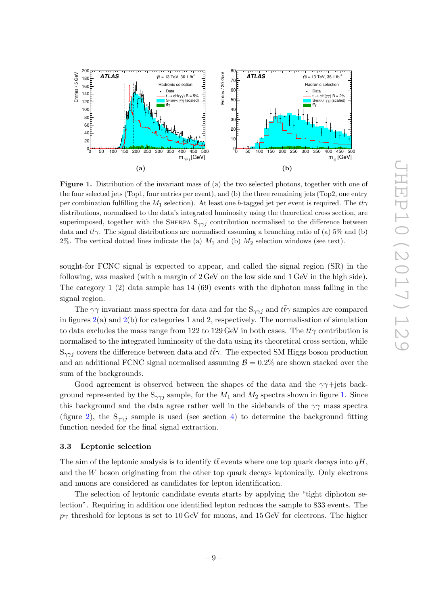<span id="page-9-1"></span>

Figure 1. Distribution of the invariant mass of (a) the two selected photons, together with one of the four selected jets (Top1, four entries per event), and (b) the three remaining jets (Top2, one entry per combination fulfilling the  $M_1$  selection). At least one b-tagged jet per event is required. The  $t\bar{t}\gamma$ distributions, normalised to the data's integrated luminosity using the theoretical cross section, are superimposed, together with the SHERPA  $S_{\gamma\gamma j}$  contribution normalised to the difference between data and  $t\bar{t}\gamma$ . The signal distributions are normalised assuming a branching ratio of (a) 5% and (b) 2%. The vertical dotted lines indicate the (a)  $M_1$  and (b)  $M_2$  selection windows (see text).

sought-for FCNC signal is expected to appear, and called the signal region (SR) in the following, was masked (with a margin of 2 GeV on the low side and 1 GeV in the high side). The category 1 (2) data sample has  $14(69)$  events with the diphoton mass falling in the signal region.

The  $\gamma\gamma$  invariant mass spectra for data and for the  $S_{\gamma\gamma j}$  and  $t\bar{t}\gamma$  samples are compared in figures  $2(a)$  $2(a)$  and  $2(b)$  for categories 1 and 2, respectively. The normalisation of simulation to data excludes the mass range from 122 to 129 GeV in both cases. The  $t\bar{t}\gamma$  contribution is normalised to the integrated luminosity of the data using its theoretical cross section, while  $S_{\gamma\gamma j}$  covers the difference between data and  $t\bar{t}\gamma$ . The expected SM Higgs boson production and an additional FCNC signal normalised assuming  $B = 0.2\%$  are shown stacked over the sum of the backgrounds.

Good agreement is observed between the shapes of the data and the  $\gamma\gamma$ +jets background represented by the  $S_{\gamma\gamma j}$  sample, for the  $M_1$  and  $M_2$  spectra shown in figure [1.](#page-9-1) Since this background and the data agree rather well in the sidebands of the  $\gamma\gamma$  mass spectra (figure [2\)](#page-10-0), the  $S_{\gamma\gamma j}$  sample is used (see section [4\)](#page-12-0) to determine the background fitting function needed for the final signal extraction.

#### <span id="page-9-0"></span>3.3 Leptonic selection

The aim of the leptonic analysis is to identify  $t\bar{t}$  events where one top quark decays into  $qH$ , and the  $W$  boson originating from the other top quark decays leptonically. Only electrons and muons are considered as candidates for lepton identification.

The selection of leptonic candidate events starts by applying the "tight diphoton selection". Requiring in addition one identified lepton reduces the sample to 833 events. The  $p<sub>T</sub>$  threshold for leptons is set to 10 GeV for muons, and 15 GeV for electrons. The higher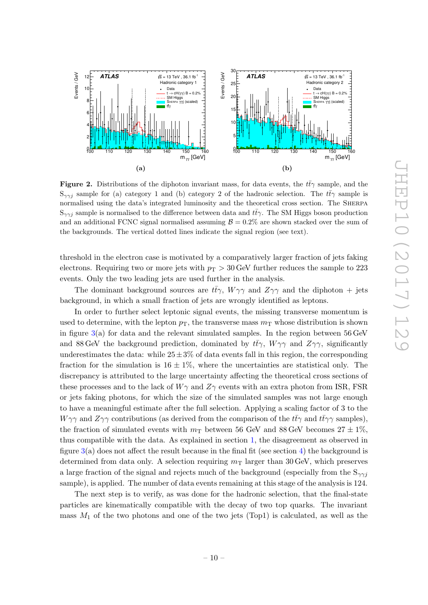<span id="page-10-0"></span>

Figure 2. Distributions of the diphoton invariant mass, for data events, the  $t\bar{t}\gamma$  sample, and the  $S_{\gamma\gamma j}$  sample for (a) category 1 and (b) category 2 of the hadronic selection. The  $t\bar{t}\gamma$  sample is normalised using the data's integrated luminosity and the theoretical cross section. The SHERPA  $S_{\gamma\gamma j}$  sample is normalised to the difference between data and  $t\bar{t}\gamma$ . The SM Higgs boson production and an additional FCNC signal normalised assuming  $\mathcal{B} = 0.2\%$  are shown stacked over the sum of the backgrounds. The vertical dotted lines indicate the signal region (see text).

threshold in the electron case is motivated by a comparatively larger fraction of jets faking electrons. Requiring two or more jets with  $p_T > 30$  GeV further reduces the sample to 223 events. Only the two leading jets are used further in the analysis.

The dominant background sources are  $t\bar{t}\gamma$ ,  $W\gamma\gamma$  and  $Z\gamma\gamma$  and the diphoton + jets background, in which a small fraction of jets are wrongly identified as leptons.

In order to further select leptonic signal events, the missing transverse momentum is used to determine, with the lepton  $p<sub>T</sub>$ , the transverse mass  $m<sub>T</sub>$  whose distribution is shown in figure  $3(a)$  $3(a)$  for data and the relevant simulated samples. In the region between  $56 \text{ GeV}$ and 88 GeV the background prediction, dominated by  $t\bar{t}\gamma$ ,  $W\gamma\gamma$  and  $Z\gamma\gamma$ , significantly underestimates the data: while  $25\pm3\%$  of data events fall in this region, the corresponding fraction for the simulation is  $16 \pm 1\%$ , where the uncertainties are statistical only. The discrepancy is attributed to the large uncertainty affecting the theoretical cross sections of these processes and to the lack of  $W\gamma$  and  $Z\gamma$  events with an extra photon from ISR, FSR or jets faking photons, for which the size of the simulated samples was not large enough to have a meaningful estimate after the full selection. Applying a scaling factor of 3 to the  $W\gamma\gamma$  and  $Z\gamma\gamma$  contributions (as derived from the comparison of the  $t\bar{t}\gamma$  and  $t\bar{t}\gamma\gamma$  samples), the fraction of simulated events with  $m<sub>T</sub>$  between 56 GeV and 88 GeV becomes  $27 \pm 1\%$ , thus compatible with the data. As explained in section [1,](#page-1-0) the disagreement as observed in figure  $3(a)$  $3(a)$  does not affect the result because in the final fit (see section [4\)](#page-12-0) the background is determined from data only. A selection requiring  $m<sub>T</sub>$  larger than 30 GeV, which preserves a large fraction of the signal and rejects much of the background (especially from the  $S_{\gamma\gamma j}$ sample), is applied. The number of data events remaining at this stage of the analysis is 124.

The next step is to verify, as was done for the hadronic selection, that the final-state particles are kinematically compatible with the decay of two top quarks. The invariant mass  $M_1$  of the two photons and one of the two jets (Top1) is calculated, as well as the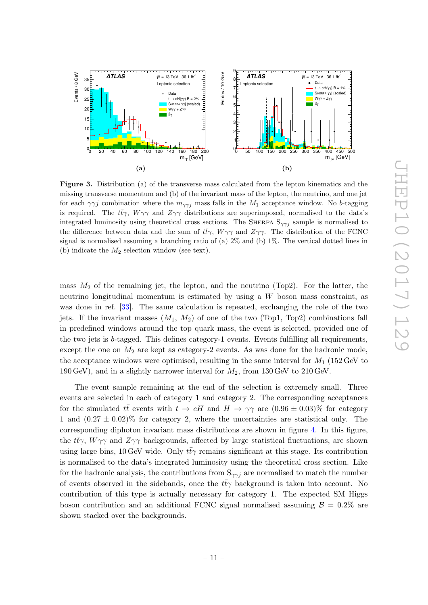<span id="page-11-0"></span>

Figure 3. Distribution (a) of the transverse mass calculated from the lepton kinematics and the missing transverse momentum and (b) of the invariant mass of the lepton, the neutrino, and one jet for each  $\gamma \gamma j$  combination where the  $m_{\gamma \gamma j}$  mass falls in the  $M_1$  acceptance window. No b-tagging is required. The  $t\bar{t}\gamma$ ,  $W\gamma\gamma$  and  $Z\gamma\gamma$  distributions are superimposed, normalised to the data's integrated luminosity using theoretical cross sections. The SHERPA  $S_{\gamma\gamma j}$  sample is normalised to the difference between data and the sum of  $t\bar{t}\gamma$ ,  $W\gamma\gamma$  and  $Z\gamma\gamma$ . The distribution of the FCNC signal is normalised assuming a branching ratio of (a) 2% and (b) 1%. The vertical dotted lines in (b) indicate the  $M_2$  selection window (see text).

mass  $M_2$  of the remaining jet, the lepton, and the neutrino (Top2). For the latter, the neutrino longitudinal momentum is estimated by using a W boson mass constraint, as was done in ref. [\[33\]](#page-22-10). The same calculation is repeated, exchanging the role of the two jets. If the invariant masses  $(M_1, M_2)$  of one of the two (Top1, Top2) combinations fall in predefined windows around the top quark mass, the event is selected, provided one of the two jets is b-tagged. This defines category-1 events. Events fulfilling all requirements, except the one on  $M_2$  are kept as category-2 events. As was done for the hadronic mode, the acceptance windows were optimised, resulting in the same interval for  $M_1$  (152 GeV to 190 GeV), and in a slightly narrower interval for  $M_2$ , from 130 GeV to 210 GeV.

The event sample remaining at the end of the selection is extremely small. Three events are selected in each of category 1 and category 2. The corresponding acceptances for the simulated  $t\bar{t}$  events with  $t \to cH$  and  $H \to \gamma\gamma$  are  $(0.96 \pm 0.03)\%$  for category 1 and  $(0.27 \pm 0.02)\%$  for category 2, where the uncertainties are statistical only. The corresponding diphoton invariant mass distributions are shown in figure [4.](#page-12-2) In this figure, the  $t\bar{t}\gamma$ ,  $W\gamma\gamma$  and  $Z\gamma\gamma$  backgrounds, affected by large statistical fluctuations, are shown using large bins, 10 GeV wide. Only  $t\bar{t}\gamma$  remains significant at this stage. Its contribution is normalised to the data's integrated luminosity using the theoretical cross section. Like for the hadronic analysis, the contributions from  $S_{\gamma\gamma j}$  are normalised to match the number of events observed in the sidebands, once the  $t\bar{t}\gamma$  background is taken into account. No contribution of this type is actually necessary for category 1. The expected SM Higgs boson contribution and an additional FCNC signal normalised assuming  $\mathcal{B} = 0.2\%$  are shown stacked over the backgrounds.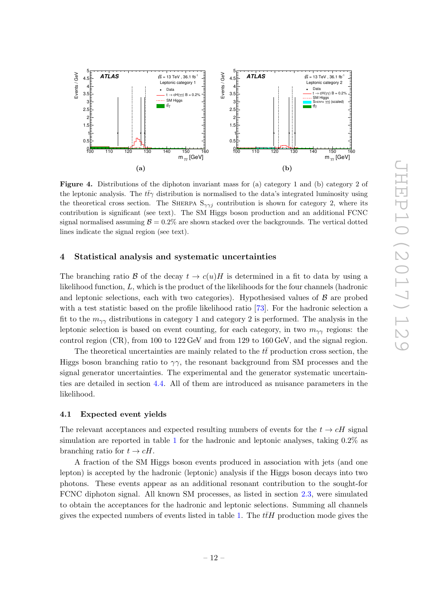<span id="page-12-2"></span>

Figure 4. Distributions of the diphoton invariant mass for (a) category 1 and (b) category 2 of the leptonic analysis. The  $t\bar{t}\gamma$  distribution is normalised to the data's integrated luminosity using the theoretical cross section. The SHERPA  $S_{\gamma\gamma j}$  contribution is shown for category 2, where its contribution is significant (see text). The SM Higgs boson production and an additional FCNC signal normalised assuming  $\mathcal{B} = 0.2\%$  are shown stacked over the backgrounds. The vertical dotted lines indicate the signal region (see text).

### <span id="page-12-0"></span>4 Statistical analysis and systematic uncertainties

The branching ratio B of the decay  $t \to c(u)H$  is determined in a fit to data by using a likelihood function, L, which is the product of the likelihoods for the four channels (hadronic and leptonic selections, each with two categories). Hypothesised values of  $\beta$  are probed with a test statistic based on the profile likelihood ratio [\[73\]](#page-25-2). For the hadronic selection a fit to the  $m_{\gamma\gamma}$  distributions in category 1 and category 2 is performed. The analysis in the leptonic selection is based on event counting, for each category, in two  $m_{\gamma\gamma}$  regions: the control region (CR), from 100 to 122 GeV and from 129 to 160 GeV, and the signal region.

The theoretical uncertainties are mainly related to the  $t\bar{t}$  production cross section, the Higgs boson branching ratio to  $\gamma\gamma$ , the resonant background from SM processes and the signal generator uncertainties. The experimental and the generator systematic uncertainties are detailed in section [4.4.](#page-14-1) All of them are introduced as nuisance parameters in the likelihood.

#### <span id="page-12-1"></span>4.1 Expected event yields

The relevant acceptances and expected resulting numbers of events for the  $t \to cH$  signal simulation are reported in table [1](#page-13-1) for the hadronic and leptonic analyses, taking  $0.2\%$  as branching ratio for  $t \to cH$ .

A fraction of the SM Higgs boson events produced in association with jets (and one lepton) is accepted by the hadronic (leptonic) analysis if the Higgs boson decays into two photons. These events appear as an additional resonant contribution to the sought-for FCNC diphoton signal. All known SM processes, as listed in section [2.3,](#page-4-0) were simulated to obtain the acceptances for the hadronic and leptonic selections. Summing all channels gives the expected numbers of events listed in table [1.](#page-13-1) The  $t\bar{t}H$  production mode gives the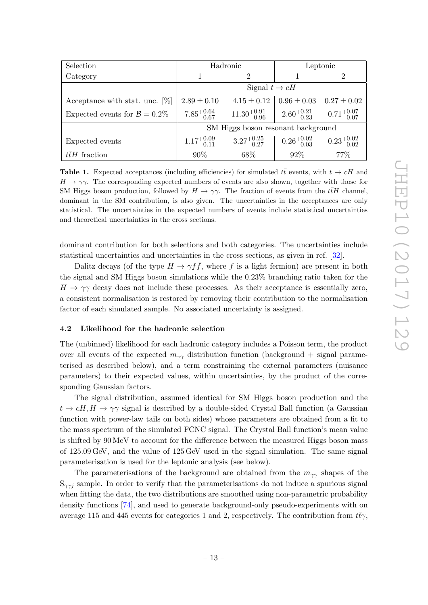<span id="page-13-1"></span>

| Selection                                 | Hadronic                           |                        | Leptonic                                                              |                        |  |
|-------------------------------------------|------------------------------------|------------------------|-----------------------------------------------------------------------|------------------------|--|
| Category                                  |                                    | $\overline{2}$         |                                                                       | 2                      |  |
|                                           | Signal $t \to cH$                  |                        |                                                                       |                        |  |
| Acceptance with stat. unc. $[\%]$         | $2.89 \pm 0.10$                    | $4.15 \pm 0.12$        | $0.96 \pm 0.03$                                                       | $0.27 \pm 0.02$        |  |
| Expected events for $\mathcal{B} = 0.2\%$ | $7.85^{+0.64}_{-0.67}$             |                        | $11.30^{+0.91}_{-0.96}$ $2.60^{+0.21}_{-0.23}$ $0.71^{+0.07}_{-0.07}$ |                        |  |
|                                           | SM Higgs boson resonant background |                        |                                                                       |                        |  |
| Expected events                           | $1.17^{+0.09}_{-0.11}$             | $3.27^{+0.25}_{-0.27}$ | $0.26_{-0.03}^{+0.02}$                                                | $0.23^{+0.02}_{-0.02}$ |  |
| $t\bar{t}H$ fraction                      | $90\%$                             | 68\%                   | $92\%$                                                                | 77%                    |  |

**Table 1.** Expected acceptances (including efficiencies) for simulated  $t\bar{t}$  events, with  $t \to cH$  and  $H \to \gamma\gamma$ . The corresponding expected numbers of events are also shown, together with those for SM Higgs boson production, followed by  $H \to \gamma\gamma$ . The fraction of events from the  $t\bar{t}H$  channel, dominant in the SM contribution, is also given. The uncertainties in the acceptances are only statistical. The uncertainties in the expected numbers of events include statistical uncertainties and theoretical uncertainties in the cross sections.

dominant contribution for both selections and both categories. The uncertainties include statistical uncertainties and uncertainties in the cross sections, as given in ref. [\[32\]](#page-22-9).

Dalitz decays (of the type  $H \to \gamma f \bar{f}$ , where f is a light fermion) are present in both the signal and SM Higgs boson simulations while the 0.23% branching ratio taken for the  $H \to \gamma\gamma$  decay does not include these processes. As their acceptance is essentially zero, a consistent normalisation is restored by removing their contribution to the normalisation factor of each simulated sample. No associated uncertainty is assigned.

# <span id="page-13-0"></span>4.2 Likelihood for the hadronic selection

The (unbinned) likelihood for each hadronic category includes a Poisson term, the product over all events of the expected  $m_{\gamma\gamma}$  distribution function (background + signal parameterised as described below), and a term constraining the external parameters (nuisance parameters) to their expected values, within uncertainties, by the product of the corresponding Gaussian factors.

The signal distribution, assumed identical for SM Higgs boson production and the  $t \to cH, H \to \gamma\gamma$  signal is described by a double-sided Crystal Ball function (a Gaussian function with power-law tails on both sides) whose parameters are obtained from a fit to the mass spectrum of the simulated FCNC signal. The Crystal Ball function's mean value is shifted by 90 MeV to account for the difference between the measured Higgs boson mass of 125.09 GeV, and the value of 125 GeV used in the signal simulation. The same signal parameterisation is used for the leptonic analysis (see below).

The parameterisations of the background are obtained from the  $m_{\gamma\gamma}$  shapes of the  $S_{\gamma\gamma j}$  sample. In order to verify that the parameterisations do not induce a spurious signal when fitting the data, the two distributions are smoothed using non-parametric probability density functions [\[74\]](#page-25-3), and used to generate background-only pseudo-experiments with on average 115 and 445 events for categories 1 and 2, respectively. The contribution from  $t\bar{t}\gamma$ ,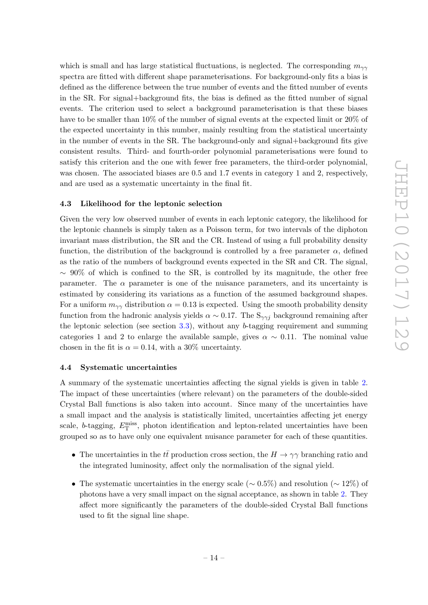which is small and has large statistical fluctuations, is neglected. The corresponding  $m_{\gamma\gamma}$ spectra are fitted with different shape parameterisations. For background-only fits a bias is defined as the difference between the true number of events and the fitted number of events in the SR. For signal+background fits, the bias is defined as the fitted number of signal events. The criterion used to select a background parameterisation is that these biases have to be smaller than 10% of the number of signal events at the expected limit or 20% of the expected uncertainty in this number, mainly resulting from the statistical uncertainty in the number of events in the SR. The background-only and signal+background fits give consistent results. Third- and fourth-order polynomial parameterisations were found to satisfy this criterion and the one with fewer free parameters, the third-order polynomial, was chosen. The associated biases are 0.5 and 1.7 events in category 1 and 2, respectively, and are used as a systematic uncertainty in the final fit.

# <span id="page-14-0"></span>4.3 Likelihood for the leptonic selection

Given the very low observed number of events in each leptonic category, the likelihood for the leptonic channels is simply taken as a Poisson term, for two intervals of the diphoton invariant mass distribution, the SR and the CR. Instead of using a full probability density function, the distribution of the background is controlled by a free parameter  $\alpha$ , defined as the ratio of the numbers of background events expected in the SR and CR. The signal,  $\sim 90\%$  of which is confined to the SR, is controlled by its magnitude, the other free parameter. The  $\alpha$  parameter is one of the nuisance parameters, and its uncertainty is estimated by considering its variations as a function of the assumed background shapes. For a uniform  $m_{\gamma\gamma}$  distribution  $\alpha = 0.13$  is expected. Using the smooth probability density function from the hadronic analysis yields  $\alpha \sim 0.17$ . The S<sub>γγj</sub> background remaining after the leptonic selection (see section [3.3\)](#page-9-0), without any b-tagging requirement and summing categories 1 and 2 to enlarge the available sample, gives  $\alpha \sim 0.11$ . The nominal value chosen in the fit is  $\alpha = 0.14$ , with a 30% uncertainty.

# <span id="page-14-1"></span>4.4 Systematic uncertainties

A summary of the systematic uncertainties affecting the signal yields is given in table [2.](#page-15-0) The impact of these uncertainties (where relevant) on the parameters of the double-sided Crystal Ball functions is also taken into account. Since many of the uncertainties have a small impact and the analysis is statistically limited, uncertainties affecting jet energy scale, b-tagging,  $E_{\rm T}^{\rm miss}$ , photon identification and lepton-related uncertainties have been grouped so as to have only one equivalent nuisance parameter for each of these quantities.

- The uncertainties in the  $t\bar{t}$  production cross section, the  $H \to \gamma\gamma$  branching ratio and the integrated luminosity, affect only the normalisation of the signal yield.
- The systematic uncertainties in the energy scale ( $\sim 0.5\%$ ) and resolution ( $\sim 12\%$ ) of photons have a very small impact on the signal acceptance, as shown in table [2.](#page-15-0) They affect more significantly the parameters of the double-sided Crystal Ball functions used to fit the signal line shape.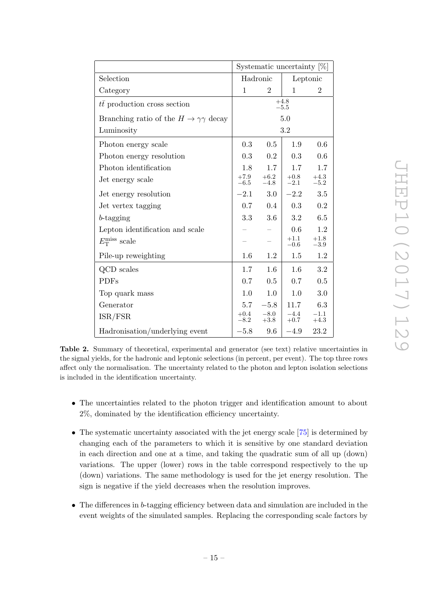<span id="page-15-0"></span>

|                                                   | Systematic uncertainty [%] |                  |                  |                  |
|---------------------------------------------------|----------------------------|------------------|------------------|------------------|
| Selection                                         |                            | Hadronic         | Leptonic         |                  |
| Category                                          | $\mathbf{1}$               | $\overline{2}$   | 1                | $\overline{2}$   |
| $t\bar{t}$ production cross section               |                            |                  | $+4.8$<br>$-5.5$ |                  |
| Branching ratio of the $H \to \gamma\gamma$ decay |                            |                  | 5.0              |                  |
| Luminosity                                        |                            |                  | 3.2              |                  |
| Photon energy scale                               | 0.3                        | 0.5              | 1.9              | 0.6              |
| Photon energy resolution                          | 0.3                        | 0.2              | 0.3              | 0.6              |
| Photon identification                             | 1.8                        | 1.7              | 1.7              | 1.7              |
| Jet energy scale                                  | $+7.9$<br>$-6.5$           | $+6.2$<br>$-4.8$ | $^{+0.8}_{-2.1}$ | $+4.3$<br>$-5.2$ |
| Jet energy resolution                             | $-2.1$                     | 3.0              | $-2.2$           | 3.5              |
| Jet vertex tagging                                | 0.7                        | $0.4\,$          | 0.3              | 0.2              |
| $b$ -tagging                                      |                            | 3.6              | 3.2              | 6.5              |
| Lepton identification and scale                   |                            |                  | 0.6              | 1.2              |
| $E_{\rm T}^{\rm miss}$ scale                      |                            |                  | $+1.1$<br>$-0.6$ | $+1.8$<br>$-3.9$ |
| Pile-up reweighting                               | 1.6                        | 1.2              | 1.5              | 1.2              |
| QCD scales                                        | 1.7                        | 1.6              | 1.6              | 3.2              |
| <b>PDFs</b>                                       | 0.7                        | 0.5              | 0.7              | 0.5              |
| Top quark mass                                    | 1.0                        | 1.0              | 1.0              | 3.0              |
| Generator                                         | 5.7                        | $-5.8$           | 11.7             | 6.3              |
| ISR/FSR                                           | $+0.4$<br>$-8.2$           | $-8.0$<br>$+3.8$ | $-4.4$<br>$+0.7$ | $-1.1$<br>$+4.3$ |
| Hadronisation/underlying event                    | $-5.8$                     | 9.6              | $-4.9$           | 23.2             |

Table 2. Summary of theoretical, experimental and generator (see text) relative uncertainties in the signal yields, for the hadronic and leptonic selections (in percent, per event). The top three rows affect only the normalisation. The uncertainty related to the photon and lepton isolation selections is included in the identification uncertainty.

- The uncertainties related to the photon trigger and identification amount to about 2%, dominated by the identification efficiency uncertainty.
- The systematic uncertainty associated with the jet energy scale [\[75\]](#page-25-4) is determined by changing each of the parameters to which it is sensitive by one standard deviation in each direction and one at a time, and taking the quadratic sum of all up (down) variations. The upper (lower) rows in the table correspond respectively to the up (down) variations. The same methodology is used for the jet energy resolution. The sign is negative if the yield decreases when the resolution improves.
- The differences in b-tagging efficiency between data and simulation are included in the event weights of the simulated samples. Replacing the corresponding scale factors by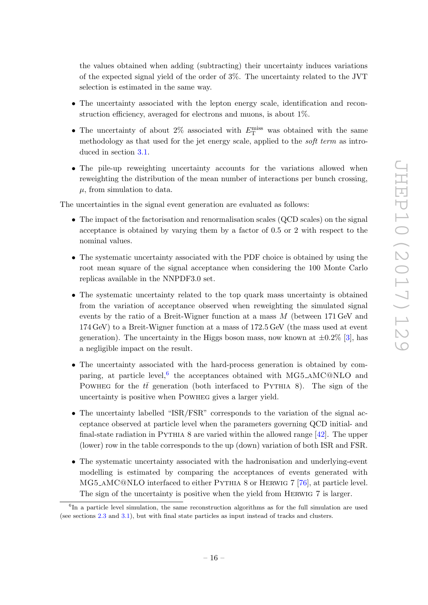the values obtained when adding (subtracting) their uncertainty induces variations of the expected signal yield of the order of 3%. The uncertainty related to the JVT selection is estimated in the same way.

- The uncertainty associated with the lepton energy scale, identification and reconstruction efficiency, averaged for electrons and muons, is about 1%.
- The uncertainty of about 2% associated with  $E_{\rm T}^{\rm miss}$  was obtained with the same methodology as that used for the jet energy scale, applied to the *soft term* as introduced in section [3.1.](#page-5-1)
- The pile-up reweighting uncertainty accounts for the variations allowed when reweighting the distribution of the mean number of interactions per bunch crossing,  $\mu$ , from simulation to data.

The uncertainties in the signal event generation are evaluated as follows:

- The impact of the factorisation and renormalisation scales (QCD scales) on the signal acceptance is obtained by varying them by a factor of 0.5 or 2 with respect to the nominal values.
- The systematic uncertainty associated with the PDF choice is obtained by using the root mean square of the signal acceptance when considering the 100 Monte Carlo replicas available in the NNPDF3.0 set.
- The systematic uncertainty related to the top quark mass uncertainty is obtained from the variation of acceptance observed when reweighting the simulated signal events by the ratio of a Breit-Wigner function at a mass M (between 171 GeV and 174 GeV) to a Breit-Wigner function at a mass of 172.5 GeV (the mass used at event generation). The uncertainty in the Higgs boson mass, now known at  $\pm 0.2\%$  [\[3\]](#page-21-2), has a negligible impact on the result.
- The uncertainty associated with the hard-process generation is obtained by com-paring, at particle level,<sup>[6](#page-16-0)</sup> the acceptances obtained with  $MG5_AMC@NLO$  and POWHEG for the  $t\bar{t}$  generation (both interfaced to PYTHIA 8). The sign of the uncertainty is positive when Powheg gives a larger yield.
- The uncertainty labelled "ISR/FSR" corresponds to the variation of the signal acceptance observed at particle level when the parameters governing QCD initial- and final-state radiation in PYTHIA 8 are varied within the allowed range  $[42]$ . The upper (lower) row in the table corresponds to the up (down) variation of both ISR and FSR.
- The systematic uncertainty associated with the hadronisation and underlying-event modelling is estimated by comparing the acceptances of events generated with MG5\_AMC@NLO interfaced to either PYTHIA 8 or HERWIG 7 [\[76\]](#page-25-5), at particle level. The sign of the uncertainty is positive when the yield from Herwig 7 is larger.

<span id="page-16-0"></span><sup>&</sup>lt;sup>6</sup>In a particle level simulation, the same reconstruction algorithms as for the full simulation are used (see sections [2.3](#page-4-0) and [3.1\)](#page-5-1), but with final state particles as input instead of tracks and clusters.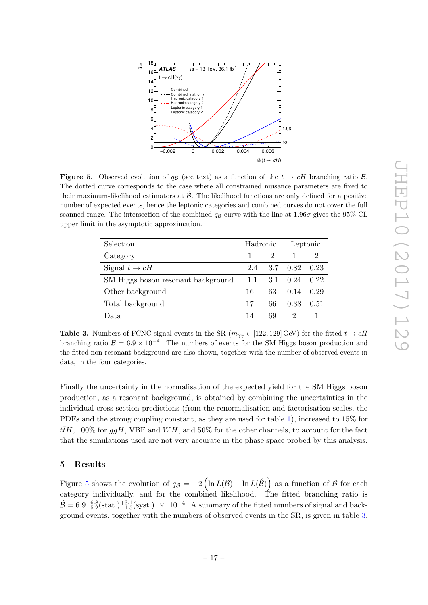<span id="page-17-1"></span>

**Figure 5.** Observed evolution of  $q_B$  (see text) as a function of the  $t \to cH$  branching ratio B. The dotted curve corresponds to the case where all constrained nuisance parameters are fixed to their maximum-likelihood estimators at  $\hat{\mathcal{B}}$ . The likelihood functions are only defined for a positive number of expected events, hence the leptonic categories and combined curves do not cover the full scanned range. The intersection of the combined  $q_B$  curve with the line at 1.96 $\sigma$  gives the 95% CL upper limit in the asymptotic approximation.

<span id="page-17-2"></span>

| Selection                          |     | Hadronic                    |      | Leptonic       |  |
|------------------------------------|-----|-----------------------------|------|----------------|--|
| Category                           |     | $\mathcal{D}_{\mathcal{L}}$ |      | $\mathfrak{D}$ |  |
| Signal $t \to cH$                  | 2.4 | 3.7                         | 0.82 | 0.23           |  |
| SM Higgs boson resonant background | 1.1 | 3.1                         | 0.24 | 0.22           |  |
| Other background                   | 16  | 63                          | 0.14 | 0.29           |  |
| Total background                   | 17  | 66                          | 0.38 | 0.51           |  |
| Data                               | 14  | 69                          | 2    |                |  |

**Table 3.** Numbers of FCNC signal events in the SR ( $m_{\gamma\gamma} \in [122, 129]$  GeV) for the fitted  $t \to cH$ branching ratio  $\mathcal{B} = 6.9 \times 10^{-4}$ . The numbers of events for the SM Higgs boson production and the fitted non-resonant background are also shown, together with the number of observed events in data, in the four categories.

Finally the uncertainty in the normalisation of the expected yield for the SM Higgs boson production, as a resonant background, is obtained by combining the uncertainties in the individual cross-section predictions (from the renormalisation and factorisation scales, the PDFs and the strong coupling constant, as they are used for table [1\)](#page-13-1), increased to 15% for  $t\bar{t}H$ , 100% for ggH, VBF and WH, and 50% for the other channels, to account for the fact that the simulations used are not very accurate in the phase space probed by this analysis.

# <span id="page-17-0"></span>5 Results

Figure [5](#page-17-1) shows the evolution of  $q_B = -2\left(\ln L(\mathcal{B}) - \ln L(\hat{\mathcal{B}})\right)$  as a function of  $\mathcal B$  for each category individually, and for the combined likelihood. The fitted branching ratio is  $\hat{B} = 6.9^{+6.8}_{-5.2} \text{(stat.)}^{+3.1}_{-1.5} \text{(syst.)} \times 10^{-4}$ . A summary of the fitted numbers of signal and background events, together with the numbers of observed events in the SR, is given in table [3.](#page-17-2)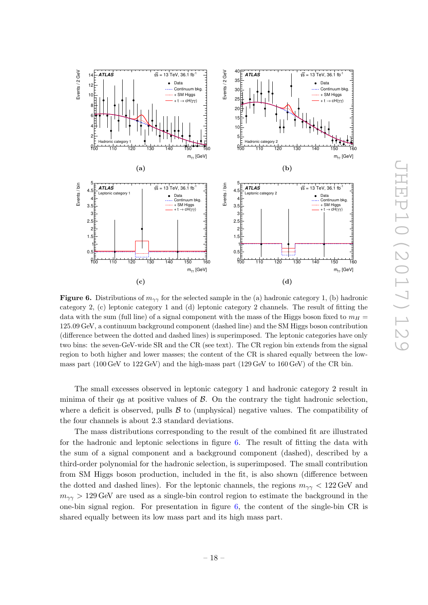<span id="page-18-0"></span>

**Figure 6.** Distributions of  $m_{\gamma\gamma}$  for the selected sample in the (a) hadronic category 1, (b) hadronic category 2, (c) leptonic category 1 and (d) leptonic category 2 channels. The result of fitting the data with the sum (full line) of a signal component with the mass of the Higgs boson fixed to  $m_H$  = 125.09 GeV, a continuum background component (dashed line) and the SM Higgs boson contribution (difference between the dotted and dashed lines) is superimposed. The leptonic categories have only two bins: the seven-GeV-wide SR and the CR (see text). The CR region bin extends from the signal region to both higher and lower masses; the content of the CR is shared equally between the lowmass part (100 GeV to 122 GeV) and the high-mass part (129 GeV to 160 GeV) of the CR bin.

The small excesses observed in leptonic category 1 and hadronic category 2 result in minima of their  $q_B$  at positive values of  $\beta$ . On the contrary the tight hadronic selection, where a deficit is observed, pulls  $\mathcal B$  to (unphysical) negative values. The compatibility of the four channels is about 2.3 standard deviations.

The mass distributions corresponding to the result of the combined fit are illustrated for the hadronic and leptonic selections in figure [6.](#page-18-0) The result of fitting the data with the sum of a signal component and a background component (dashed), described by a third-order polynomial for the hadronic selection, is superimposed. The small contribution from SM Higgs boson production, included in the fit, is also shown (difference between the dotted and dashed lines). For the leptonic channels, the regions  $m_{\gamma\gamma} < 122 \,\text{GeV}$  and  $m_{\gamma\gamma} > 129 \,\text{GeV}$  are used as a single-bin control region to estimate the background in the one-bin signal region. For presentation in figure  $6$ , the content of the single-bin CR is shared equally between its low mass part and its high mass part.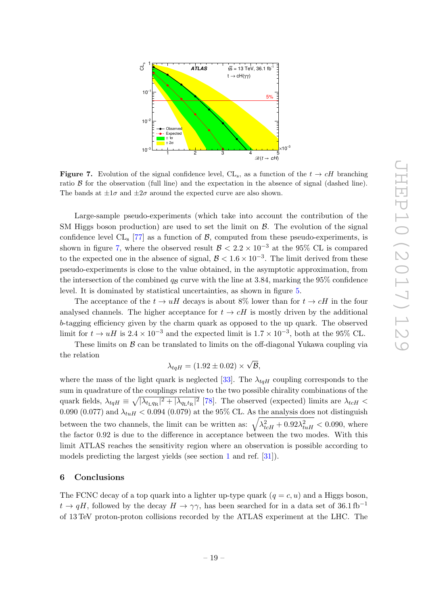<span id="page-19-1"></span>

**Figure 7.** Evolution of the signal confidence level, CL<sub>s</sub>, as a function of the  $t \rightarrow cH$  branching ratio  $\beta$  for the observation (full line) and the expectation in the absence of signal (dashed line). The bands at  $\pm 1\sigma$  and  $\pm 2\sigma$  around the expected curve are also shown.

Large-sample pseudo-experiments (which take into account the contribution of the SM Higgs boson production) are used to set the limit on  $\beta$ . The evolution of the signal confidence level  $CL_s$  [\[77\]](#page-25-6) as a function of  $\beta$ , computed from these pseudo-experiments, is shown in figure [7,](#page-19-1) where the observed result  $\mathcal{B} < 2.2 \times 10^{-3}$  at the 95% CL is compared to the expected one in the absence of signal,  $\mathcal{B} < 1.6 \times 10^{-3}$ . The limit derived from these pseudo-experiments is close to the value obtained, in the asymptotic approximation, from the intersection of the combined  $q_B$  curve with the line at 3.84, marking the 95% confidence level. It is dominated by statistical uncertainties, as shown in figure [5.](#page-17-1)

The acceptance of the  $t \to uH$  decays is about 8% lower than for  $t \to cH$  in the four analysed channels. The higher acceptance for  $t \to cH$  is mostly driven by the additional b-tagging efficiency given by the charm quark as opposed to the up quark. The observed limit for  $t \to uH$  is  $2.4 \times 10^{-3}$  and the expected limit is  $1.7 \times 10^{-3}$ , both at the 95% CL.

These limits on  $\beta$  can be translated to limits on the off-diagonal Yukawa coupling via the relation √

$$
\lambda_{tqH} = (1.92 \pm 0.02) \times \sqrt{\mathcal{B}},
$$

where the mass of the light quark is neglected [\[33\]](#page-22-10). The  $\lambda_{tqH}$  coupling corresponds to the sum in quadrature of the couplings relative to the two possible chirality combinations of the quark fields,  $\lambda_{tqH} \equiv \sqrt{|\lambda_{t_{\text{L}}q_{\text{R}}}|^2 + |\lambda_{q_{\text{L}}t_{\text{R}}}|^2}$  [\[78\]](#page-25-7). The observed (expected) limits are  $\lambda_{tcH}$  < 0.090 (0.077) and  $\lambda_{tuH}$  < 0.094 (0.079) at the 95% CL. As the analysis does not distinguish between the two channels, the limit can be written as:  $\sqrt{\lambda_{tcH}^2 + 0.92\lambda_{tuH}^2} < 0.090$ , where the factor 0.92 is due to the difference in acceptance between the two modes. With this limit ATLAS reaches the sensitivity region where an observation is possible according to models predicting the largest yields (see section [1](#page-1-0) and ref. [\[31\]](#page-22-8)).

#### <span id="page-19-0"></span>6 Conclusions

The FCNC decay of a top quark into a lighter up-type quark  $(q = c, u)$  and a Higgs boson,  $t \to qH$ , followed by the decay  $H \to \gamma\gamma$ , has been searched for in a data set of 36.1 fb<sup>-1</sup> of 13 TeV proton-proton collisions recorded by the ATLAS experiment at the LHC. The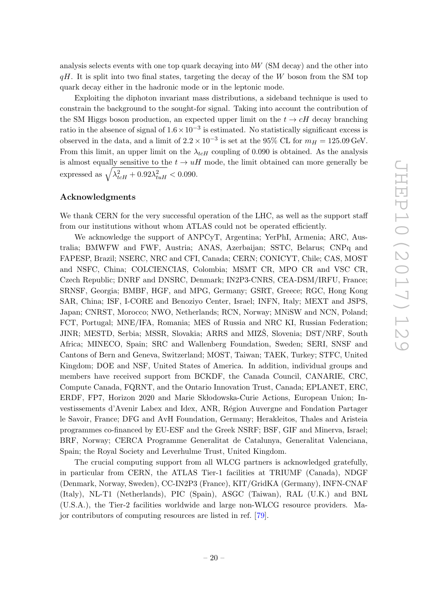analysis selects events with one top quark decaying into  $bW$  (SM decay) and the other into  $qH$ . It is split into two final states, targeting the decay of the W boson from the SM top quark decay either in the hadronic mode or in the leptonic mode.

Exploiting the diphoton invariant mass distributions, a sideband technique is used to constrain the background to the sought-for signal. Taking into account the contribution of the SM Higgs boson production, an expected upper limit on the  $t \to cH$  decay branching ratio in the absence of signal of  $1.6 \times 10^{-3}$  is estimated. No statistically significant excess is observed in the data, and a limit of  $2.2 \times 10^{-3}$  is set at the 95% CL for  $m_H = 125.09$  GeV. From this limit, an upper limit on the  $\lambda_{tcH}$  coupling of 0.090 is obtained. As the analysis is almost equally sensitive to the  $t \to uH$  mode, the limit obtained can more generally be expressed as  $\sqrt{\lambda_{tcH}^2 + 0.92\lambda_{tuH}^2}$  < 0.090.

# Acknowledgments

We thank CERN for the very successful operation of the LHC, as well as the support staff from our institutions without whom ATLAS could not be operated efficiently.

We acknowledge the support of ANPCyT, Argentina; YerPhI, Armenia; ARC, Australia; BMWFW and FWF, Austria; ANAS, Azerbaijan; SSTC, Belarus; CNPq and FAPESP, Brazil; NSERC, NRC and CFI, Canada; CERN; CONICYT, Chile; CAS, MOST and NSFC, China; COLCIENCIAS, Colombia; MSMT CR, MPO CR and VSC CR, Czech Republic; DNRF and DNSRC, Denmark; IN2P3-CNRS, CEA-DSM/IRFU, France; SRNSF, Georgia; BMBF, HGF, and MPG, Germany; GSRT, Greece; RGC, Hong Kong SAR, China; ISF, I-CORE and Benoziyo Center, Israel; INFN, Italy; MEXT and JSPS, Japan; CNRST, Morocco; NWO, Netherlands; RCN, Norway; MNiSW and NCN, Poland; FCT, Portugal; MNE/IFA, Romania; MES of Russia and NRC KI, Russian Federation; JINR; MESTD, Serbia; MSSR, Slovakia; ARRS and MIZŠ, Slovenia; DST/NRF, South Africa; MINECO, Spain; SRC and Wallenberg Foundation, Sweden; SERI, SNSF and Cantons of Bern and Geneva, Switzerland; MOST, Taiwan; TAEK, Turkey; STFC, United Kingdom; DOE and NSF, United States of America. In addition, individual groups and members have received support from BCKDF, the Canada Council, CANARIE, CRC, Compute Canada, FQRNT, and the Ontario Innovation Trust, Canada; EPLANET, ERC, ERDF, FP7, Horizon 2020 and Marie Skłodowska-Curie Actions, European Union; Investissements d'Avenir Labex and Idex, ANR, Région Auvergne and Fondation Partager le Savoir, France; DFG and AvH Foundation, Germany; Herakleitos, Thales and Aristeia programmes co-financed by EU-ESF and the Greek NSRF; BSF, GIF and Minerva, Israel; BRF, Norway; CERCA Programme Generalitat de Catalunya, Generalitat Valenciana, Spain; the Royal Society and Leverhulme Trust, United Kingdom.

The crucial computing support from all WLCG partners is acknowledged gratefully, in particular from CERN, the ATLAS Tier-1 facilities at TRIUMF (Canada), NDGF (Denmark, Norway, Sweden), CC-IN2P3 (France), KIT/GridKA (Germany), INFN-CNAF (Italy), NL-T1 (Netherlands), PIC (Spain), ASGC (Taiwan), RAL (U.K.) and BNL (U.S.A.), the Tier-2 facilities worldwide and large non-WLCG resource providers. Major contributors of computing resources are listed in ref. [\[79\]](#page-25-8).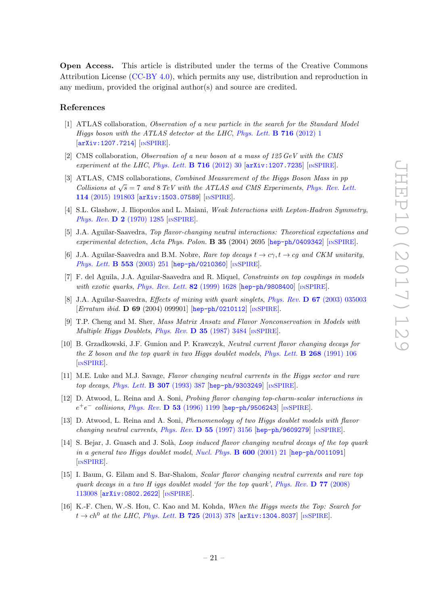Open Access. This article is distributed under the terms of the Creative Commons Attribution License [\(CC-BY 4.0\)](https://creativecommons.org/licenses/by/4.0/), which permits any use, distribution and reproduction in any medium, provided the original author(s) and source are credited.

# References

- <span id="page-21-0"></span>[1] ATLAS collaboration, Observation of a new particle in the search for the Standard Model Higgs boson with the ATLAS detector at the LHC, [Phys. Lett.](https://doi.org/10.1016/j.physletb.2012.08.020) **B** 716 (2012) 1 [[arXiv:1207.7214](https://arxiv.org/abs/1207.7214)] [IN[SPIRE](https://inspirehep.net/search?p=find+EPRINT+arXiv:1207.7214)].
- <span id="page-21-1"></span>[2] CMS collaboration, Observation of a new boson at a mass of 125 GeV with the CMS experiment at the LHC, [Phys. Lett.](https://doi.org/10.1016/j.physletb.2012.08.021) **B** 716 (2012) 30  $\left[\text{arXiv:1207.7235}\right]$  $\left[\text{arXiv:1207.7235}\right]$  $\left[\text{arXiv:1207.7235}\right]$   $\left[\text{INSPIRE}\right]$  $\left[\text{INSPIRE}\right]$  $\left[\text{INSPIRE}\right]$ .
- <span id="page-21-2"></span>[3] ATLAS, CMS collaborations, *Combined Measurement of the Higgs Boson Mass in pp* Collisions at  $\sqrt{s} = 7$  and 8 TeV with the ATLAS and CMS Experiments, [Phys. Rev. Lett.](https://doi.org/10.1103/PhysRevLett.114.191803) 114 [\(2015\) 191803](https://doi.org/10.1103/PhysRevLett.114.191803) [[arXiv:1503.07589](https://arxiv.org/abs/1503.07589)] [IN[SPIRE](https://inspirehep.net/search?p=find+EPRINT+arXiv:1503.07589)].
- <span id="page-21-3"></span>[4] S.L. Glashow, J. Iliopoulos and L. Maiani, Weak Interactions with Lepton-Hadron Symmetry, Phys. Rev. **D 2** [\(1970\) 1285](https://doi.org/10.1103/PhysRevD.2.1285) [IN[SPIRE](https://inspirehep.net/search?p=find+J+%22Phys.Rev.,D2,1285%22)].
- <span id="page-21-4"></span>[5] J.A. Aguilar-Saavedra, Top flavor-changing neutral interactions: Theoretical expectations and experimental detection, Acta Phys. Polon. **B** 35 (2004) 2695 [[hep-ph/0409342](https://arxiv.org/abs/hep-ph/0409342)] [IN[SPIRE](https://inspirehep.net/search?p=find+EPRINT+hep-ph/0409342)].
- <span id="page-21-5"></span>[6] J.A. Aguilar-Saavedra and B.M. Nobre, Rare top decays  $t \to c\gamma$ ,  $t \to cg$  and CKM unitarity, [Phys. Lett.](https://doi.org/10.1016/S0370-2693(02)03230-6) **B 553** (2003) 251 [[hep-ph/0210360](https://arxiv.org/abs/hep-ph/0210360)] [IN[SPIRE](https://inspirehep.net/search?p=find+EPRINT+hep-ph/0210360)].
- [7] F. del Aguila, J.A. Aguilar-Saavedra and R. Miquel, Constraints on top couplings in models with exotic quarks, [Phys. Rev. Lett.](https://doi.org/10.1103/PhysRevLett.82.1628)  $82$  (1999) 1628 [[hep-ph/9808400](https://arxiv.org/abs/hep-ph/9808400)] [IN[SPIRE](https://inspirehep.net/search?p=find+EPRINT+hep-ph/9808400)].
- <span id="page-21-6"></span>[8] J.A. Aguilar-Saavedra, Effects of mixing with quark singlets, Phys. Rev. D 67 [\(2003\) 035003](https://doi.org/10.1103/PhysRevD.69.099901) [Erratum ibid. **D 69** (2004) 099901] [[hep-ph/0210112](https://arxiv.org/abs/hep-ph/0210112)] [IN[SPIRE](https://inspirehep.net/search?p=find+EPRINT+hep-ph/0210112)].
- <span id="page-21-7"></span>[9] T.P. Cheng and M. Sher, Mass Matrix Ansatz and Flavor Nonconservation in Models with Multiple Higgs Doublets, Phys. Rev.  $\bf{D}$  35 [\(1987\) 3484](https://doi.org/10.1103/PhysRevD.35.3484) [IN[SPIRE](https://inspirehep.net/search?p=find+J+%22Phys.Rev.,D35,3484%22)].
- [10] B. Grzadkowski, J.F. Gunion and P. Krawczyk, Neutral current flavor changing decays for the Z boson and the top quark in two Higgs doublet models, [Phys. Lett.](https://doi.org/10.1016/0370-2693(91)90931-F) **B** 268 (1991) 106 [IN[SPIRE](https://inspirehep.net/search?p=find+J+%22Phys.Lett.,B268,106%22)].
- [11] M.E. Luke and M.J. Savage, Flavor changing neutral currents in the Higgs sector and rare top decays, [Phys. Lett.](https://doi.org/10.1016/0370-2693(93)90238-D) **B 307** (1993) 387 [[hep-ph/9303249](https://arxiv.org/abs/hep-ph/9303249)] [IN[SPIRE](https://inspirehep.net/search?p=find+EPRINT+hep-ph/9303249)].
- [12] D. Atwood, L. Reina and A. Soni, Probing flavor changing top-charm-scalar interactions in  $e^+e^-$  collisions, *Phys. Rev.* **D 53** [\(1996\) 1199](https://doi.org/10.1103/PhysRevD.53.1199) [[hep-ph/9506243](https://arxiv.org/abs/hep-ph/9506243)] [IN[SPIRE](https://inspirehep.net/search?p=find+EPRINT+hep-ph/9506243)].
- [13] D. Atwood, L. Reina and A. Soni, *Phenomenology of two Higgs doublet models with flavor* changing neutral currents, Phys. Rev.  $\overline{D}$  55 [\(1997\) 3156](https://doi.org/10.1103/PhysRevD.55.3156) [[hep-ph/9609279](https://arxiv.org/abs/hep-ph/9609279)] [IN[SPIRE](https://inspirehep.net/search?p=find+EPRINT+hep-ph/9609279)].
- [14] S. Bejar, J. Guasch and J. Solà, Loop induced flavor changing neutral decays of the top quark in a general two Higgs doublet model, [Nucl. Phys.](https://doi.org/10.1016/S0550-3213(01)00044-X)  $\bf{B}$  600 (2001) 21 [[hep-ph/0011091](https://arxiv.org/abs/hep-ph/0011091)] [IN[SPIRE](https://inspirehep.net/search?p=find+EPRINT+hep-ph/0011091)].
- [15] I. Baum, G. Eilam and S. Bar-Shalom, Scalar flavor changing neutral currents and rare top quark decays in a two H iggs doublet model 'for the top quark', [Phys. Rev.](https://doi.org/10.1103/PhysRevD.77.113008)  $\bf{D}$  77 (2008) [113008](https://doi.org/10.1103/PhysRevD.77.113008) [[arXiv:0802.2622](https://arxiv.org/abs/0802.2622)] [IN[SPIRE](https://inspirehep.net/search?p=find+EPRINT+arXiv:0802.2622)].
- [16] K.-F. Chen, W.-S. Hou, C. Kao and M. Kohda, When the Higgs meets the Top: Search for  $t \to ch^0$  at the LHC, [Phys. Lett.](https://doi.org/10.1016/j.physletb.2013.07.060) **B 725** (2013) 378 [[arXiv:1304.8037](https://arxiv.org/abs/1304.8037)] [IN[SPIRE](https://inspirehep.net/search?p=find+EPRINT+arXiv:1304.8037)].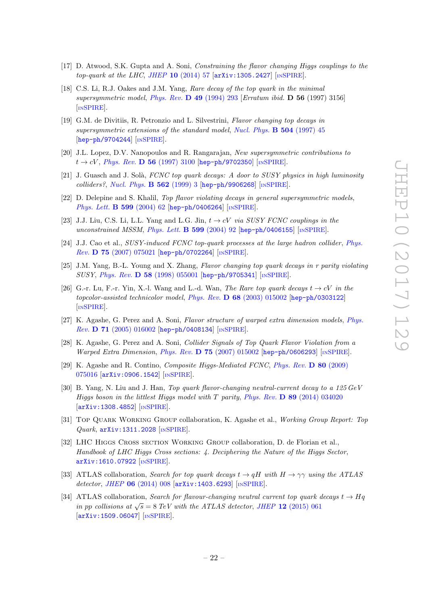- <span id="page-22-0"></span>[17] D. Atwood, S.K. Gupta and A. Soni, Constraining the flavor changing Higgs couplings to the top-quark at the LHC, JHEP  $10$  [\(2014\) 57](https://doi.org/10.1007/JHEP10(2014)057)  $\text{arXiv:1305.2427}$  $\text{arXiv:1305.2427}$  $\text{arXiv:1305.2427}$  [IN[SPIRE](https://inspirehep.net/search?p=find+EPRINT+arXiv:1305.2427)].
- <span id="page-22-1"></span>[18] C.S. Li, R.J. Oakes and J.M. Yang, Rare decay of the top quark in the minimal supersymmetric model, [Phys. Rev.](https://doi.org/10.1103/PhysRevD.49.293)  $\bf{D}$  49 (1994) 293 [Erratum ibid.  $\bf{D}$  56 (1997) 3156] [IN[SPIRE](https://inspirehep.net/search?p=find+J+%22Phys.Rev.,D49,293%22)].
- [19] G.M. de Divitiis, R. Petronzio and L. Silvestrini, Flavor changing top decays in supersymmetric extensions of the standard model, [Nucl. Phys.](https://doi.org/10.1016/S0550-3213(97)00476-8)  $\bf{B}$  504 (1997) 45 [[hep-ph/9704244](https://arxiv.org/abs/hep-ph/9704244)] [IN[SPIRE](https://inspirehep.net/search?p=find+EPRINT+hep-ph/9704244)].
- [20] J.L. Lopez, D.V. Nanopoulos and R. Rangarajan, New supersymmetric contributions to  $t \to cV$ , *Phys. Rev.* **D** 56 [\(1997\) 3100](https://doi.org/10.1103/PhysRevD.56.3100) [[hep-ph/9702350](https://arxiv.org/abs/hep-ph/9702350)] [IN[SPIRE](https://inspirehep.net/search?p=find+EPRINT+hep-ph/9702350)].
- [21] J. Guasch and J. Solà,  $FCNC$  top quark decays: A door to  $SUSY$  physics in high luminosity colliders?, [Nucl. Phys.](https://doi.org/10.1016/S0550-3213(99)00579-9) B 562 (1999) 3 [[hep-ph/9906268](https://arxiv.org/abs/hep-ph/9906268)] [IN[SPIRE](https://inspirehep.net/search?p=find+EPRINT+hep-ph/9906268)].
- [22] D. Delepine and S. Khalil, Top flavor violating decays in general supersymmetric models, [Phys. Lett.](https://doi.org/10.1016/j.physletb.2004.08.025) **B 599** (2004) 62 [[hep-ph/0406264](https://arxiv.org/abs/hep-ph/0406264)] [IN[SPIRE](https://inspirehep.net/search?p=find+EPRINT+hep-ph/0406264)].
- [23] J.J. Liu, C.S. Li, L.L. Yang and L.G. Jin,  $t \to cV$  via SUSY FCNC couplings in the unconstrained MSSM, [Phys. Lett.](https://doi.org/10.1016/j.physletb.2004.07.062) **B** 599 (2004) 92 [[hep-ph/0406155](https://arxiv.org/abs/hep-ph/0406155)] [IN[SPIRE](https://inspirehep.net/search?p=find+EPRINT+hep-ph/0406155)].
- <span id="page-22-2"></span>[24] J.J. Cao et al., SUSY-induced FCNC top-quark processes at the large hadron collider, [Phys.](https://doi.org/10.1103/PhysRevD.75.075021) Rev. D 75 [\(2007\) 075021](https://doi.org/10.1103/PhysRevD.75.075021) [[hep-ph/0702264](https://arxiv.org/abs/hep-ph/0702264)] [IN[SPIRE](https://inspirehep.net/search?p=find+EPRINT+hep-ph/0702264)].
- <span id="page-22-3"></span>[25] J.M. Yang, B.-L. Young and X. Zhang, Flavor changing top quark decays in r parity violating SUSY, Phys. Rev. D 58 [\(1998\) 055001](https://doi.org/10.1103/PhysRevD.58.055001) [[hep-ph/9705341](https://arxiv.org/abs/hep-ph/9705341)] [IN[SPIRE](https://inspirehep.net/search?p=find+EPRINT+hep-ph/9705341)].
- <span id="page-22-4"></span>[26] G.-r. Lu, F.-r. Yin, X.-l. Wang and L.-d. Wan, The Rare top quark decays  $t \to cV$  in the topcolor-assisted technicolor model, Phys. Rev. D 68 [\(2003\) 015002](https://doi.org/10.1103/PhysRevD.68.015002) [[hep-ph/0303122](https://arxiv.org/abs/hep-ph/0303122)] [IN[SPIRE](https://inspirehep.net/search?p=find+EPRINT+hep-ph/0303122)].
- <span id="page-22-5"></span>[27] K. Agashe, G. Perez and A. Soni, Flavor structure of warped extra dimension models, [Phys.](https://doi.org/10.1103/PhysRevD.71.016002) Rev. D 71 [\(2005\) 016002](https://doi.org/10.1103/PhysRevD.71.016002) [[hep-ph/0408134](https://arxiv.org/abs/hep-ph/0408134)] [IN[SPIRE](https://inspirehep.net/search?p=find+EPRINT+hep-ph/0408134)].
- [28] K. Agashe, G. Perez and A. Soni, Collider Signals of Top Quark Flavor Violation from a Warped Extra Dimension, Phys. Rev.  $D$  75 [\(2007\) 015002](https://doi.org/10.1103/PhysRevD.75.015002) [[hep-ph/0606293](https://arxiv.org/abs/hep-ph/0606293)] [IN[SPIRE](https://inspirehep.net/search?p=find+EPRINT+hep-ph/0606293)].
- <span id="page-22-6"></span>[29] K. Agashe and R. Contino, Composite Higgs-Mediated FCNC, [Phys. Rev.](https://doi.org/10.1103/PhysRevD.80.075016) D 80 (2009) [075016](https://doi.org/10.1103/PhysRevD.80.075016) [[arXiv:0906.1542](https://arxiv.org/abs/0906.1542)] [IN[SPIRE](https://inspirehep.net/search?p=find+EPRINT+arXiv:0906.1542)].
- <span id="page-22-7"></span>[30] B. Yang, N. Liu and J. Han, Top quark flavor-changing neutral-current decay to a 125 GeV Higgs boson in the littlest Higgs model with T parity, Phys. Rev.  $\bf{D}$  89 [\(2014\) 034020](https://doi.org/10.1103/PhysRevD.89.034020) [[arXiv:1308.4852](https://arxiv.org/abs/1308.4852)] [IN[SPIRE](https://inspirehep.net/search?p=find+EPRINT+arXiv:1308.4852)].
- <span id="page-22-8"></span>[31] Top QUARK WORKING GROUP collaboration, K. Agashe et al., Working Group Report: Top Quark, [arXiv:1311.2028](https://arxiv.org/abs/1311.2028) [IN[SPIRE](https://inspirehep.net/search?p=find+EPRINT+arXiv:1311.2028)].
- <span id="page-22-9"></span>[32] LHC Higgs Cross section Working Group collaboration, D. de Florian et al., Handbook of LHC Higgs Cross sections: 4. Deciphering the Nature of the Higgs Sector, [arXiv:1610.07922](https://arxiv.org/abs/1610.07922) [IN[SPIRE](https://inspirehep.net/search?p=find+EPRINT+arXiv:1610.07922)].
- <span id="page-22-10"></span>[33] ATLAS collaboration, Search for top quark decays  $t \to qH$  with  $H \to \gamma\gamma$  using the ATLAS detector, JHEP 06 [\(2014\) 008](https://doi.org/10.1007/JHEP06(2014)008) [[arXiv:1403.6293](https://arxiv.org/abs/1403.6293)] [IN[SPIRE](https://inspirehep.net/search?p=find+EPRINT+arXiv:1403.6293)].
- <span id="page-22-11"></span>[34] ATLAS collaboration, Search for flavour-changing neutral current top quark decays  $t \to Hq$ in pp collisions at  $\sqrt{s} = 8 \text{ TeV}$  with the ATLAS detector, JHEP 12 [\(2015\) 061](https://doi.org/10.1007/JHEP12(2015)061) [[arXiv:1509.06047](https://arxiv.org/abs/1509.06047)] [IN[SPIRE](https://inspirehep.net/search?p=find+EPRINT+arXiv:1509.06047)].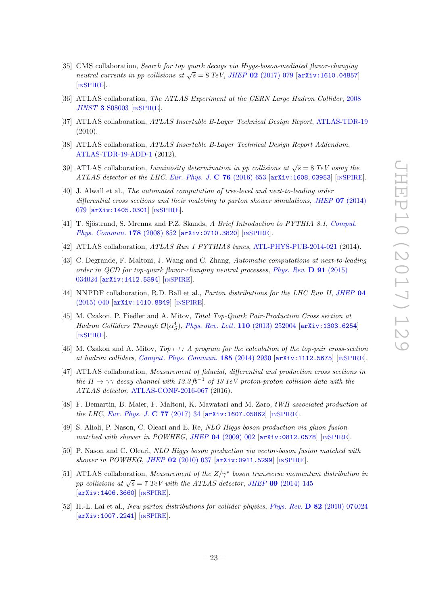- <span id="page-23-0"></span>[35] CMS collaboration, Search for top quark decays via Higgs-boson-mediated flavor-changing neutral currents in pp collisions at  $\sqrt{s} = 8 \text{ TeV}$ , JHEP 02 [\(2017\) 079](https://doi.org/10.1007/JHEP02(2017)079) [[arXiv:1610.04857](https://arxiv.org/abs/1610.04857)] [IN[SPIRE](https://inspirehep.net/search?p=find+EPRINT+arXiv:1610.04857)].
- <span id="page-23-1"></span>[36] ATLAS collaboration, The ATLAS Experiment at the CERN Large Hadron Collider, [2008](https://doi.org/10.1088/1748-0221/3/08/S08003)  $JINST$  3 [S08003](https://doi.org/10.1088/1748-0221/3/08/S08003) [IN[SPIRE](https://inspirehep.net/search?p=find+J+%22JINST,3,S08003%22)].
- <span id="page-23-2"></span>[37] ATLAS collaboration, ATLAS Insertable B-Layer Technical Design Report, [ATLAS-TDR-19](https://cds.cern.ch/record/1291633) (2010).
- <span id="page-23-3"></span>[38] ATLAS collaboration, ATLAS Insertable B-Layer Technical Design Report Addendum, [ATLAS-TDR-19-ADD-1](https://cds.cern.ch/record/1451888) (2012).
- <span id="page-23-4"></span>[39] ATLAS collaboration, Luminosity determination in pp collisions at  $\sqrt{s} = 8$  TeV using the ATLAS detector at the LHC, [Eur. Phys. J.](https://doi.org/10.1140/epjc/s10052-016-4466-1) C  $76$  (2016) 653 [[arXiv:1608.03953](https://arxiv.org/abs/1608.03953)] [IN[SPIRE](https://inspirehep.net/search?p=find+EPRINT+arXiv:1608.03953)].
- <span id="page-23-5"></span>[40] J. Alwall et al., The automated computation of tree-level and next-to-leading order differential cross sections and their matching to parton shower simulations, JHEP **07** [\(2014\)](https://doi.org/10.1007/JHEP07(2014)079) [079](https://doi.org/10.1007/JHEP07(2014)079) [[arXiv:1405.0301](https://arxiv.org/abs/1405.0301)] [IN[SPIRE](https://inspirehep.net/search?p=find+EPRINT+arXiv:1405.0301)].
- <span id="page-23-6"></span>[41] T. Sjöstrand, S. Mrenna and P.Z. Skands, A Brief Introduction to PYTHIA 8.1, [Comput.](https://doi.org/10.1016/j.cpc.2008.01.036) [Phys. Commun.](https://doi.org/10.1016/j.cpc.2008.01.036) 178 (2008) 852 [[arXiv:0710.3820](https://arxiv.org/abs/0710.3820)] [IN[SPIRE](https://inspirehep.net/search?p=find+EPRINT+arXiv:0710.3820)].
- <span id="page-23-7"></span>[42] ATLAS collaboration, ATLAS Run 1 PYTHIA8 tunes, [ATL-PHYS-PUB-2014-021](http://cds.cern.ch/record/1966419) (2014).
- <span id="page-23-8"></span>[43] C. Degrande, F. Maltoni, J. Wang and C. Zhang, Automatic computations at next-to-leading order in QCD for top-quark flavor-changing neutral processes, [Phys. Rev.](https://doi.org/10.1103/PhysRevD.91.034024) D 91 (2015) [034024](https://doi.org/10.1103/PhysRevD.91.034024) [[arXiv:1412.5594](https://arxiv.org/abs/1412.5594)] [IN[SPIRE](https://inspirehep.net/search?p=find+EPRINT+arXiv:1412.5594)].
- <span id="page-23-9"></span>[44] NNPDF collaboration, R.D. Ball et al., *Parton distributions for the LHC Run II, [JHEP](https://doi.org/10.1007/JHEP04(2015)040)* 04 [\(2015\) 040](https://doi.org/10.1007/JHEP04(2015)040) [[arXiv:1410.8849](https://arxiv.org/abs/1410.8849)] [IN[SPIRE](https://inspirehep.net/search?p=find+EPRINT+arXiv:1410.8849)].
- <span id="page-23-10"></span>[45] M. Czakon, P. Fiedler and A. Mitov, Total Top-Quark Pair-Production Cross section at Hadron Colliders Through  $\mathcal{O}(\alpha_S^4)$ , [Phys. Rev. Lett.](https://doi.org/10.1103/PhysRevLett.110.252004) 110 (2013) 252004 [[arXiv:1303.6254](https://arxiv.org/abs/1303.6254)] [IN[SPIRE](https://inspirehep.net/search?p=find+EPRINT+arXiv:1303.6254)].
- <span id="page-23-11"></span>[46] M. Czakon and A. Mitov,  $Top++:$  A program for the calculation of the top-pair cross-section at hadron colliders, [Comput. Phys. Commun.](https://doi.org/10.1016/j.cpc.2014.06.021) 185 (2014) 2930 [[arXiv:1112.5675](https://arxiv.org/abs/1112.5675)] [IN[SPIRE](https://inspirehep.net/search?p=find+EPRINT+arXiv:1112.5675)].
- <span id="page-23-12"></span>[47] ATLAS collaboration, Measurement of fiducial, differential and production cross sections in the H  $\rightarrow \gamma \gamma$  decay channel with 13.3 fb<sup>-1</sup> of 13 TeV proton-proton collision data with the ATLAS detector, [ATLAS-CONF-2016-067](http://cds.cern.ch/record/2206210) (2016).
- <span id="page-23-13"></span>[48] F. Demartin, B. Maier, F. Maltoni, K. Mawatari and M. Zaro, tWH associated production at the LHC, [Eur. Phys. J.](https://doi.org/10.1140/epjc/s10052-017-4601-7) C 77 (2017) 34  $[$ [arXiv:1607.05862](https://arxiv.org/abs/1607.05862) $]$  [IN[SPIRE](https://inspirehep.net/search?p=find+EPRINT+arXiv:1607.05862)].
- <span id="page-23-14"></span>[49] S. Alioli, P. Nason, C. Oleari and E. Re, NLO Higgs boson production via gluon fusion matched with shower in POWHEG, JHEP 04  $(2009)$  002  $\left[$ [arXiv:0812.0578](https://arxiv.org/abs/0812.0578) $\right]$  [IN[SPIRE](https://inspirehep.net/search?p=find+EPRINT+arXiv:0812.0578)].
- <span id="page-23-15"></span>[50] P. Nason and C. Oleari, NLO Higgs boson production via vector-boson fusion matched with shower in POWHEG, JHEP  $02$  [\(2010\) 037](https://doi.org/10.1007/JHEP02(2010)037)  $\ar{xiv:}0911.5299$   $\ln{\text{SPIRE}}$  $\ln{\text{SPIRE}}$  $\ln{\text{SPIRE}}$ .
- <span id="page-23-16"></span>[51] ATLAS collaboration, Measurement of the  $Z/\gamma^*$  boson transverse momentum distribution in pp collisions at  $\sqrt{s} = 7 \text{ TeV}$  with the ATLAS detector, JHEP 09 [\(2014\) 145](https://doi.org/10.1007/JHEP09(2014)145) [[arXiv:1406.3660](https://arxiv.org/abs/1406.3660)] [IN[SPIRE](https://inspirehep.net/search?p=find+EPRINT+arXiv:1406.3660)].
- <span id="page-23-17"></span>[52] H.-L. Lai et al., New parton distributions for collider physics, Phys. Rev. D 82 [\(2010\) 074024](https://doi.org/10.1103/PhysRevD.82.074024) [[arXiv:1007.2241](https://arxiv.org/abs/1007.2241)] [IN[SPIRE](https://inspirehep.net/search?p=find+EPRINT+arXiv:1007.2241)].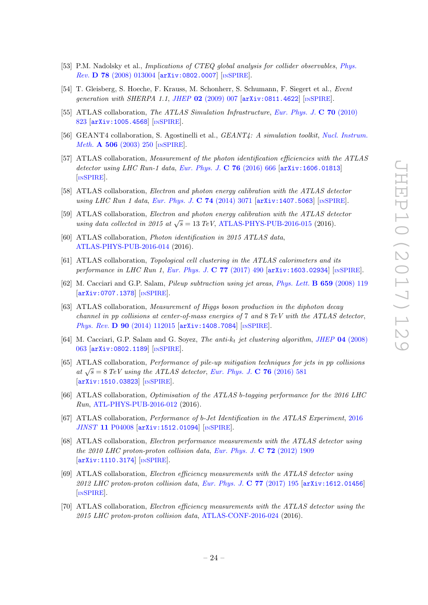- <span id="page-24-0"></span>[53] P.M. Nadolsky et al., *Implications of CTEQ global analysis for collider observables, [Phys.](https://doi.org/10.1103/PhysRevD.78.013004)* Rev. D 78 [\(2008\) 013004](https://doi.org/10.1103/PhysRevD.78.013004) [[arXiv:0802.0007](https://arxiv.org/abs/0802.0007)] [IN[SPIRE](https://inspirehep.net/search?p=find+EPRINT+arXiv:0802.0007)].
- <span id="page-24-1"></span>[54] T. Gleisberg, S. Hoeche, F. Krauss, M. Schonherr, S. Schumann, F. Siegert et al., Event generation with SHERPA 1.1, JHEP 02 [\(2009\) 007](https://doi.org/10.1088/1126-6708/2009/02/007)  $\left[$ [arXiv:0811.4622](https://arxiv.org/abs/0811.4622) $\right]$   $\left[$ IN[SPIRE](https://inspirehep.net/search?p=find+EPRINT+arXiv:0811.4622) $\right]$ .
- <span id="page-24-2"></span>[55] ATLAS collaboration, The ATLAS Simulation Infrastructure, [Eur. Phys. J.](https://doi.org/10.1140/epjc/s10052-010-1429-9) C 70 (2010) [823](https://doi.org/10.1140/epjc/s10052-010-1429-9) [[arXiv:1005.4568](https://arxiv.org/abs/1005.4568)] [IN[SPIRE](https://inspirehep.net/search?p=find+EPRINT+arXiv:1005.4568)].
- <span id="page-24-3"></span>[56] GEANT4 collaboration, S. Agostinelli et al., GEANT4: A simulation toolkit, [Nucl. Instrum.](https://doi.org/10.1016/S0168-9002(03)01368-8) Meth. A 506 [\(2003\) 250](https://doi.org/10.1016/S0168-9002(03)01368-8) [IN[SPIRE](https://inspirehep.net/search?p=find+J+%22Nucl.Instrum.Meth.,A506,250%22)].
- <span id="page-24-4"></span>[57] ATLAS collaboration, Measurement of the photon identification efficiencies with the ATLAS detector using LHC Run-1 data, [Eur. Phys. J.](https://doi.org/10.1140/epjc/s10052-016-4507-9) C 76 (2016) 666 [[arXiv:1606.01813](https://arxiv.org/abs/1606.01813)] [IN[SPIRE](https://inspirehep.net/search?p=find+EPRINT+arXiv:1606.01813)].
- <span id="page-24-5"></span>[58] ATLAS collaboration, Electron and photon energy calibration with the ATLAS detector using LHC Run 1 data, [Eur. Phys. J.](https://doi.org/10.1140/epjc/s10052-014-3071-4) C 74 (2014) 3071 [[arXiv:1407.5063](https://arxiv.org/abs/1407.5063)] [IN[SPIRE](https://inspirehep.net/search?p=find+EPRINT+arXiv:1407.5063)].
- <span id="page-24-6"></span>[59] ATLAS collaboration, Electron and photon energy calibration with the ATLAS detector using data collected in 2015 at  $\sqrt{s} = 13 \text{ TeV}$ , [ATLAS-PHYS-PUB-2016-015](https://cds.cern.ch/record/2203514) (2016).
- <span id="page-24-7"></span>[60] ATLAS collaboration, Photon identification in 2015 ATLAS data, [ATLAS-PHYS-PUB-2016-014](https://cdsweb.cern.ch/record/2203125) (2016).
- <span id="page-24-11"></span>[61] ATLAS collaboration, Topological cell clustering in the ATLAS calorimeters and its performance in LHC Run 1, [Eur. Phys. J.](https://doi.org/10.1140/epjc/s10052-017-5004-5) C 77 (2017) 490  $\left[$ [arXiv:1603.02934](https://arxiv.org/abs/1603.02934) $\right]$  [IN[SPIRE](https://inspirehep.net/search?p=find+EPRINT+arXiv:1603.02934)].
- <span id="page-24-8"></span>[62] M. Cacciari and G.P. Salam, Pileup subtraction using jet areas, [Phys. Lett.](https://doi.org/10.1016/j.physletb.2007.09.077) B 659 (2008) 119 [[arXiv:0707.1378](https://arxiv.org/abs/0707.1378)] [IN[SPIRE](https://inspirehep.net/search?p=find+EPRINT+arXiv:0707.1378)].
- <span id="page-24-9"></span>[63] ATLAS collaboration, Measurement of Higgs boson production in the diphoton decay channel in pp collisions at center-of-mass energies of 7 and 8 TeV with the ATLAS detector, Phys. Rev. D 90 [\(2014\) 112015](https://doi.org/10.1103/PhysRevD.90.112015) [[arXiv:1408.7084](https://arxiv.org/abs/1408.7084)] [IN[SPIRE](https://inspirehep.net/search?p=find+EPRINT+arXiv:1408.7084)].
- <span id="page-24-10"></span>[64] M. Cacciari, G.P. Salam and G. Soyez, The anti- $k_t$  jet clustering algorithm, JHEP 04 [\(2008\)](https://doi.org/10.1088/1126-6708/2008/04/063) [063](https://doi.org/10.1088/1126-6708/2008/04/063) [[arXiv:0802.1189](https://arxiv.org/abs/0802.1189)] [IN[SPIRE](https://inspirehep.net/search?p=find+EPRINT+arXiv:0802.1189)].
- <span id="page-24-12"></span>[65] ATLAS collaboration, Performance of pile-up mitigation techniques for jets in pp collisions at  $\sqrt{s} = 8$  TeV using the ATLAS detector, [Eur. Phys. J.](https://doi.org/10.1140/epjc/s10052-016-4395-z) C 76 (2016) 581 [[arXiv:1510.03823](https://arxiv.org/abs/1510.03823)] [IN[SPIRE](https://inspirehep.net/search?p=find+EPRINT+arXiv:1510.03823)].
- <span id="page-24-13"></span>[66] ATLAS collaboration, Optimisation of the ATLAS b-tagging performance for the 2016 LHC Run, [ATL-PHYS-PUB-2016-012](http://cds.cern.ch/record/2160731) (2016).
- <span id="page-24-14"></span>[67] ATLAS collaboration, Performance of b-Jet Identification in the ATLAS Experiment, [2016](https://doi.org/10.1088/1748-0221/11/04/P04008) JINST 11 [P04008](https://doi.org/10.1088/1748-0221/11/04/P04008) [[arXiv:1512.01094](https://arxiv.org/abs/1512.01094)] [IN[SPIRE](https://inspirehep.net/search?p=find+EPRINT+arXiv:1512.01094)].
- <span id="page-24-15"></span>[68] ATLAS collaboration, Electron performance measurements with the ATLAS detector using the 2010 LHC proton-proton collision data, [Eur. Phys. J.](https://doi.org/10.1140/epjc/s10052-012-1909-1)  $\bf{C}$  72 (2012) 1909 [[arXiv:1110.3174](https://arxiv.org/abs/1110.3174)] [IN[SPIRE](https://inspirehep.net/search?p=find+EPRINT+arXiv:1110.3174)].
- <span id="page-24-16"></span>[69] ATLAS collaboration, Electron efficiency measurements with the ATLAS detector using 2012 LHC proton-proton collision data, [Eur. Phys. J.](https://doi.org/10.1140/epjc/s10052-017-4756-2) C 77 (2017) 195 [[arXiv:1612.01456](https://arxiv.org/abs/1612.01456)] [IN[SPIRE](https://inspirehep.net/search?p=find+EPRINT+arXiv:1612.01456)].
- <span id="page-24-17"></span>[70] ATLAS collaboration, Electron efficiency measurements with the ATLAS detector using the 2015 LHC proton-proton collision data, [ATLAS-CONF-2016-024](http://cds.cern.ch/record/2157687) (2016).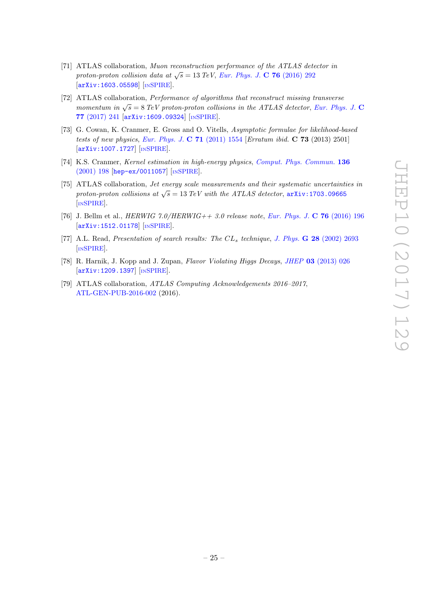- <span id="page-25-0"></span>[71] ATLAS collaboration, Muon reconstruction performance of the ATLAS detector in proton-proton collision data at  $\sqrt{s} = 13 \text{ TeV}$ , [Eur. Phys. J.](https://doi.org/10.1140/epjc/s10052-016-4120-y) C 76 (2016) 292 [[arXiv:1603.05598](https://arxiv.org/abs/1603.05598)] [IN[SPIRE](https://inspirehep.net/search?p=find+EPRINT+arXiv:1603.05598)].
- <span id="page-25-1"></span>[72] ATLAS collaboration, Performance of algorithms that reconstruct missing transverse momentum in  $\sqrt{s} = 8$  TeV proton-proton collisions in the ATLAS detector, [Eur. Phys. J.](https://doi.org/10.1140/epjc/s10052-017-4780-2) C 77 [\(2017\) 241](https://doi.org/10.1140/epjc/s10052-017-4780-2) [[arXiv:1609.09324](https://arxiv.org/abs/1609.09324)] [IN[SPIRE](https://inspirehep.net/search?p=find+EPRINT+arXiv:1609.09324)].
- <span id="page-25-2"></span>[73] G. Cowan, K. Cranmer, E. Gross and O. Vitells, Asymptotic formulae for likelihood-based tests of new physics, [Eur. Phys. J.](https://doi.org/10.1140/epjc/s10052-011-1554-0) C 71 (2011) 1554 [Erratum ibid. C 73 (2013) 2501] [[arXiv:1007.1727](https://arxiv.org/abs/1007.1727)] [IN[SPIRE](https://inspirehep.net/search?p=find+EPRINT+arXiv:1007.1727)].
- <span id="page-25-3"></span>[74] K.S. Cranmer, Kernel estimation in high-energy physics, [Comput. Phys. Commun.](https://doi.org/10.1016/S0010-4655(00)00243-5) 136 [\(2001\) 198](https://doi.org/10.1016/S0010-4655(00)00243-5) [[hep-ex/0011057](https://arxiv.org/abs/hep-ex/0011057)] [IN[SPIRE](https://inspirehep.net/search?p=find+EPRINT+hep-ex/0011057)].
- <span id="page-25-4"></span>[75] ATLAS collaboration, Jet energy scale measurements and their systematic uncertainties in proton-proton collisions at  $\sqrt{s} = 13 \text{ TeV}$  with the ATLAS detector,  $\ar{xiv:1703.09665}$ [IN[SPIRE](https://inspirehep.net/search?p=find+EPRINT+arXiv:1703.09665)].
- <span id="page-25-5"></span>[76] J. Bellm et al.,  $HERWIG 7.0/HERWIG++ 3.0$  release note, [Eur. Phys. J.](https://doi.org/10.1140/epjc/s10052-016-4018-8) C 76 (2016) 196 [[arXiv:1512.01178](https://arxiv.org/abs/1512.01178)] [IN[SPIRE](https://inspirehep.net/search?p=find+EPRINT+arXiv:1512.01178)].
- <span id="page-25-6"></span>[77] A.L. Read, Presentation of search results: The CL<sub>s</sub> technique, J. Phys. **G 28** [\(2002\) 2693](https://doi.org/10.1088/0954-3899/28/10/313) [IN[SPIRE](https://inspirehep.net/search?p=find+J+%22J.Phys.,G28,2693%22)].
- <span id="page-25-7"></span>[78] R. Harnik, J. Kopp and J. Zupan, Flavor Violating Higgs Decays, JHEP 03 [\(2013\) 026](https://doi.org/10.1007/JHEP03(2013)026) [[arXiv:1209.1397](https://arxiv.org/abs/1209.1397)] [IN[SPIRE](https://inspirehep.net/search?p=find+EPRINT+arXiv:1209.1397)].
- <span id="page-25-8"></span>[79] ATLAS collaboration, ATLAS Computing Acknowledgements 2016–2017, [ATL-GEN-PUB-2016-002](http://cds.cern.ch/record/2202407) (2016).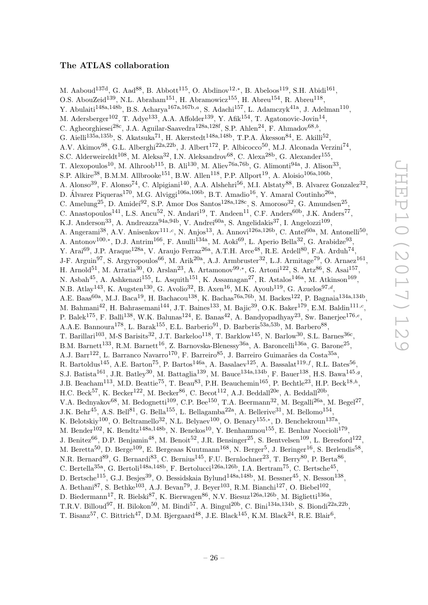# The ATLAS collaboration

<span id="page-26-0"></span>M. Aaboud<sup>137d</sup>, G. Aad<sup>88</sup>, B. Abbott<sup>115</sup>, O. Abdinov<sup>12,\*</sup>, B. Abeloos<sup>119</sup>, S.H. Abidi<sup>161</sup>, O.S. AbouZeid<sup>139</sup>, N.L. Abraham<sup>151</sup>, H. Abramowicz<sup>155</sup>, H. Abreu<sup>154</sup>, R. Abreu<sup>118</sup>, Y. Abulaiti<sup>148a,148b</sup>, B.S. Acharya<sup>167a,167b,a</sup>, S. Adachi<sup>157</sup>, L. Adamczyk<sup>41a</sup>, J. Adelman<sup>110</sup>, M. Adersberger<sup>102</sup>, T. Adye<sup>133</sup>, A.A. Affolder<sup>139</sup>, Y. Afik<sup>154</sup>, T. Agatonovic-Jovin<sup>14</sup>, C. Agheorghiesei<sup>28c</sup>, J.A. Aguilar-Saavedra<sup>128a,128f</sup>, S.P. Ahlen<sup>24</sup>, F. Ahmadov<sup>68,b</sup>, G. Aielli<sup>135a,135b</sup>, S. Akatsuka<sup>71</sup>, H. Akerstedt<sup>148a,148b</sup>, T.P.A. Åkesson<sup>84</sup>, E. Akilli<sup>52</sup>, A.V. Akimov<sup>98</sup>, G.L. Alberghi<sup>22a, 22b</sup>, J. Albert<sup>172</sup>, P. Albicocco<sup>50</sup>, M.J. Alconada Verzini<sup>74</sup>, S.C. Alderweireldt<sup>108</sup>, M. Aleksa<sup>32</sup>, I.N. Aleksandrov<sup>68</sup>, C. Alexa<sup>28b</sup>, G. Alexander<sup>155</sup>, T. Alexopoulos<sup>10</sup>, M. Alhroob<sup>115</sup>, B. Ali<sup>130</sup>, M. Aliev<sup>76a,76b</sup>, G. Alimonti<sup>94a</sup>, J. Alison<sup>33</sup>, S.P. Alkire<sup>38</sup>, B.M.M. Allbrooke<sup>151</sup>, B.W. Allen<sup>118</sup>, P.P. Allport<sup>19</sup>, A. Aloisio<sup>106a,106b</sup>, A. Alonso<sup>39</sup>, F. Alonso<sup>74</sup>, C. Alpigiani<sup>140</sup>, A.A. Alshehri<sup>56</sup>, M.I. Alstaty<sup>88</sup>, B. Alvarez Gonzalez<sup>32</sup>, D. Álvarez Piqueras<sup>170</sup>, M.G. Alviggi<sup>106a,106b</sup>, B.T. Amadio<sup>16</sup>, Y. Amaral Coutinho<sup>26a</sup>, C. Amelung<sup>25</sup>, D. Amidei<sup>92</sup>, S.P. Amor Dos Santos<sup>128a,128c</sup>, S. Amoroso<sup>32</sup>, G. Amundsen<sup>25</sup>, C. Anastopoulos<sup>141</sup>, L.S. Ancu<sup>52</sup>, N. Andari<sup>19</sup>, T. Andeen<sup>11</sup>, C.F. Anders<sup>60b</sup>, J.K. Anders<sup>77</sup>, K.J. Anderson<sup>33</sup>, A. Andreazza<sup>94a,94b</sup>, V. Andrei<sup>60a</sup>, S. Angelidakis<sup>37</sup>, I. Angelozzi<sup>109</sup>, A. Angerami<sup>38</sup>, A.V. Anisenkov<sup>111,c</sup>, N. Anjos<sup>13</sup>, A. Annovi<sup>126a,126b</sup>, C. Antel<sup>60a</sup>, M. Antonelli<sup>50</sup>, A. Antonov<sup>100,∗</sup>, D.J. Antrim<sup>166</sup>, F. Anulli<sup>134a</sup>, M. Aoki<sup>69</sup>, L. Aperio Bella<sup>32</sup>, G. Arabidze<sup>93</sup>, Y. Arai $^{69}$ , J.P. Araque $^{128a}$ , V. Araujo Ferraz $^{26a}$ , A.T.H. Arce $^{48}$ , R.E. Ardell $^{80}$ , F.A. Arduh $^{74}$ , J-F. Arguin<sup>97</sup>, S. Argyropoulos<sup>66</sup>, M. Arik<sup>20a</sup>, A.J. Armbruster<sup>32</sup>, L.J. Armitage<sup>79</sup>, O. Arnaez<sup>161</sup>, H. Arnold<sup>51</sup>, M. Arratia<sup>30</sup>, O. Arslan<sup>23</sup>, A. Artamonov<sup>99,\*</sup>, G. Artoni<sup>122</sup>, S. Artz<sup>86</sup>, S. Asai<sup>157</sup>, N. Asbah<sup>45</sup>, A. Ashkenazi<sup>155</sup>, L. Asquith<sup>151</sup>, K. Assamagan<sup>27</sup>, R. Astalos<sup>146a</sup>, M. Atkinson<sup>169</sup>, N.B. Atlay<sup>143</sup>, K. Augsten<sup>130</sup>, G. Avolio<sup>32</sup>, B. Axen<sup>16</sup>, M.K. Ayoub<sup>119</sup>, G. Azuelos<sup>97,d</sup>, A.E. Baas<sup>60a</sup>, M.J. Baca<sup>19</sup>, H. Bachacou<sup>138</sup>, K. Bachas<sup>76a,76b</sup>, M. Backes<sup>122</sup>, P. Bagnaia<sup>134a,134b</sup>, M. Bahmani<sup>42</sup>, H. Bahrasemani<sup>144</sup>, J.T. Baines<sup>133</sup>, M. Bajic<sup>39</sup>, O.K. Baker<sup>179</sup>, E.M. Baldin<sup>111,c</sup>, P. Balek<sup>175</sup>, F. Balli<sup>138</sup>, W.K. Balunas<sup>124</sup>, E. Banas<sup>42</sup>, A. Bandyopadhyay<sup>23</sup>, Sw. Banerjee<sup>176,e</sup>, A.A.E. Bannoura<sup>178</sup>, L. Barak<sup>155</sup>, E.L. Barberio<sup>91</sup>, D. Barberis<sup>53a,53b</sup>, M. Barbero<sup>88</sup>, T. Barillari<sup>103</sup>, M-S Barisits<sup>32</sup>, J.T. Barkeloo<sup>118</sup>, T. Barklow<sup>145</sup>, N. Barlow<sup>30</sup>, S.L. Barnes<sup>36c</sup>, B.M. Barnett<sup>133</sup>, R.M. Barnett<sup>16</sup>, Z. Barnovska-Blenessy<sup>36a</sup>, A. Baroncelli<sup>136a</sup>, G. Barone<sup>25</sup>, A.J. Barr<sup>122</sup>, L. Barranco Navarro<sup>170</sup>, F. Barreiro<sup>85</sup>, J. Barreiro Guimarães da Costa<sup>35a</sup>, R. Bartoldus<sup>145</sup>, A.E. Barton<sup>75</sup>, P. Bartos<sup>146a</sup>, A. Basalaev<sup>125</sup>, A. Bassalat<sup>119,f</sup>, R.L. Bates<sup>56</sup>, S.J. Batista<sup>161</sup>, J.R. Batley<sup>30</sup>, M. Battaglia<sup>139</sup>, M. Bauce<sup>134a,134b</sup>, F. Bauer<sup>138</sup>, H.S. Bawa<sup>145,9</sup>, J.B. Beacham<sup>113</sup>, M.D. Beattie<sup>75</sup>, T. Beau<sup>83</sup>, P.H. Beauchemin<sup>165</sup>, P. Bechtle<sup>23</sup>, H.P. Beck<sup>18,h</sup>, H.C. Beck<sup>57</sup>, K. Becker<sup>122</sup>, M. Becker<sup>86</sup>, C. Becot<sup>112</sup>, A.J. Beddall<sup>20e</sup>, A. Beddall<sup>20b</sup>, V.A. Bednyakov<sup>68</sup>, M. Bedognetti<sup>109</sup>, C.P. Bee<sup>150</sup>, T.A. Beermann<sup>32</sup>, M. Begalli<sup>26a</sup>, M. Begel<sup>27</sup>, J.K. Behr<sup>45</sup>, A.S. Bell<sup>81</sup>, G. Bella<sup>155</sup>, L. Bellagamba<sup>22a</sup>, A. Bellerive<sup>31</sup>, M. Bellomo<sup>154</sup>, K. Belotskiy<sup>100</sup>, O. Beltramello<sup>32</sup>, N.L. Belyaev<sup>100</sup>, O. Benary<sup>155,\*</sup>, D. Benchekroun<sup>137a</sup>, M. Bender<sup>102</sup>, K. Bendtz<sup>148a,148b</sup>, N. Benekos<sup>10</sup>, Y. Benhammou<sup>155</sup>, E. Benhar Noccioli<sup>179</sup>, J. Benitez<sup>66</sup>, D.P. Benjamin<sup>48</sup>, M. Benoit<sup>52</sup>, J.R. Bensinger<sup>25</sup>, S. Bentvelsen<sup>109</sup>, L. Beresford<sup>122</sup>, M. Beretta<sup>50</sup>, D. Berge<sup>109</sup>, E. Bergeaas Kuutmann<sup>168</sup>, N. Berger<sup>5</sup>, J. Beringer<sup>16</sup>, S. Berlendis<sup>58</sup>, N.R. Bernard<sup>89</sup>, G. Bernardi<sup>83</sup>, C. Bernius<sup>145</sup>, F.U. Bernlochner<sup>23</sup>, T. Berry<sup>80</sup>, P. Berta<sup>86</sup>, C. Bertella<sup>35a</sup>, G. Bertoli<sup>148a,148b</sup>, F. Bertolucci<sup>126a,126b</sup>, I.A. Bertram<sup>75</sup>, C. Bertsche<sup>45</sup>, D. Bertsche<sup>115</sup>, G.J. Besjes<sup>39</sup>, O. Bessidskaia Bylund<sup>148a,148b</sup>, M. Bessner<sup>45</sup>, N. Besson<sup>138</sup>, A. Bethani<sup>87</sup>, S. Bethke<sup>103</sup>, A.J. Bevan<sup>79</sup>, J. Beyer<sup>103</sup>, R.M. Bianchi<sup>127</sup>, O. Biebel<sup>102</sup>, D. Biedermann<sup>17</sup>, R. Bielski<sup>87</sup>, K. Bierwagen<sup>86</sup>, N.V. Biesuz<sup>126a, 126b</sup>, M. Biglietti<sup>136a</sup>, T.R.V. Billoud<sup>97</sup>, H. Bilokon<sup>50</sup>, M. Bindi<sup>57</sup>, A. Bingul<sup>20b</sup>, C. Bini<sup>134a,134b</sup>, S. Biondi<sup>22a,22b</sup>, T. Bisanz<sup>57</sup>, C. Bittrich<sup>47</sup>, D.M. Bjergaard<sup>48</sup>, J.E. Black<sup>145</sup>, K.M. Black<sup>24</sup>, R.E. Blair<sup>6</sup>,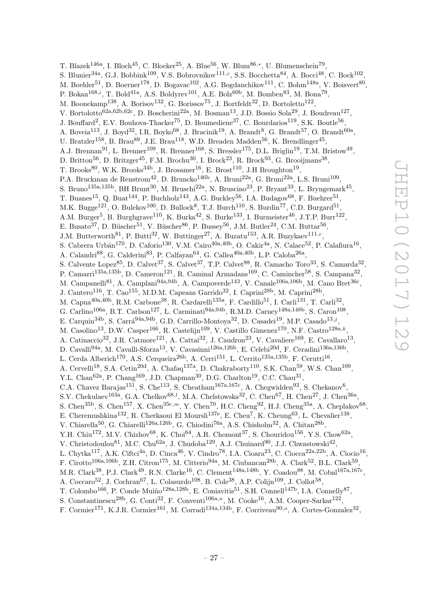T. Blazek<sup>146a</sup>, I. Bloch<sup>45</sup>, C. Blocker<sup>25</sup>, A. Blue<sup>56</sup>, W. Blum<sup>86,\*</sup>, U. Blumenschein<sup>79</sup>, S. Blunier<sup>34a</sup>, G.J. Bobbink<sup>109</sup>, V.S. Bobrovnikov<sup>111,c</sup>, S.S. Bocchetta<sup>84</sup>, A. Bocci<sup>48</sup>, C. Bock<sup>102</sup>, M. Boehler<sup>51</sup>, D. Boerner<sup>178</sup>, D. Bogavac<sup>102</sup>, A.G. Bogdanchikov<sup>111</sup>, C. Bohm<sup>148a</sup>, V. Boisvert<sup>80</sup>, P. Bokan<sup>168,i</sup>, T. Bold<sup>41a</sup>, A.S. Boldyrev<sup>101</sup>, A.E. Bolz<sup>60b</sup>, M. Bomben<sup>83</sup>, M. Bona<sup>79</sup>, M. Boonekamp<sup>138</sup>, A. Borisov<sup>132</sup>, G. Borissov<sup>75</sup>, J. Bortfeldt<sup>32</sup>, D. Bortoletto<sup>122</sup>, V. Bortolotto<sup>62a, 62b, 62c</sup>, D. Boscherini<sup>22a</sup>, M. Bosman<sup>13</sup>, J.D. Bossio Sola<sup>29</sup>, J. Boudreau<sup>127</sup>, J. Bouffard<sup>2</sup>, E.V. Bouhova-Thacker<sup>75</sup>, D. Boumediene<sup>37</sup>, C. Bourdarios<sup>119</sup>, S.K. Boutle<sup>56</sup>, A. Boveia<sup>113</sup>, J. Boyd<sup>32</sup>, I.R. Boyko<sup>68</sup>, J. Bracinik<sup>19</sup>, A. Brandt<sup>8</sup>, G. Brandt<sup>57</sup>, O. Brandt<sup>60a</sup>, U. Bratzler<sup>158</sup>, B. Brau<sup>89</sup>, J.E. Brau<sup>118</sup>, W.D. Breaden Madden<sup>56</sup>, K. Brendlinger<sup>45</sup>, A.J. Brennan<sup>91</sup>, L. Brenner<sup>109</sup>, R. Brenner<sup>168</sup>, S. Bressler<sup>175</sup>, D.L. Briglin<sup>19</sup>, T.M. Bristow<sup>49</sup>, D. Britton<sup>56</sup>, D. Britzger<sup>45</sup>, F.M. Brochu<sup>30</sup>, I. Brock<sup>23</sup>, R. Brock<sup>93</sup>, G. Brooijmans<sup>38</sup>, T. Brooks<sup>80</sup>, W.K. Brooks<sup>34b</sup>, J. Brosamer<sup>16</sup>, E. Brost<sup>110</sup>, J.H Broughton<sup>19</sup>, P.A. Bruckman de Renstrom<sup>42</sup>, D. Bruncko<sup>146b</sup>, A. Bruni<sup>22a</sup>, G. Bruni<sup>22a</sup>, L.S. Bruni<sup>109</sup>, S. Bruno<sup>135a,135b</sup>, BH Brunt<sup>30</sup>, M. Bruschi<sup>22a</sup>, N. Bruscino<sup>23</sup>, P. Bryant<sup>33</sup>, L. Bryngemark<sup>45</sup>, T. Buanes<sup>15</sup>, Q. Buat<sup>144</sup>, P. Buchholz<sup>143</sup>, A.G. Buckley<sup>56</sup>, I.A. Budagov<sup>68</sup>, F. Buehrer<sup>51</sup>, M.K. Bugge<sup>121</sup>, O. Bulekov<sup>100</sup>, D. Bullock<sup>8</sup>, T.J. Burch<sup>110</sup>, S. Burdin<sup>77</sup>, C.D. Burgard<sup>51</sup>, A.M. Burger<sup>5</sup>, B. Burghgrave<sup>110</sup>, K. Burka<sup>42</sup>, S. Burke<sup>133</sup>, I. Burmeister<sup>46</sup>, J.T.P. Burr<sup>122</sup>, E. Busato<sup>37</sup>, D. Büscher<sup>51</sup>, V. Büscher<sup>86</sup>, P. Bussey<sup>56</sup>, J.M. Butler<sup>24</sup>, C.M. Buttar<sup>56</sup>, J.M. Butterworth<sup>81</sup>, P. Butti<sup>32</sup>, W. Buttinger<sup>27</sup>, A. Buzatu<sup>153</sup>, A.R. Buzykaev<sup>111,*c*</sup>, S. Cabrera Urbán<sup>170</sup>, D. Caforio<sup>130</sup>, V.M. Cairo<sup>40a,40b</sup>, O. Cakir<sup>4a</sup>, N. Calace<sup>52</sup>, P. Calafiura<sup>16</sup>, A. Calandri<sup>88</sup>, G. Calderini<sup>83</sup>, P. Calfayan<sup>64</sup>, G. Callea<sup>40a,40b</sup>, L.P. Caloba<sup>26a</sup>, S. Calvente Lopez<sup>85</sup>, D. Calvet<sup>37</sup>, S. Calvet<sup>37</sup>, T.P. Calvet<sup>88</sup>, R. Camacho Toro<sup>33</sup>, S. Camarda<sup>32</sup>, P. Camarri<sup>135a,135b</sup>, D. Cameron<sup>121</sup>, R. Caminal Armadans<sup>169</sup>, C. Camincher<sup>58</sup>, S. Campana<sup>32</sup>, M. Campanelli<sup>81</sup>, A. Camplani<sup>94a,94b</sup>, A. Campoverde<sup>143</sup>, V. Canale<sup>106a,106b</sup>, M. Cano Bret<sup>36c</sup>, J. Cantero<sup>116</sup>, T. Cao<sup>155</sup>, M.D.M. Capeans Garrido<sup>32</sup>, I. Caprini<sup>28b</sup>, M. Caprini<sup>28b</sup>, M. Capua<sup>40a,40b</sup>, R.M. Carbone<sup>38</sup>, R. Cardarelli<sup>135a</sup>, F. Cardillo<sup>51</sup>, I. Carli<sup>131</sup>, T. Carli<sup>32</sup>, G. Carlino<sup>106a</sup>, B.T. Carlson<sup>127</sup>, L. Carminati<sup>94a,94b</sup>, R.M.D. Carney<sup>148a,148b</sup>, S. Caron<sup>108</sup>, E. Carquin<sup>34b</sup>, S. Carrá<sup>94a,94b</sup>, G.D. Carrillo-Montoya<sup>32</sup>, D. Casadei<sup>19</sup>, M.P. Casado<sup>13,j</sup>, M. Casolino<sup>13</sup>, D.W. Casper<sup>166</sup>, R. Castelijn<sup>109</sup>, V. Castillo Gimenez<sup>170</sup>, N.F. Castro<sup>128a,k</sup>, A. Catinaccio<sup>32</sup>, J.R. Catmore<sup>121</sup>, A. Cattai<sup>32</sup>, J. Caudron<sup>23</sup>, V. Cavaliere<sup>169</sup>, E. Cavallaro<sup>13</sup>, D. Cavalli<sup>94a</sup>, M. Cavalli-Sforza<sup>13</sup>, V. Cavasinni<sup>126a,126b</sup>, E. Celebi<sup>20d</sup>, F. Ceradini<sup>136a,136b</sup>, L. Cerda Alberich<sup>170</sup>, A.S. Cerqueira<sup>26b</sup>, A. Cerri<sup>151</sup>, L. Cerrito<sup>135a,135b</sup>, F. Cerutti<sup>16</sup>, A. Cervelli<sup>18</sup>, S.A. Cetin<sup>20d</sup>, A. Chafaq<sup>137a</sup>, D. Chakraborty<sup>110</sup>, S.K. Chan<sup>59</sup>, W.S. Chan<sup>109</sup>, Y.L. Chan<sup>62a</sup>, P. Chang<sup>169</sup>, J.D. Chapman<sup>30</sup>, D.G. Charlton<sup>19</sup>, C.C. Chau<sup>31</sup>, C.A. Chavez Barajas<sup>151</sup>, S. Che<sup>113</sup>, S. Cheatham<sup>167a,167c</sup>, A. Chegwidden<sup>93</sup>, S. Chekanov<sup>6</sup>, S.V. Chekulaev<sup>163a</sup>, G.A. Chelkov<sup>68,*l*</sup>, M.A. Chelstowska<sup>32</sup>, C. Chen<sup>67</sup>, H. Chen<sup>27</sup>, J. Chen<sup>36a</sup>, S. Chen<sup>35b</sup>, S. Chen<sup>157</sup>, X. Chen<sup>35c,m</sup>, Y. Chen<sup>70</sup>, H.C. Cheng<sup>92</sup>, H.J. Cheng<sup>35a</sup>, A. Cheplakov<sup>68</sup>, E. Cheremushkina<sup>132</sup>, R. Cherkaoui El Moursli<sup>137e</sup>, E. Cheu<sup>7</sup>, K. Cheung<sup>63</sup>, L. Chevalier<sup>138</sup>, V. Chiarella<sup>50</sup>, G. Chiarelli<sup>126a,126b</sup>, G. Chiodini<sup>76a</sup>, A.S. Chisholm<sup>32</sup>, A. Chitan<sup>28b</sup>, Y.H. Chiu<sup>172</sup>, M.V. Chizhov<sup>68</sup>, K. Choi<sup>64</sup>, A.R. Chomont<sup>37</sup>, S. Chouridou<sup>156</sup>, Y.S. Chow<sup>62a</sup>, V. Christodoulou<sup>81</sup>, M.C. Chu<sup>62a</sup>, J. Chudoba<sup>129</sup>, A.J. Chuinard<sup>90</sup>, J.J. Chwastowski<sup>42</sup>, L. Chytka<sup>117</sup>, A.K. Ciftci<sup>4a</sup>, D. Cinca<sup>46</sup>, V. Cindro<sup>78</sup>, I.A. Cioara<sup>23</sup>, C. Ciocca<sup>22a,22b</sup>, A. Ciocio<sup>16</sup>, F. Cirotto<sup>106a,106b</sup>, Z.H. Citron<sup>175</sup>, M. Citterio<sup>94a</sup>, M. Ciubancan<sup>28b</sup>, A. Clark<sup>52</sup>, B.L. Clark<sup>59</sup>, M.R. Clark<sup>38</sup>, P.J. Clark<sup>49</sup>, R.N. Clarke<sup>16</sup>, C. Clement<sup>148a,148b</sup>, Y. Coadou<sup>88</sup>, M. Cobal<sup>167a,167c</sup>, A. Coccaro<sup>52</sup>, J. Cochran<sup>67</sup>, L. Colasurdo<sup>108</sup>, B. Cole<sup>38</sup>, A.P. Colijn<sup>109</sup>, J. Collot<sup>58</sup>, T. Colombo<sup>166</sup>, P. Conde Muiño<sup>128a,128b</sup>, E. Coniavitis<sup>51</sup>, S.H. Connell<sup>147b</sup>, I.A. Connelly<sup>87</sup>, S. Constantinescu<sup>28b</sup>, G. Conti<sup>32</sup>, F. Conventi<sup>106a,n</sup>, M. Cooke<sup>16</sup>, A.M. Cooper-Sarkar<sup>122</sup>,

F. Cormier<sup>171</sup>, K.J.R. Cormier<sup>161</sup>, M. Corradi<sup>134a,134b</sup>, F. Corriveau<sup>90,o</sup>, A. Cortes-Gonzalez<sup>32</sup>,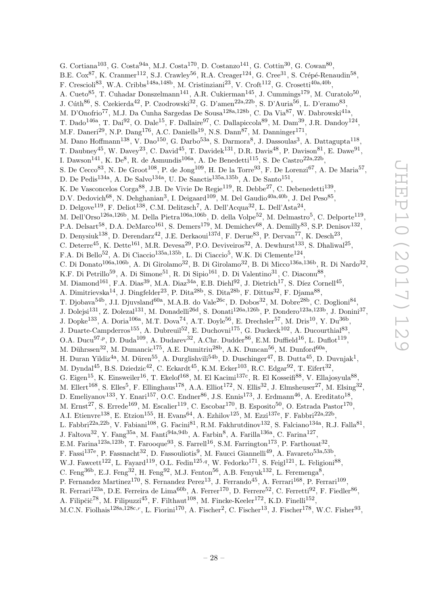G. Cortiana<sup>103</sup>, G. Costa<sup>94a</sup>, M.J. Costa<sup>170</sup>, D. Costanzo<sup>141</sup>, G. Cottin<sup>30</sup>, G. Cowan<sup>80</sup>, B.E. Cox<sup>87</sup>, K. Cranmer<sup>112</sup>, S.J. Crawley<sup>56</sup>, R.A. Creager<sup>124</sup>, G. Cree<sup>31</sup>, S. Crépé-Renaudin<sup>58</sup>, F. Crescioli<sup>83</sup>, W.A. Cribbs<sup>148a,148b</sup>, M. Cristinziani<sup>23</sup>, V. Croft<sup>112</sup>, G. Crosetti<sup>40a,40b</sup>, A. Cueto<sup>85</sup>, T. Cuhadar Donszelmann<sup>141</sup>, A.R. Cukierman<sup>145</sup>, J. Cummings<sup>179</sup>, M. Curatolo<sup>50</sup>, J. Cúth $^{86}$ , S. Czekierda<sup>42</sup>, P. Czodrowski<sup>32</sup>, G. D'amen<sup>22a,22b</sup>, S. D'Auria<sup>56</sup>, L. D'eramo<sup>83</sup>, M. D'Onofrio<sup>77</sup>, M.J. Da Cunha Sargedas De Sousa<sup>128a,128b</sup>, C. Da Via<sup>87</sup>, W. Dabrowski<sup>41a</sup>, T. Dado<sup>146a</sup>, T. Dai<sup>92</sup>, O. Dale<sup>15</sup>, F. Dallaire<sup>97</sup>, C. Dallapiccola<sup>89</sup>, M. Dam<sup>39</sup>, J.R. Dandoy<sup>124</sup>, M.F. Daneri<sup>29</sup>, N.P. Dang<sup>176</sup>, A.C. Daniells<sup>19</sup>, N.S. Dann<sup>87</sup>, M. Danninger<sup>171</sup>, M. Dano Hoffmann<sup>138</sup>, V. Dao<sup>150</sup>, G. Darbo<sup>53a</sup>, S. Darmora<sup>8</sup>, J. Dassoulas<sup>3</sup>, A. Dattagupta<sup>118</sup>, T. Daubney<sup>45</sup>, W. Davey<sup>23</sup>, C. David<sup>45</sup>, T. Davidek<sup>131</sup>, D.R. Davis<sup>48</sup>, P. Davison<sup>81</sup>, E. Dawe<sup>91</sup>, I. Dawson<sup>141</sup>, K. De<sup>8</sup>, R. de Asmundis<sup>106a</sup>, A. De Benedetti<sup>115</sup>, S. De Castro<sup>22a,22b</sup>, S. De Cecco<sup>83</sup>, N. De Groot<sup>108</sup>, P. de Jong<sup>109</sup>, H. De la Torre<sup>93</sup>, F. De Lorenzi<sup>67</sup>, A. De Maria<sup>57</sup>, D. De Pedis<sup>134a</sup>, A. De Salvo<sup>134a</sup>, U. De Sanctis<sup>135a,135b</sup>, A. De Santo<sup>151</sup>, K. De Vasconcelos Corga<sup>88</sup>, J.B. De Vivie De Regie<sup>119</sup>, R. Debbe<sup>27</sup>, C. Debenedetti<sup>139</sup>, D.V. Dedovich<sup>68</sup>, N. Dehghanian<sup>3</sup>, I. Deigaard<sup>109</sup>, M. Del Gaudio<sup>40a,40b</sup>, J. Del Peso<sup>85</sup>, D. Delgove $^{119}$ , F. Deliot $^{138}$ , C.M. Delitzsch<sup>7</sup>, A. Dell'Acqua $^{32}$ , L. Dell'Asta $^{24}$ , M. Dell'Orso<sup>126a,126b</sup>, M. Della Pietra<sup>106a,106b</sup>, D. della Volpe<sup>52</sup>, M. Delmastro<sup>5</sup>, C. Delporte<sup>119</sup>, P.A. Delsart<sup>58</sup>, D.A. DeMarco<sup>161</sup>, S. Demers<sup>179</sup>, M. Demichev<sup>68</sup>, A. Demilly<sup>83</sup>, S.P. Denisov<sup>132</sup>, D. Denysiuk<sup>138</sup>, D. Derendarz<sup>42</sup>, J.E. Derkaoui<sup>137d</sup>, F. Derue<sup>83</sup>, P. Dervan<sup>77</sup>, K. Desch<sup>23</sup>, C. Deterre<sup>45</sup>, K. Dette<sup>161</sup>, M.R. Devesa<sup>29</sup>, P.O. Deviveiros<sup>32</sup>, A. Dewhurst<sup>133</sup>, S. Dhaliwal<sup>25</sup>, F.A. Di Bello<sup>52</sup>, A. Di Ciaccio<sup>135a,135b</sup>, L. Di Ciaccio<sup>5</sup>, W.K. Di Clemente<sup>124</sup>, C. Di Donato<sup>106a,106b</sup>, A. Di Girolamo<sup>32</sup>, B. Di Girolamo<sup>32</sup>, B. Di Micco<sup>136a,136b</sup>, R. Di Nardo<sup>32</sup>, K.F. Di Petrillo<sup>59</sup>, A. Di Simone<sup>51</sup>, R. Di Sipio<sup>161</sup>, D. Di Valentino<sup>31</sup>, C. Diaconu<sup>88</sup>, M. Diamond<sup>161</sup>, F.A. Dias<sup>39</sup>, M.A. Diaz<sup>34a</sup>, E.B. Diehl<sup>92</sup>, J. Dietrich<sup>17</sup>, S. Díez Cornell<sup>45</sup>, A. Dimitrievska<sup>14</sup>, J. Dingfelder<sup>23</sup>, P. Dita<sup>28b</sup>, S. Dita<sup>28b</sup>, F. Dittus<sup>32</sup>, F. Djama<sup>88</sup>, T. Djobava<sup>54b</sup>, J.I. Djuvsland<sup>60a</sup>, M.A.B. do Vale<sup>26c</sup>, D. Dobos<sup>32</sup>, M. Dobre<sup>28b</sup>, C. Doglioni<sup>84</sup>, J. Dolejsi<sup>131</sup>, Z. Dolezal<sup>131</sup>, M. Donadelli<sup>26d</sup>, S. Donati<sup>126a,126b</sup>, P. Dondero<sup>123a,123b</sup>, J. Donini<sup>37</sup>, J. Dopke<sup>133</sup>, A. Doria<sup>106a</sup>, M.T. Dova<sup>74</sup>, A.T. Doyle<sup>56</sup>, E. Drechsler<sup>57</sup>, M. Dris<sup>10</sup>, Y. Du<sup>36b</sup>, J. Duarte-Campderros<sup>155</sup>, A. Dubreuil<sup>52</sup>, E. Duchovni<sup>175</sup>, G. Duckeck<sup>102</sup>, A. Ducourthial<sup>83</sup>, O.A. Ducu<sup>97, p</sup>, D. Duda<sup>109</sup>, A. Dudarev<sup>32</sup>, A.Chr. Dudder<sup>86</sup>, E.M. Duffield<sup>16</sup>, L. Duflot<sup>119</sup>, M. Dührssen<sup>32</sup>, M. Dumancic<sup>175</sup>, A.E. Dumitriu<sup>28b</sup>, A.K. Duncan<sup>56</sup>, M. Dunford<sup>60a</sup>, H. Duran Yildiz<sup>4a</sup>, M. Düren<sup>55</sup>, A. Durglishvili<sup>54b</sup>, D. Duschinger<sup>47</sup>, B. Dutta<sup>45</sup>, D. Duvnjak<sup>1</sup>, M. Dyndal<sup>45</sup>, B.S. Dziedzic<sup>42</sup>, C. Eckardt<sup>45</sup>, K.M. Ecker<sup>103</sup>, R.C. Edgar<sup>92</sup>, T. Eifert<sup>32</sup>, G. Eigen<sup>15</sup>, K. Einsweiler<sup>16</sup>, T. Ekelof<sup>168</sup>, M. El Kacimi<sup>137c</sup>, R. El Kosseifi<sup>88</sup>, V. Ellajosyula<sup>88</sup>, M. Ellert<sup>168</sup>, S. Elles<sup>5</sup>, F. Ellinghaus<sup>178</sup>, A.A. Elliot<sup>172</sup>, N. Ellis<sup>32</sup>, J. Elmsheuser<sup>27</sup>, M. Elsing<sup>32</sup>, D. Emeliyanov<sup>133</sup>, Y. Enari<sup>157</sup>, O.C. Endner<sup>86</sup>, J.S. Ennis<sup>173</sup>, J. Erdmann<sup>46</sup>, A. Ereditato<sup>18</sup>, M. Ernst<sup>27</sup>, S. Errede<sup>169</sup>, M. Escalier<sup>119</sup>, C. Escobar<sup>170</sup>, B. Esposito<sup>50</sup>, O. Estrada Pastor<sup>170</sup>, A.I. Etienvre<sup>138</sup>, E. Etzion<sup>155</sup>, H. Evans<sup>64</sup>, A. Ezhilov<sup>125</sup>, M. Ezzi<sup>137e</sup>, F. Fabbri<sup>22a,22b</sup>, L. Fabbri $^{22a,22b}$ , V. Fabiani $^{108}$ , G. Facini $^{81}$ , R.M. Fakhrutdinov $^{132}$ , S. Falciano $^{134a}$ , R.J. Falla $^{81}$ , J. Faltova<sup>32</sup>, Y. Fang<sup>35a</sup>, M. Fanti<sup>94a,94b</sup>, A. Farbin<sup>8</sup>, A. Farilla<sup>136a</sup>, C. Farina<sup>127</sup>, E.M. Farina<sup>123a,123b</sup>, T. Farooque<sup>93</sup>, S. Farrell<sup>16</sup>, S.M. Farrington<sup>173</sup>, P. Farthouat<sup>32</sup>, F. Fassi<sup>137e</sup>, P. Fassnacht<sup>32</sup>, D. Fassouliotis<sup>9</sup>, M. Faucci Giannelli<sup>49</sup>, A. Favareto<sup>53a,53b</sup>, W.J. Fawcett<sup>122</sup>, L. Fayard<sup>119</sup>, O.L. Fedin<sup>125,q</sup>, W. Fedorko<sup>171</sup>, S. Feigl<sup>121</sup>, L. Feligioni<sup>88</sup>, C. Feng<sup>36b</sup>, E.J. Feng<sup>32</sup>, H. Feng<sup>92</sup>, M.J. Fenton<sup>56</sup>, A.B. Fenyuk<sup>132</sup>, L. Feremenga<sup>8</sup>, P. Fernandez Martinez<sup>170</sup>, S. Fernandez Perez<sup>13</sup>, J. Ferrando<sup>45</sup>, A. Ferrari<sup>168</sup>, P. Ferrari<sup>109</sup>, R. Ferrari<sup>123a</sup>, D.E. Ferreira de Lima<sup>60b</sup>, A. Ferrer<sup>170</sup>, D. Ferrere<sup>52</sup>, C. Ferretti<sup>92</sup>, F. Fiedler<sup>86</sup>, A. Filipčič<sup>78</sup>, M. Filipuzzi<sup>45</sup>, F. Filthaut<sup>108</sup>, M. Fincke-Keeler<sup>172</sup>, K.D. Finelli<sup>152</sup>,

M.C.N. Fiolhais<sup>128a,128c,r</sup>, L. Fiorini<sup>170</sup>, A. Fischer<sup>2</sup>, C. Fischer<sup>13</sup>, J. Fischer<sup>178</sup>, W.C. Fisher<sup>93</sup>,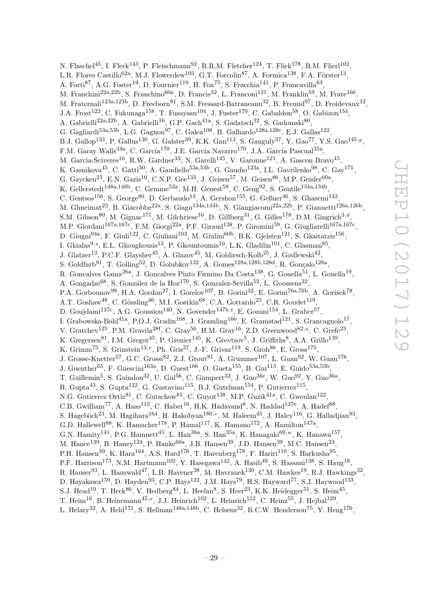N. Flaschel<sup>45</sup>, I. Fleck<sup>143</sup>, P. Fleischmann<sup>92</sup>, R.R.M. Fletcher<sup>124</sup>, T. Flick<sup>178</sup>, B.M. Flierl<sup>102</sup>, L.R. Flores Castillo<sup>62a</sup>, M.J. Flowerdew<sup>103</sup>, G.T. Forcolin<sup>87</sup>, A. Formica<sup>138</sup>, F.A. Förster<sup>13</sup>, A. Forti<sup>87</sup>, A.G. Foster<sup>19</sup>, D. Fournier<sup>119</sup>, H. Fox<sup>75</sup>, S. Fracchia<sup>141</sup>, P. Francavilla<sup>83</sup>, M. Franchini $^{22a,22b}$ , S. Franchino $^{60a}$ , D. Francis $^{32}$ , L. Franconi $^{121}$ , M. Franklin $^{59}$ , M. Frate $^{166}$ , M. Fraternali<sup>123a,123b</sup>, D. Freeborn<sup>81</sup>, S.M. Fressard-Batraneanu<sup>32</sup>, B. Freund<sup>97</sup>, D. Froidevaux<sup>32</sup>, J.A. Frost<sup>122</sup>, C. Fukunaga<sup>158</sup>, T. Fusayasu<sup>104</sup>, J. Fuster<sup>170</sup>, C. Gabaldon<sup>58</sup>, O. Gabizon<sup>154</sup>, A. Gabrielli<sup>22a,22b</sup>, A. Gabrielli<sup>16</sup>, G.P. Gach<sup>41a</sup>, S. Gadatsch<sup>32</sup>, S. Gadomski<sup>80</sup>, G. Gagliardi<sup>53a,53b</sup>, L.G. Gagnon<sup>97</sup>, C. Galea<sup>108</sup>, B. Galhardo<sup>128a,128c</sup>, E.J. Gallas<sup>122</sup>, B.J. Gallop<sup>133</sup>, P. Gallus<sup>130</sup>, G. Galster<sup>39</sup>, K.K. Gan<sup>113</sup>, S. Ganguly<sup>37</sup>, Y. Gao<sup>77</sup>, Y.S. Gao<sup>145,9</sup>, F.M. Garay Walls<sup>34a</sup>, C. García<sup>170</sup>, J.E. García Navarro<sup>170</sup>, J.A. García Pascual<sup>35a</sup>, M. Garcia-Sciveres<sup>16</sup>, R.W. Gardner<sup>33</sup>, N. Garelli<sup>145</sup>, V. Garonne<sup>121</sup>, A. Gascon Bravo<sup>45</sup>, K. Gasnikova<sup>45</sup>, C. Gatti<sup>50</sup>, A. Gaudiello<sup>53a,53b</sup>, G. Gaudio<sup>123a</sup>, I.L. Gavrilenko<sup>98</sup>, C. Gay<sup>171</sup>, G. Gaycken<sup>23</sup>, E.N. Gazis<sup>10</sup>, C.N.P. Gee<sup>133</sup>, J. Geisen<sup>57</sup>, M. Geisen<sup>86</sup>, M.P. Geisler<sup>60a</sup>, K. Gellerstedt<sup>148a,148b</sup>, C. Gemme<sup>53a</sup>, M.H. Genest<sup>58</sup>, C. Geng<sup>92</sup>, S. Gentile<sup>134a,134b</sup>, C. Gentsos<sup>156</sup>, S. George<sup>80</sup>, D. Gerbaudo<sup>13</sup>, A. Gershon<sup>155</sup>, G. Geßner<sup>46</sup>, S. Ghasemi<sup>143</sup>, M. Ghneimat<sup>23</sup>, B. Giacobbe<sup>22a</sup>, S. Giagu<sup>134a,134b</sup>, N. Giangiacomi<sup>22a,22b</sup>, P. Giannetti<sup>126a,126b</sup>, S.M. Gibson<sup>80</sup>, M. Gignac<sup>171</sup>, M. Gilchriese<sup>16</sup>, D. Gillberg<sup>31</sup>, G. Gilles<sup>178</sup>, D.M. Gingrich<sup>3,d</sup>, M.P. Giordani<sup>167a,167c</sup>, F.M. Giorgi<sup>22a</sup>, P.F. Giraud<sup>138</sup>, P. Giromini<sup>59</sup>, G. Giugliarelli<sup>167a,167c</sup>, D. Giugni<sup>94a</sup>, F. Giuli<sup>122</sup>, C. Giuliani<sup>103</sup>, M. Giulini<sup>60b</sup>, B.K. Gjelsten<sup>121</sup>, S. Gkaitatzis<sup>156</sup>, I. Gkialas<sup>9,s</sup>, E.L. Gkougkousis<sup>13</sup>, P. Gkountoumis<sup>10</sup>, L.K. Gladilin<sup>101</sup>, C. Glasman<sup>85</sup>, J. Glatzer<sup>13</sup>, P.C.F. Glaysher<sup>45</sup>, A. Glazov<sup>45</sup>, M. Goblirsch-Kolb<sup>25</sup>, J. Godlewski<sup>42</sup>, S. Goldfarb<sup>91</sup>, T. Golling<sup>52</sup>, D. Golubkov<sup>132</sup>, A. Gomes<sup>128a,128b,128d</sup>, R. Gonçalo<sup>128a</sup>, R. Goncalves Gama<sup>26a</sup>, J. Goncalves Pinto Firmino Da Costa<sup>138</sup>, G. Gonella<sup>51</sup>, L. Gonella<sup>19</sup>, A. Gongadze $^{68}$ , S. González de la Hoz<sup>170</sup>, S. Gonzalez-Sevilla<sup>52</sup>, L. Goossens<sup>32</sup>, P.A. Gorbounov<sup>99</sup>, H.A. Gordon<sup>27</sup>, I. Gorelov<sup>107</sup>, B. Gorini<sup>32</sup>, E. Gorini<sup>76a,76b</sup>, A. Gorišek<sup>78</sup>, A.T. Goshaw<sup>48</sup>, C. Gössling<sup>46</sup>, M.I. Gostkin<sup>68</sup>, C.A. Gottardo<sup>23</sup>, C.R. Goudet<sup>119</sup>, D. Goujdami<sup>137c</sup>, A.G. Goussiou<sup>140</sup>, N. Govender<sup>147b,t</sup>, E. Gozani<sup>154</sup>, L. Graber<sup>57</sup>, I. Grabowska-Bold<sup>41a</sup>, P.O.J. Gradin<sup>168</sup>, J. Gramling<sup>166</sup>, E. Gramstad<sup>121</sup>, S. Grancagnolo<sup>17</sup>, V. Gratchev<sup>125</sup>, P.M. Gravila<sup>28f</sup>, C. Gray<sup>56</sup>, H.M. Gray<sup>16</sup>, Z.D. Greenwood<sup>82,*u*</sup>, C. Grefe<sup>23</sup>, K. Gregersen $^{81}$ , I.M. Gregor<sup>45</sup>, P. Grenier<sup>145</sup>, K. Grevtsov<sup>5</sup>, J. Griffiths<sup>8</sup>, A.A. Grillo<sup>139</sup>, K. Grimm<sup>75</sup>, S. Grinstein<sup>13,</sup><sup>v</sup>, Ph. Gris<sup>37</sup>, J.-F. Grivaz<sup>119</sup>, S. Groh<sup>86</sup>, E. Gross<sup>175</sup>, J. Grosse-Knetter<sup>57</sup>, G.C. Grossi<sup>82</sup>, Z.J. Grout<sup>81</sup>, A. Grummer<sup>107</sup>, L. Guan<sup>92</sup>, W. Guan<sup>176</sup>, J. Guenther<sup>65</sup>, F. Guescini<sup>163a</sup>, D. Guest<sup>166</sup>, O. Gueta<sup>155</sup>, B. Gui<sup>113</sup>, E. Guido<sup>53a,53b</sup>, T. Guillemin<sup>5</sup>, S. Guindon<sup>32</sup>, U. Gul<sup>56</sup>, C. Gumpert<sup>32</sup>, J. Guo<sup>36c</sup>, W. Guo<sup>92</sup>, Y. Guo<sup>36a</sup>, R. Gupta<sup>43</sup>, S. Gupta<sup>122</sup>, G. Gustavino<sup>115</sup>, B.J. Gutelman<sup>154</sup>, P. Gutierrez<sup>115</sup>, N.G. Gutierrez Ortiz<sup>81</sup>, C. Gutschow<sup>81</sup>, C. Guyot<sup>138</sup>, M.P. Guzik<sup>41a</sup>, C. Gwenlan<sup>122</sup>, C.B. Gwilliam<sup>77</sup>, A. Haas<sup>112</sup>, C. Haber<sup>16</sup>, H.K. Hadavand<sup>8</sup>, N. Haddad<sup>137e</sup>, A. Hader<sup>88</sup>, S. Hageböck<sup>23</sup>, M. Hagihara<sup>164</sup>, H. Hakobyan<sup>180,\*</sup>, M. Haleem<sup>45</sup>, J. Haley<sup>116</sup>, G. Halladjian<sup>93</sup>, G.D. Hallewell<sup>88</sup>, K. Hamacher<sup>178</sup>, P. Hamal<sup>117</sup>, K. Hamano<sup>172</sup>, A. Hamilton<sup>147a</sup>, G.N. Hamity<sup>141</sup>, P.G. Hamnett<sup>45</sup>, L. Han<sup>36a</sup>, S. Han<sup>35a</sup>, K. Hanagaki<sup>69, $w$ </sup>, K. Hanawa<sup>157</sup>, M. Hance<sup>139</sup>, B. Haney<sup>124</sup>, P. Hanke<sup>60a</sup>, J.B. Hansen<sup>39</sup>, J.D. Hansen<sup>39</sup>, M.C. Hansen<sup>23</sup>, P.H. Hansen<sup>39</sup>, K. Hara<sup>164</sup>, A.S. Hard<sup>176</sup>, T. Harenberg<sup>178</sup>, F. Hariri<sup>119</sup>, S. Harkusha<sup>95</sup>, P.F. Harrison<sup>173</sup>, N.M. Hartmann<sup>102</sup>, Y. Hasegawa<sup>142</sup>, A. Hasib<sup>49</sup>, S. Hassani<sup>138</sup>, S. Haug<sup>18</sup>, R. Hauser<sup>93</sup>, L. Hauswald<sup>47</sup>, L.B. Havener<sup>38</sup>, M. Havranek<sup>130</sup>, C.M. Hawkes<sup>19</sup>, R.J. Hawkings<sup>32</sup>, D. Hayakawa<sup>159</sup>, D. Hayden<sup>93</sup>, C.P. Hays<sup>122</sup>, J.M. Hays<sup>79</sup>, H.S. Hayward<sup>77</sup>, S.J. Haywood<sup>133</sup>, S.J. Head<sup>19</sup>, T. Heck<sup>86</sup>, V. Hedberg<sup>84</sup>, L. Heelan<sup>8</sup>, S. Heer<sup>23</sup>, K.K. Heidegger<sup>51</sup>, S. Heim<sup>45</sup>, T. Heim<sup>16</sup>, B. Heinemann<sup>45,x</sup>, J.J. Heinrich<sup>102</sup>, L. Heinrich<sup>112</sup>, C. Heinz<sup>55</sup>, J. Hejbal<sup>129</sup>,

L. Helary<sup>32</sup>, A. Held<sup>171</sup>, S. Hellman<sup>148a,148b</sup>, C. Helsens<sup>32</sup>, R.C.W. Henderson<sup>75</sup>, Y. Heng<sup>176</sup>,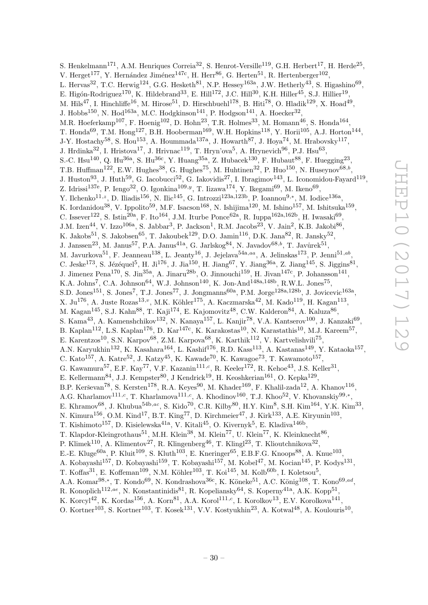S. Henkelmann<sup>171</sup>, A.M. Henriques Correia<sup>32</sup>, S. Henrot-Versille<sup>119</sup>, G.H. Herbert<sup>17</sup>, H. Herde<sup>25</sup>, V. Herget<sup>177</sup>, Y. Hernández Jiménez<sup>147c</sup>, H. Herr<sup>86</sup>, G. Herten<sup>51</sup>, R. Hertenberger<sup>102</sup>, L. Hervas<sup>32</sup>, T.C. Herwig<sup>124</sup>, G.G. Hesketh<sup>81</sup>, N.P. Hessey<sup>163a</sup>, J.W. Hetherly<sup>43</sup>, S. Higashino<sup>69</sup>, E. Higón-Rodriguez<sup>170</sup>, K. Hildebrand<sup>33</sup>, E. Hill<sup>172</sup>, J.C. Hill<sup>30</sup>, K.H. Hiller<sup>45</sup>, S.J. Hillier<sup>19</sup>, M. Hils<sup>47</sup>, I. Hinchliffe<sup>16</sup>, M. Hirose<sup>51</sup>, D. Hirschbuehl<sup>178</sup>, B. Hiti<sup>78</sup>, O. Hladik<sup>129</sup>, X. Hoad<sup>49</sup>, J. Hobbs<sup>150</sup>, N. Hod<sup>163a</sup>, M.C. Hodgkinson<sup>141</sup>, P. Hodgson<sup>141</sup>, A. Hoecker<sup>32</sup>, M.R. Hoeferkamp<sup>107</sup>, F. Hoenig<sup>102</sup>, D. Hohn<sup>23</sup>, T.R. Holmes<sup>33</sup>, M. Homann<sup>46</sup>, S. Honda<sup>164</sup>, T. Honda<sup>69</sup>, T.M. Hong<sup>127</sup>, B.H. Hooberman<sup>169</sup>, W.H. Hopkins<sup>118</sup>, Y. Horii<sup>105</sup>, A.J. Horton<sup>144</sup>, J-Y. Hostachy<sup>58</sup>, S. Hou<sup>153</sup>, A. Hoummada<sup>137a</sup>, J. Howarth<sup>87</sup>, J. Hoya<sup>74</sup>, M. Hrabovsky<sup>117</sup>, J. Hrdinka<sup>32</sup>, I. Hristova<sup>17</sup>, J. Hrivnac<sup>119</sup>, T. Hryn'ova<sup>5</sup>, A. Hrynevich<sup>96</sup>, P.J. Hsu<sup>63</sup>, S.-C. Hsu<sup>140</sup>, Q. Hu<sup>36a</sup>, S. Hu<sup>36c</sup>, Y. Huang<sup>35a</sup>, Z. Hubacek<sup>130</sup>, F. Hubaut<sup>88</sup>, F. Huegging<sup>23</sup>, T.B. Huffman<sup>122</sup>, E.W. Hughes<sup>38</sup>, G. Hughes<sup>75</sup>, M. Huhtinen<sup>32</sup>, P. Huo<sup>150</sup>, N. Huseynov<sup>68,b</sup>, J. Huston<sup>93</sup>, J. Huth<sup>59</sup>, G. Iacobucci<sup>52</sup>, G. Iakovidis<sup>27</sup>, I. Ibragimov<sup>143</sup>, L. Iconomidou-Fayard<sup>119</sup>, Z. Idrissi<sup>137e</sup>, P. Iengo<sup>32</sup>, O. Igonkina<sup>109,y</sup>, T. Iizawa<sup>174</sup>, Y. Ikegami<sup>69</sup>, M. Ikeno<sup>69</sup>, Y. Ilchenko<sup>11,z</sup>, D. Iliadis<sup>156</sup>, N. Ilic<sup>145</sup>, G. Introzzi<sup>123a,123b</sup>, P. Ioannou<sup>9,\*</sup>, M. Iodice<sup>136a</sup>, K. Iordanidou $^{38}$ , V. Ippolito $^{59}$ , M.F. Isacson $^{168}$ , N. Ishijima $^{120}$ , M. Ishino $^{157}$ , M. Ishitsuka $^{159}$ , C. Issever<sup>122</sup>, S. Istin<sup>20a</sup>, F. Ito<sup>164</sup>, J.M. Iturbe Ponce<sup>62a</sup>, R. Iuppa<sup>162a,162b</sup>, H. Iwasaki<sup>69</sup>, J.M. Izen<sup>44</sup>, V. Izzo<sup>106a</sup>, S. Jabbar<sup>3</sup>, P. Jackson<sup>1</sup>, R.M. Jacobs<sup>23</sup>, V. Jain<sup>2</sup>, K.B. Jakobi<sup>86</sup>, K. Jakobs<sup>51</sup>, S. Jakobsen<sup>65</sup>, T. Jakoubek<sup>129</sup>, D.O. Jamin<sup>116</sup>, D.K. Jana<sup>82</sup>, R. Jansky<sup>52</sup>, J. Janssen<sup>23</sup>, M. Janus<sup>57</sup>, P.A. Janus<sup>41a</sup>, G. Jarlskog<sup>84</sup>, N. Javadov<sup>68,b</sup>, T. Javůrek<sup>51</sup>, M. Javurkova $^{51}$ , F. Jeanneau $^{138}$ , L. Jeanty $^{16}$ , J. Jejelava $^{54a,aa}$ , A. Jelinskas $^{173}$ , P. Jenni $^{51,ab}$ , C. Jeske<sup>173</sup>, S. Jézéquel<sup>5</sup>, H. Ji<sup>176</sup>, J. Jia<sup>150</sup>, H. Jiang<sup>67</sup>, Y. Jiang<sup>36a</sup>, Z. Jiang<sup>145</sup>, S. Jiggins<sup>81</sup>, J. Jimenez Pena<sup>170</sup>, S. Jin<sup>35a</sup>, A. Jinaru<sup>28b</sup>, O. Jinnouchi<sup>159</sup>, H. Jivan<sup>147c</sup>, P. Johansson<sup>141</sup>, K.A. Johns<sup>7</sup>, C.A. Johnson<sup>64</sup>, W.J. Johnson<sup>140</sup>, K. Jon-And<sup>148a,148b</sup>, R.W.L. Jones<sup>75</sup>, S.D. Jones<sup>151</sup>, S. Jones<sup>7</sup>, T.J. Jones<sup>77</sup>, J. Jongmanns<sup>60a</sup>, P.M. Jorge<sup>128a,128b</sup>, J. Jovicevic<sup>163a</sup>, X. Ju<sup>176</sup>, A. Juste Rozas<sup>13,</sup><sup>v</sup>, M.K. Köhler<sup>175</sup>, A. Kaczmarska<sup>42</sup>, M. Kado<sup>119</sup>, H. Kagan<sup>113</sup>, M. Kagan $^{145}$ , S.J. Kahn $^{88}$ , T. Kaji $^{174}$ , E. Kajomovitz $^{48}$ , C.W. Kalderon $^{84}$ , A. Kaluza $^{86}$ , S. Kama $^{43}$ , A. Kamenshchikov $^{132}$ , N. Kanaya $^{157}$ , L. Kanjir $^{78}$ , V.A. Kantserov $^{100}$ , J. Kanzaki $^{69}$ , B. Kaplan<sup>112</sup>, L.S. Kaplan<sup>176</sup>, D. Kar<sup>147c</sup>, K. Karakostas<sup>10</sup>, N. Karastathis<sup>10</sup>, M.J. Kareem<sup>57</sup>, E. Karentzos<sup>10</sup>, S.N. Karpov<sup>68</sup>, Z.M. Karpova<sup>68</sup>, K. Karthik<sup>112</sup>, V. Kartvelishvili<sup>75</sup>, A.N. Karyukhin<sup>132</sup>, K. Kasahara<sup>164</sup>, L. Kashif<sup>176</sup>, R.D. Kass<sup>113</sup>, A. Kastanas<sup>149</sup>, Y. Kataoka<sup>157</sup>, C. Kato<sup>157</sup>, A. Katre<sup>52</sup>, J. Katzy<sup>45</sup>, K. Kawade<sup>70</sup>, K. Kawagoe<sup>73</sup>, T. Kawamoto<sup>157</sup>, G. Kawamura<sup>57</sup>, E.F. Kay<sup>77</sup>, V.F. Kazanin<sup>111,c</sup>, R. Keeler<sup>172</sup>, R. Kehoe<sup>43</sup>, J.S. Keller<sup>31</sup>, E. Kellermann $^{84}$ , J.J. Kempster $^{80}$ , J Kendrick $^{19}$ , H. Keoshkerian $^{161}$ , O. Kepka $^{129}$ , B.P. Kerševan<sup>78</sup>, S. Kersten<sup>178</sup>, R.A. Keyes<sup>90</sup>, M. Khader<sup>169</sup>, F. Khalil-zada<sup>12</sup>, A. Khanov<sup>116</sup>, A.G. Kharlamov<sup>111,c</sup>, T. Kharlamova<sup>111,c</sup>, A. Khodinov<sup>160</sup>, T.J. Khoo<sup>52</sup>, V. Khovanskiy<sup>99,\*</sup>, E. Khramov $^{68}$ , J. Khubua $^{54b,ac}$ , S. Kido<sup>70</sup>, C.R. Kilby $^{80}$ , H.Y. Kim $^8$ , S.H. Kim $^{164}$ , Y.K. Kim $^{33}$ , N. Kimura<sup>156</sup>, O.M. Kind<sup>17</sup>, B.T. King<sup>77</sup>, D. Kirchmeier<sup>47</sup>, J. Kirk<sup>133</sup>, A.E. Kiryunin<sup>103</sup>, T. Kishimoto<sup>157</sup>, D. Kisielewska<sup>41a</sup>, V. Kitali<sup>45</sup>, O. Kivernyk<sup>5</sup>, E. Kladiva<sup>146b</sup>, T. Klapdor-Kleingrothaus<sup>51</sup>, M.H. Klein<sup>38</sup>, M. Klein<sup>77</sup>, U. Klein<sup>77</sup>, K. Kleinknecht<sup>86</sup>, P. Klimek<sup>110</sup>, A. Klimentov<sup>27</sup>, R. Klingenberg<sup>46</sup>, T. Klingl<sup>23</sup>, T. Klioutchnikova<sup>32</sup>, E.-E. Kluge<sup>60a</sup>, P. Kluit<sup>109</sup>, S. Kluth<sup>103</sup>, E. Kneringer<sup>65</sup>, E.B.F.G. Knoops<sup>88</sup>, A. Knue<sup>103</sup>, A. Kobayashi<sup>157</sup>, D. Kobayashi<sup>159</sup>, T. Kobayashi<sup>157</sup>, M. Kobel<sup>47</sup>, M. Kocian<sup>145</sup>, P. Kodys<sup>131</sup>, T. Koffas $^{31}$ , E. Koffeman $^{109}$ , N.M. Köhler $^{103}$ , T. Koi $^{145}$ , M. Kolb $^{60b}$ , I. Koletsou<sup>5</sup>, A.A. Komar<sup>98,\*</sup>, T. Kondo<sup>69</sup>, N. Kondrashova<sup>36c</sup>, K. Köneke<sup>51</sup>, A.C. König<sup>108</sup>, T. Kono<sup>69,ad</sup>, R. Konoplich<sup>112,ae</sup>, N. Konstantinidis<sup>81</sup>, R. Kopeliansky<sup>64</sup>, S. Koperny<sup>41a</sup>, A.K. Kopp<sup>51</sup>, K. Korcyl<sup>42</sup>, K. Kordas<sup>156</sup>, A. Korn<sup>81</sup>, A.A. Korol<sup>111,c</sup>, I. Korolkov<sup>13</sup>, E.V. Korolkova<sup>141</sup>,

O. Kortner<sup>103</sup>, S. Kortner<sup>103</sup>, T. Kosek<sup>131</sup>, V.V. Kostyukhin<sup>23</sup>, A. Kotwal<sup>48</sup>, A. Koulouris<sup>10</sup>,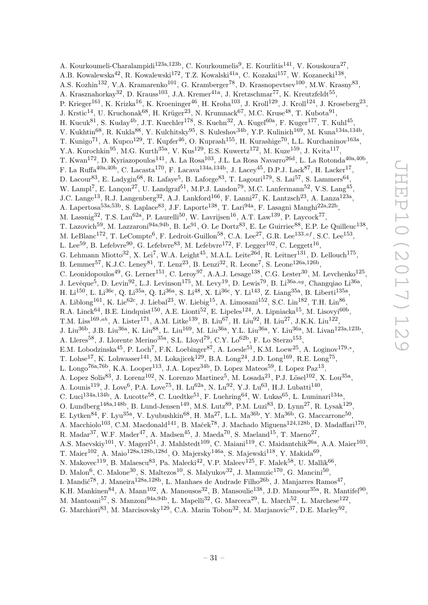A. Kourkoumeli-Charalampidi<sup>123a,123b</sup>, C. Kourkoumelis<sup>9</sup>, E. Kourlitis<sup>141</sup>, V. Kouskoura<sup>27</sup>, A.B. Kowalewska<sup>42</sup>, R. Kowalewski<sup>172</sup>, T.Z. Kowalski<sup>41a</sup>, C. Kozakai<sup>157</sup>, W. Kozanecki<sup>138</sup>, A.S. Kozhin<sup>132</sup>, V.A. Kramarenko<sup>101</sup>, G. Kramberger<sup>78</sup>, D. Krasnopevtsev<sup>100</sup>, M.W. Krasny<sup>83</sup>, A. Krasznahorkay<sup>32</sup>, D. Krauss<sup>103</sup>, J.A. Kremer<sup>41a</sup>, J. Kretzschmar<sup>77</sup>, K. Kreutzfeldt<sup>55</sup>, P. Krieger<sup>161</sup>, K. Krizka<sup>16</sup>, K. Kroeninger<sup>46</sup>, H. Kroha<sup>103</sup>, J. Kroll<sup>129</sup>, J. Kroll<sup>124</sup>, J. Kroseberg<sup>23</sup>, J. Krstic<sup>14</sup>, U. Kruchonak<sup>68</sup>, H. Krüger<sup>23</sup>, N. Krumnack<sup>67</sup>, M.C. Kruse<sup>48</sup>, T. Kubota<sup>91</sup>, H. Kucuk $^{81}$ , S. Kuday $^{4b}$ , J.T. Kuechler $^{178}$ , S. Kuehn $^{32}$ , A. Kugel $^{60a}$ , F. Kuger $^{177}$ , T. Kuhl $^{45}$ , V. Kukhtin<sup>68</sup>, R. Kukla<sup>88</sup>, Y. Kulchitsky<sup>95</sup>, S. Kuleshov<sup>34b</sup>, Y.P. Kulinich<sup>169</sup>, M. Kuna<sup>134a,134b</sup>, T. Kunigo<sup>71</sup>, A. Kupco<sup>129</sup>, T. Kupfer<sup>46</sup>, O. Kuprash<sup>155</sup>, H. Kurashige<sup>70</sup>, L.L. Kurchaninov<sup>163a</sup>, Y.A. Kurochkin<sup>95</sup>, M.G. Kurth<sup>35a</sup>, V. Kus<sup>129</sup>, E.S. Kuwertz<sup>172</sup>, M. Kuze<sup>159</sup>, J. Kvita<sup>117</sup>, T. Kwan<sup>172</sup>, D. Kyriazopoulos<sup>141</sup>, A. La Rosa<sup>103</sup>, J.L. La Rosa Navarro<sup>26d</sup>, L. La Rotonda<sup>40a,40b</sup>, F. La Ruffa<sup>40a,40b</sup>, C. Lacasta<sup>170</sup>, F. Lacava<sup>134a,134b</sup>, J. Lacey<sup>45</sup>, D.P.J. Lack<sup>87</sup>, H. Lacker<sup>17</sup>, D. Lacour<sup>83</sup>, E. Ladygin<sup>68</sup>, R. Lafaye<sup>5</sup>, B. Laforge<sup>83</sup>, T. Lagouri<sup>179</sup>, S. Lai<sup>57</sup>, S. Lammers<sup>64</sup>, W. Lampl<sup>7</sup>, E. Lançon<sup>27</sup>, U. Landgraf<sup>51</sup>, M.P.J. Landon<sup>79</sup>, M.C. Lanfermann<sup>52</sup>, V.S. Lang<sup>45</sup>, J.C. Lange<sup>13</sup>, R.J. Langenberg<sup>32</sup>, A.J. Lankford<sup>166</sup>, F. Lanni<sup>27</sup>, K. Lantzsch<sup>23</sup>, A. Lanza<sup>123a</sup>, A. Lapertosa<sup>53a,53b</sup>, S. Laplace<sup>83</sup>, J.F. Laporte<sup>138</sup>, T. Lari<sup>94a</sup>, F. Lasagni Manghi<sup>22a,22b</sup>, M. Lassnig<sup>32</sup>, T.S. Lau<sup>62a</sup>, P. Laurelli<sup>50</sup>, W. Lavrijsen<sup>16</sup>, A.T. Law<sup>139</sup>, P. Laycock<sup>77</sup>, T. Lazovich<sup>59</sup>, M. Lazzaroni<sup>94a,94b</sup>, B. Le<sup>91</sup>, O. Le Dortz<sup>83</sup>, E. Le Guirriec<sup>88</sup>, E.P. Le Quilleuc<sup>138</sup>, M. LeBlanc<sup>172</sup>, T. LeCompte<sup>6</sup>, F. Ledroit-Guillon<sup>58</sup>, C.A. Lee<sup>27</sup>, G.R. Lee<sup>133,af</sup>, S.C. Lee<sup>153</sup>, L. Lee<sup>59</sup>, B. Lefebvre<sup>90</sup>, G. Lefebvre<sup>83</sup>, M. Lefebvre<sup>172</sup>, F. Legger<sup>102</sup>, C. Leggett<sup>16</sup>, G. Lehmann Miotto<sup>32</sup>, X. Lei<sup>7</sup>, W.A. Leight<sup>45</sup>, M.A.L. Leite<sup>26d</sup>, R. Leitner<sup>131</sup>, D. Lellouch<sup>175</sup>, B. Lemmer<sup>57</sup>, K.J.C. Leney<sup>81</sup>, T. Lenz<sup>23</sup>, B. Lenzi<sup>32</sup>, R. Leone<sup>7</sup>, S. Leone<sup>126a,126b</sup>, C. Leonidopoulos<sup>49</sup>, G. Lerner<sup>151</sup>, C. Leroy<sup>97</sup>, A.A.J. Lesage<sup>138</sup>, C.G. Lester<sup>30</sup>, M. Levchenko<sup>125</sup>, J. Levêque<sup>5</sup>, D. Levin<sup>92</sup>, L.J. Levinson<sup>175</sup>, M. Levy<sup>19</sup>, D. Lewis<sup>79</sup>, B. Li<sup>36a,ag</sup>, Changqiao Li<sup>36a</sup>, H. Li<sup>150</sup>, L. Li<sup>36c</sup>, Q. Li<sup>35a</sup>, Q. Li<sup>36a</sup>, S. Li<sup>48</sup>, X. Li<sup>36c</sup>, Y. Li<sup>143</sup>, Z. Liang<sup>35a</sup>, B. Liberti<sup>135a</sup>, A. Liblong<sup>161</sup>, K. Lie<sup>62c</sup>, J. Liebal<sup>23</sup>, W. Liebig<sup>15</sup>, A. Limosani<sup>152</sup>, S.C. Lin<sup>182</sup>, T.H. Lin<sup>86</sup>, R.A. Linck<sup>64</sup>, B.E. Lindquist<sup>150</sup>, A.E. Lionti<sup>52</sup>, E. Lipeles<sup>124</sup>, A. Lipniacka<sup>15</sup>, M. Lisovyi<sup>60b</sup>, T.M. Liss<sup>169,ah</sup>, A. Lister<sup>171</sup>, A.M. Litke<sup>139</sup>, B. Liu<sup>67</sup>, H. Liu<sup>92</sup>, H. Liu<sup>27</sup>, J.K.K. Liu<sup>122</sup>, J. Liu<sup>36b</sup>, J.B. Liu<sup>36a</sup>, K. Liu<sup>88</sup>, L. Liu<sup>169</sup>, M. Liu<sup>36a</sup>, Y.L. Liu<sup>36a</sup>, Y. Liu<sup>36a</sup>, M. Livan<sup>123a,123b</sup>, A. Lleres<sup>58</sup>, J. Llorente Merino<sup>35a</sup>, S.L. Lloyd<sup>79</sup>, C.Y. Lo<sup>62b</sup>, F. Lo Sterzo<sup>153</sup>, E.M. Lobodzinska<sup>45</sup>, P. Loch<sup>7</sup>, F.K. Loebinger<sup>87</sup>, A. Loesle<sup>51</sup>, K.M. Loew<sup>25</sup>, A. Loginov<sup>179,\*</sup>, T. Lohse<sup>17</sup>, K. Lohwasser<sup>141</sup>, M. Lokajicek<sup>129</sup>, B.A. Long<sup>24</sup>, J.D. Long<sup>169</sup>, R.E. Long<sup>75</sup>, L. Longo<sup>76a,76b</sup>, K.A. Looper<sup>113</sup>, J.A. Lopez<sup>34b</sup>, D. Lopez Mateos<sup>59</sup>, I. Lopez Paz<sup>13</sup>, A. Lopez Solis<sup>83</sup>, J. Lorenz<sup>102</sup>, N. Lorenzo Martinez<sup>5</sup>, M. Losada<sup>21</sup>, P.J. Lösel<sup>102</sup>, X. Lou<sup>35a</sup>, A. Lounis<sup>119</sup>, J. Love<sup>6</sup>, P.A. Love<sup>75</sup>, H. Lu<sup>62a</sup>, N. Lu<sup>92</sup>, Y.J. Lu<sup>63</sup>, H.J. Lubatti<sup>140</sup>, C. Luci<sup>134a,134b</sup>, A. Lucotte<sup>58</sup>, C. Luedtke<sup>51</sup>, F. Luehring<sup>64</sup>, W. Lukas<sup>65</sup>, L. Luminari<sup>134a</sup>, O. Lundberg<sup>148a,148b</sup>, B. Lund-Jensen<sup>149</sup>, M.S. Lutz<sup>89</sup>, P.M. Luzi<sup>83</sup>, D. Lynn<sup>27</sup>, R. Lysak<sup>129</sup>, E. Lytken<sup>84</sup>, F. Lyu<sup>35a</sup>, V. Lyubushkin<sup>68</sup>, H. Ma<sup>27</sup>, L.L. Ma<sup>36b</sup>, Y. Ma<sup>36b</sup>, G. Maccarrone<sup>50</sup>, A. Macchiolo<sup>103</sup>, C.M. Macdonald<sup>141</sup>, B. Maček<sup>78</sup>, J. Machado Miguens<sup>124,128b</sup>, D. Madaffari<sup>170</sup>, R. Madar<sup>37</sup>, W.F. Mader<sup>47</sup>, A. Madsen<sup>45</sup>, J. Maeda<sup>70</sup>, S. Maeland<sup>15</sup>, T. Maeno<sup>27</sup>, A.S. Maevskiy<sup>101</sup>, V. Magerl<sup>51</sup>, J. Mahlstedt<sup>109</sup>, C. Maiani<sup>119</sup>, C. Maidantchik<sup>26a</sup>, A.A. Maier<sup>103</sup>, T. Maier $^{102}$ , A. Maio $^{128a,128b,128d}$ , O. Majersky $^{146a}$ , S. Majewski $^{118}$ , Y. Makida $^{69}$ , N. Makovec<sup>119</sup>, B. Malaescu<sup>83</sup>, Pa. Malecki<sup>42</sup>, V.P. Maleev<sup>125</sup>, F. Malek<sup>58</sup>, U. Mallik<sup>66</sup>, D. Malon $^6$ , C. Malone<sup>30</sup>, S. Maltezos<sup>10</sup>, S. Malyukov<sup>32</sup>, J. Mamuzic<sup>170</sup>, G. Mancini<sup>50</sup>, I. Mandić<sup>78</sup>, J. Maneira<sup>128a,128b</sup>, L. Manhaes de Andrade Filho<sup>26b</sup>, J. Manjarres Ramos<sup>47</sup>, K.H. Mankinen $^{84}$ , A. Mann $^{102}$ , A. Manousos $^{32}$ , B. Mansoulie<sup>138</sup>, J.D. Mansour $^{35a}$ , R. Mantifel $^{90}$ , M. Mantoani<sup>57</sup>, S. Manzoni<sup>94a,94b</sup>, L. Mapelli<sup>32</sup>, G. Marceca<sup>29</sup>, L. March<sup>52</sup>, L. Marchese<sup>122</sup>,

G. Marchiori<sup>83</sup>, M. Marcisovsky<sup>129</sup>, C.A. Marin Tobon<sup>32</sup>, M. Marjanovic<sup>37</sup>, D.E. Marley<sup>92</sup>,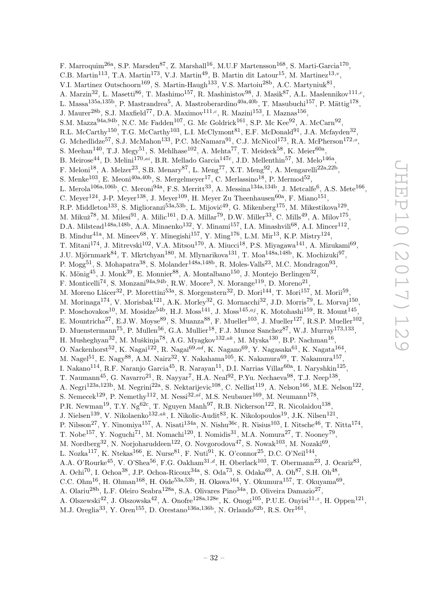F. Marroquim<sup>26a</sup>, S.P. Marsden<sup>87</sup>, Z. Marshall<sup>16</sup>, M.U.F Martensson<sup>168</sup>, S. Marti-Garcia<sup>170</sup>, C.B. Martin<sup>113</sup>, T.A. Martin<sup>173</sup>, V.J. Martin<sup>49</sup>, B. Martin dit Latour<sup>15</sup>, M. Martinez<sup>13,*v*</sup>, V.I. Martinez Outschoorn<sup>169</sup>, S. Martin-Haugh<sup>133</sup>, V.S. Martoiu<sup>28b</sup>, A.C. Martyniuk<sup>81</sup>, A. Marzin<sup>32</sup>, L. Masetti<sup>86</sup>, T. Mashimo<sup>157</sup>, R. Mashinistov<sup>98</sup>, J. Masik<sup>87</sup>, A.L. Maslennikov<sup>111,c</sup>, L. Massa<sup>135a,135b</sup>, P. Mastrandrea<sup>5</sup>, A. Mastroberardino<sup>40a,40b</sup>, T. Masubuchi<sup>157</sup>, P. Mättig<sup>178</sup>, J. Maurer<sup>28b</sup>, S.J. Maxfield<sup>77</sup>, D.A. Maximov<sup>111,c</sup>, R. Mazini<sup>153</sup>, I. Maznas<sup>156</sup>, S.M. Mazza<sup>94a,94b</sup>, N.C. Mc Fadden<sup>107</sup>, G. Mc Goldrick<sup>161</sup>, S.P. Mc Kee<sup>92</sup>, A. McCarn<sup>92</sup>, R.L. McCarthy<sup>150</sup>, T.G. McCarthy<sup>103</sup>, L.I. McClymont<sup>81</sup>, E.F. McDonald<sup>91</sup>, J.A. Mcfayden<sup>32</sup>, G. Mchedlidze<sup>57</sup>, S.J. McMahon<sup>133</sup>, P.C. McNamara<sup>91</sup>, C.J. McNicol<sup>173</sup>, R.A. McPherson<sup>172,0</sup>, S. Meehan<sup>140</sup>, T.J. Megy<sup>51</sup>, S. Mehlhase<sup>102</sup>, A. Mehta<sup>77</sup>, T. Meideck<sup>58</sup>, K. Meier<sup>60a</sup>, B. Meirose<sup>44</sup>, D. Melini<sup>170,ai</sup>, B.R. Mellado Garcia<sup>147c</sup>, J.D. Mellenthin<sup>57</sup>, M. Melo<sup>146a</sup>, F. Meloni<sup>18</sup>, A. Melzer<sup>23</sup>, S.B. Menary<sup>87</sup>, L. Meng<sup>77</sup>, X.T. Meng<sup>92</sup>, A. Mengarelli<sup>22a,22b</sup>, S. Menke<sup>103</sup>, E. Meoni<sup>40a,40b</sup>, S. Mergelmeyer<sup>17</sup>, C. Merlassino<sup>18</sup>, P. Mermod<sup>52</sup>, L. Merola<sup>106a,106b</sup>, C. Meroni<sup>94a</sup>, F.S. Merritt<sup>33</sup>, A. Messina<sup>134a,134b</sup>, J. Metcalfe<sup>6</sup>, A.S. Mete<sup>166</sup>, C. Meyer<sup>124</sup>, J-P. Meyer<sup>138</sup>, J. Meyer<sup>109</sup>, H. Meyer Zu Theenhausen<sup>60a</sup>, F. Miano<sup>151</sup>, R.P. Middleton<sup>133</sup>, S. Miglioranzi<sup>53a,53b</sup>, L. Mijović<sup>49</sup>, G. Mikenberg<sup>175</sup>, M. Mikestikova<sup>129</sup>, M. Mikuž $^{78}$ , M. Milesi $^{91}$ , A. Milic $^{161}$ , D.A. Millar $^{79}$ , D.W. Miller $^{33}$ , C. Mills $^{49}$ , A. Milov $^{175}$ , D.A. Milstead<sup>148a,148b</sup>, A.A. Minaenko<sup>132</sup>, Y. Minami<sup>157</sup>, I.A. Minashvili<sup>68</sup>, A.I. Mincer<sup>112</sup>, B. Mindur<sup>41a</sup>, M. Mineev<sup>68</sup>, Y. Minegishi<sup>157</sup>, Y. Ming<sup>176</sup>, L.M. Mir<sup>13</sup>, K.P. Mistry<sup>124</sup>, T. Mitani<sup>174</sup>, J. Mitrevski<sup>102</sup>, V.A. Mitsou<sup>170</sup>, A. Miucci<sup>18</sup>, P.S. Miyagawa<sup>141</sup>, A. Mizukami<sup>69</sup>, J.U. Mjörnmark $^{84}$ , T. Mkrtchyan<sup>180</sup>, M. Mlynarikova<sup>131</sup>, T. Moa<sup>148a,148b</sup>, K. Mochizuki<sup>97</sup>, P.  $Mogg<sup>51</sup>$ , S. Mohapatra<sup>38</sup>, S. Molander<sup>148a,148b</sup>, R. Moles-Valls<sup>23</sup>, M.C. Mondragon<sup>93</sup>, K. Mönig<sup>45</sup>, J. Monk<sup>39</sup>, E. Monnier<sup>88</sup>, A. Montalbano<sup>150</sup>, J. Montejo Berlingen<sup>32</sup>, F. Monticelli<sup>74</sup>, S. Monzani<sup>94a,94b</sup>, R.W. Moore<sup>3</sup>, N. Morange<sup>119</sup>, D. Moreno<sup>21</sup>, M. Moreno Llácer<sup>32</sup>, P. Morettini<sup>53a</sup>, S. Morgenstern<sup>32</sup>, D. Mori<sup>144</sup>, T. Mori<sup>157</sup>, M. Morii<sup>59</sup>, M. Morinaga<sup>174</sup>, V. Morisbak<sup>121</sup>, A.K. Morley<sup>32</sup>, G. Mornacchi<sup>32</sup>, J.D. Morris<sup>79</sup>, L. Morvaj<sup>150</sup>, P. Moschovakos<sup>10</sup>, M. Mosidze<sup>54b</sup>, H.J. Moss<sup>141</sup>, J. Moss<sup>145,aj</sup>, K. Motohashi<sup>159</sup>, R. Mount<sup>145</sup>, E. Mountricha<sup>27</sup>, E.J.W. Moyse<sup>89</sup>, S. Muanza<sup>88</sup>, F. Mueller<sup>103</sup>, J. Mueller<sup>127</sup>, R.S.P. Mueller<sup>102</sup>, D. Muenstermann<sup>75</sup>, P. Mullen<sup>56</sup>, G.A. Mullier<sup>18</sup>, F.J. Munoz Sanchez<sup>87</sup>, W.J. Murray<sup>173,133</sup>, H. Musheghyan $^{32}$ , M. Muškinja $^{78}$ , A.G. Myagkov $^{132,ak}$ , M. Myska $^{130}$ , B.P. Nachman $^{16}$ , O. Nackenhorst<sup>52</sup>, K. Nagai<sup>122</sup>, R. Nagai<sup>69,ad</sup>, K. Nagano<sup>69</sup>, Y. Nagasaka<sup>61</sup>, K. Nagata<sup>164</sup>, M. Nagel $^{51}$ , E. Nagy $^{88}$ , A.M. Nairz $^{32}$ , Y. Nakahama $^{105}$ , K. Nakamura $^{69}$ , T. Nakamura $^{157}$ , I. Nakano $^{114}$ , R.F. Naranjo Garcia $^{45}$ , R. Narayan $^{11}$ , D.I. Narrias Villar $^{60a}$ , I. Naryshkin $^{125},$ T. Naumann<sup>45</sup>, G. Navarro<sup>21</sup>, R. Nayyar<sup>7</sup>, H.A. Neal<sup>92</sup>, P.Yu. Nechaeva<sup>98</sup>, T.J. Neep<sup>138</sup>, A. Negri<sup>123a,123b</sup>, M. Negrini<sup>22a</sup>, S. Nektarijevic<sup>108</sup>, C. Nellist<sup>119</sup>, A. Nelson<sup>166</sup>, M.E. Nelson<sup>122</sup>, S. Nemecek<sup>129</sup>, P. Nemethy<sup>112</sup>, M. Nessi<sup>32,al</sup>, M.S. Neubauer<sup>169</sup>, M. Neumann<sup>178</sup>, P.R. Newman<sup>19</sup>, T.Y. Ng<sup>62c</sup>, T. Nguyen Manh<sup>97</sup>, R.B. Nickerson<sup>122</sup>, R. Nicolaidou<sup>138</sup>, J. Nielsen $^{139}$ , V. Nikolaenko $^{132,ak}$ , I. Nikolic-Audit $^{83}$ , K. Nikolopoulos $^{19}$ , J.K. Nilsen $^{121}$ , P. Nilsson<sup>27</sup>, Y. Ninomiya<sup>157</sup>, A. Nisati<sup>134a</sup>, N. Nishu<sup>36c</sup>, R. Nisius<sup>103</sup>, I. Nitsche<sup>46</sup>, T. Nitta<sup>174</sup>, T. Nobe<sup>157</sup>, Y. Noguchi<sup>71</sup>, M. Nomachi<sup>120</sup>, I. Nomidis<sup>31</sup>, M.A. Nomura<sup>27</sup>, T. Nooney<sup>79</sup>, M. Nordberg<sup>32</sup>, N. Norjoharuddeen<sup>122</sup>, O. Novgorodova<sup>47</sup>, S. Nowak<sup>103</sup>, M. Nozaki<sup>69</sup>, L. Nozka $^{117}$ , K. Ntekas $^{166}$ , E. Nurse $^{81}$ , F. Nuti $^{91}$ , K. O'connor $^{25}$ , D.C. O'Neil $^{144}$ , A.A. O'Rourke<sup>45</sup>, V. O'Shea<sup>56</sup>, F.G. Oakham<sup>31,d</sup>, H. Oberlack<sup>103</sup>, T. Obermann<sup>23</sup>, J. Ocariz<sup>83</sup>, A. Ochi<sup>70</sup>, I. Ochoa<sup>38</sup>, J.P. Ochoa-Ricoux<sup>34a</sup>, S. Oda<sup>73</sup>, S. Odaka<sup>69</sup>, A. Oh<sup>87</sup>, S.H. Oh<sup>48</sup>, C.C. Ohm<sup>16</sup>, H. Ohman<sup>168</sup>, H. Oide<sup>53a,53b</sup>, H. Okawa<sup>164</sup>, Y. Okumura<sup>157</sup>, T. Okuyama<sup>69</sup>, A. Olariu<sup>28b</sup>, L.F. Oleiro Seabra<sup>128a</sup>, S.A. Olivares Pino<sup>34a</sup>, D. Oliveira Damazio<sup>27</sup>, A. Olszewski<sup>42</sup>, J. Olszowska<sup>42</sup>, A. Onofre<sup>128a,128e</sup>, K. Onogi<sup>105</sup>, P.U.E. Onyisi<sup>11,z</sup>, H. Oppen<sup>121</sup>,

M.J. Oreglia<sup>33</sup>, Y. Oren<sup>155</sup>, D. Orestano<sup>136a,136b</sup>, N. Orlando<sup>62b</sup>, R.S. Orr<sup>161</sup>,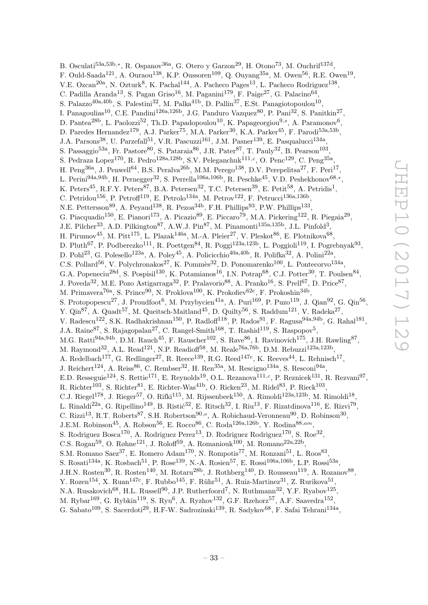B. Osculati<sup>53a,53b,\*</sup>, R. Ospanov<sup>36a</sup>, G. Otero y Garzon<sup>29</sup>, H. Otono<sup>73</sup>, M. Ouchrif<sup>137d</sup>, F. Ould-Saada<sup>121</sup>, A. Ouraou<sup>138</sup>, K.P. Oussoren<sup>109</sup>, Q. Ouyang<sup>35a</sup>, M. Owen<sup>56</sup>, R.E. Owen<sup>19</sup>, V.E. Ozcan<sup>20a</sup>, N. Ozturk<sup>8</sup>, K. Pachal<sup>144</sup>, A. Pacheco Pages<sup>13</sup>, L. Pacheco Rodriguez<sup>138</sup>, C. Padilla Aranda<sup>13</sup>, S. Pagan Griso<sup>16</sup>, M. Paganini<sup>179</sup>, F. Paige<sup>27</sup>, G. Palacino<sup>64</sup>, S. Palazzo<sup>40a, 40b</sup>, S. Palestini<sup>32</sup>, M. Palka<sup>41b</sup>, D. Pallin<sup>37</sup>, E.St. Panagiotopoulou<sup>10</sup>, I. Panagoulias<sup>10</sup>, C.E. Pandini<sup>126a,126b</sup>, J.G. Panduro Vazquez<sup>80</sup>, P. Pani<sup>32</sup>, S. Panitkin<sup>27</sup>, D. Pantea<sup>28b</sup>, L. Paolozzi<sup>52</sup>, Th.D. Papadopoulou<sup>10</sup>, K. Papageorgiou<sup>9,s</sup>, A. Paramonov<sup>6</sup>, D. Paredes Hernandez<sup>179</sup>, A.J. Parker<sup>75</sup>, M.A. Parker<sup>30</sup>, K.A. Parker<sup>45</sup>, F. Parodi<sup>53a,53b</sup>, J.A. Parsons<sup>38</sup>, U. Parzefall<sup>51</sup>, V.R. Pascuzzi<sup>161</sup>, J.M. Pasner<sup>139</sup>, E. Pasqualucci<sup>134a</sup>, S. Passaggio<sup>53a</sup>, Fr. Pastore<sup>80</sup>, S. Pataraia<sup>86</sup>, J.R. Pater<sup>87</sup>, T. Pauly<sup>32</sup>, B. Pearson<sup>103</sup>, S. Pedraza Lopez<sup>170</sup>, R. Pedro<sup>128a,128b</sup>, S.V. Peleganchuk<sup>111,c</sup>, O. Penc<sup>129</sup>, C. Peng<sup>35a</sup>, H. Peng<sup>36a</sup>, J. Penwell<sup>64</sup>, B.S. Peralva<sup>26b</sup>, M.M. Perego<sup>138</sup>, D.V. Perepelitsa<sup>27</sup>, F. Peri<sup>17</sup>, L. Perini<sup>94a,94b</sup>, H. Pernegger<sup>32</sup>, S. Perrella<sup>106a,106b</sup>, R. Peschke<sup>45</sup>, V.D. Peshekhonov<sup>68,\*</sup>, K. Peters<sup>45</sup>, R.F.Y. Peters<sup>87</sup>, B.A. Petersen<sup>32</sup>, T.C. Petersen<sup>39</sup>, E. Petit<sup>58</sup>, A. Petridis<sup>1</sup>, C. Petridou<sup>156</sup>, P. Petroff<sup>119</sup>, E. Petrolo<sup>134a</sup>, M. Petrov<sup>122</sup>, F. Petrucci<sup>136a,136b</sup>, N.E. Pettersson<sup>89</sup>, A. Peyaud<sup>138</sup>, R. Pezoa<sup>34b</sup>, F.H. Phillips<sup>93</sup>, P.W. Phillips<sup>133</sup>, G. Piacquadio<sup>150</sup>, E. Pianori<sup>173</sup>, A. Picazio<sup>89</sup>, E. Piccaro<sup>79</sup>, M.A. Pickering<sup>122</sup>, R. Piegaia<sup>29</sup>, J.E. Pilcher<sup>33</sup>, A.D. Pilkington<sup>87</sup>, A.W.J. Pin<sup>87</sup>, M. Pinamonti<sup>135a,135b</sup>, J.L. Pinfold<sup>3</sup>, H. Pirumov<sup>45</sup>, M. Pitt<sup>175</sup>, L. Plazak<sup>146a</sup>, M.-A. Pleier<sup>27</sup>, V. Pleskot<sup>86</sup>, E. Plotnikova<sup>68</sup>, D. Pluth<sup>67</sup>, P. Podberezko<sup>111</sup>, R. Poettgen<sup>84</sup>, R. Poggi<sup>123a,123b</sup>, L. Poggioli<sup>119</sup>, I. Pogrebnyak<sup>93</sup>, D. Pohl<sup>23</sup>, G. Polesello<sup>123a</sup>, A. Poley<sup>45</sup>, A. Policicchio<sup>40a,40b</sup>, R. Polifka<sup>32</sup>, A. Polini<sup>22a</sup>, C.S. Pollard<sup>56</sup>, V. Polychronakos<sup>27</sup>, K. Pommès<sup>32</sup>, D. Ponomarenko<sup>100</sup>, L. Pontecorvo<sup>134a</sup>, G.A. Popeneciu<sup>28d</sup>, S. Pospisil<sup>130</sup>, K. Potamianos<sup>16</sup>, I.N. Potrap<sup>68</sup>, C.J. Potter<sup>30</sup>, T. Poulsen<sup>84</sup>, J. Poveda<sup>32</sup>, M.E. Pozo Astigarraga<sup>32</sup>, P. Pralavorio<sup>88</sup>, A. Pranko<sup>16</sup>, S. Prell<sup>67</sup>, D. Price<sup>87</sup>, M. Primavera<sup>76a</sup>, S. Prince<sup>90</sup>, N. Proklova<sup>100</sup>, K. Prokofiev<sup>62c</sup>, F. Prokoshin<sup>34b</sup>, S. Protopopescu<sup>27</sup>, J. Proudfoot<sup>6</sup>, M. Przybycien<sup>41a</sup>, A. Puri<sup>169</sup>, P. Puzo<sup>119</sup>, J. Qian<sup>92</sup>, G. Qin<sup>56</sup>, Y. Qin<sup>87</sup>, A. Quadt<sup>57</sup>, M. Queitsch-Maitland<sup>45</sup>, D. Quilty<sup>56</sup>, S. Raddum<sup>121</sup>, V. Radeka<sup>27</sup>, V. Radescu<sup>122</sup>, S.K. Radhakrishnan<sup>150</sup>, P. Radloff<sup>118</sup>, P. Rados<sup>91</sup>, F. Ragusa<sup>94a,94b</sup>, G. Rahal<sup>181</sup>, J.A. Raine<sup>87</sup>, S. Rajagopalan<sup>27</sup>, C. Rangel-Smith<sup>168</sup>, T. Rashid<sup>119</sup>, S. Raspopov<sup>5</sup>, M.G. Ratti<sup>94a,94b</sup>, D.M. Rauch<sup>45</sup>, F. Rauscher<sup>102</sup>, S. Rave<sup>86</sup>, I. Ravinovich<sup>175</sup>, J.H. Rawling<sup>87</sup>, M. Raymond<sup>32</sup>, A.L. Read<sup>121</sup>, N.P. Readioff<sup>58</sup>, M. Reale<sup>76a,76b</sup>, D.M. Rebuzzi<sup>123a,123b</sup>, A. Redelbach<sup>177</sup>, G. Redlinger<sup>27</sup>, R. Reece<sup>139</sup>, R.G. Reed<sup>147c</sup>, K. Reeves<sup>44</sup>, L. Rehnisch<sup>17</sup>, J. Reichert<sup>124</sup>, A. Reiss<sup>86</sup>, C. Rembser<sup>32</sup>, H. Ren<sup>35a</sup>, M. Rescigno<sup>134a</sup>, S. Resconi<sup>94a</sup>, E.D. Resseguie<sup>124</sup>, S. Rettie<sup>171</sup>, E. Reynolds<sup>19</sup>, O.L. Rezanova<sup>111,c</sup>, P. Reznicek<sup>131</sup>, R. Rezvani<sup>97</sup>, R. Richter<sup>103</sup>, S. Richter<sup>81</sup>, E. Richter-Was<sup>41b</sup>, O. Ricken<sup>23</sup>, M. Ridel<sup>83</sup>, P. Rieck<sup>103</sup>, C.J. Riegel<sup>178</sup>, J. Rieger<sup>57</sup>, O. Rifki<sup>115</sup>, M. Rijssenbeek<sup>150</sup>, A. Rimoldi<sup>123a,123b</sup>, M. Rimoldi<sup>18</sup>, L. Rinaldi<sup>22a</sup>, G. Ripellino<sup>149</sup>, B. Ristić<sup>32</sup>, E. Ritsch<sup>32</sup>, I. Riu<sup>13</sup>, F. Rizatdinova<sup>116</sup>, E. Rizvi<sup>79</sup>, C. Rizzi<sup>13</sup>, R.T. Roberts<sup>87</sup>, S.H. Robertson<sup>90,</sup><sup>o</sup>, A. Robichaud-Veronneau<sup>90</sup>, D. Robinson<sup>30</sup>, J.E.M. Robinson<sup>45</sup>, A. Robson<sup>56</sup>, E. Rocco<sup>86</sup>, C. Roda<sup>126a,126b</sup>, Y. Rodina<sup>88,am</sup>, S. Rodriguez Bosca<sup>170</sup>, A. Rodriguez Perez<sup>13</sup>, D. Rodriguez Rodriguez<sup>170</sup>, S. Roe<sup>32</sup>, C.S. Rogan<sup>59</sup>, O. Røhne<sup>121</sup>, J. Roloff<sup>59</sup>, A. Romaniouk<sup>100</sup>, M. Romano<sup>22a,22b</sup>, S.M. Romano Saez<sup>37</sup>, E. Romero Adam<sup>170</sup>, N. Rompotis<sup>77</sup>, M. Ronzani<sup>51</sup>, L. Roos<sup>83</sup>, S. Rosati<sup>134a</sup>, K. Rosbach<sup>51</sup>, P. Rose<sup>139</sup>, N.-A. Rosien<sup>57</sup>, E. Rossi<sup>106a,106b</sup>, L.P. Rossi<sup>53a</sup>, J.H.N. Rosten<sup>30</sup>, R. Rosten<sup>140</sup>, M. Rotaru<sup>28b</sup>, J. Rothberg<sup>140</sup>, D. Rousseau<sup>119</sup>, A. Rozanov<sup>88</sup>, Y. Rozen<sup>154</sup>, X. Ruan<sup>147c</sup>, F. Rubbo<sup>145</sup>, F. Rühr<sup>51</sup>, A. Ruiz-Martinez<sup>31</sup>, Z. Rurikova<sup>51</sup>, N.A. Rusakovich<sup>68</sup>, H.L. Russell<sup>90</sup>, J.P. Rutherfoord<sup>7</sup>, N. Ruthmann<sup>32</sup>, Y.F. Ryabov<sup>125</sup>, M. Rybar<sup>169</sup>, G. Rybkin<sup>119</sup>, S. Ryu<sup>6</sup>, A. Ryzhov<sup>132</sup>, G.F. Rzehorz<sup>57</sup>, A.F. Saavedra<sup>152</sup>,

G. Sabato<sup>109</sup>, S. Sacerdoti<sup>29</sup>, H.F-W. Sadrozinski<sup>139</sup>, R. Sadykov<sup>68</sup>, F. Safai Tehrani<sup>134a</sup>,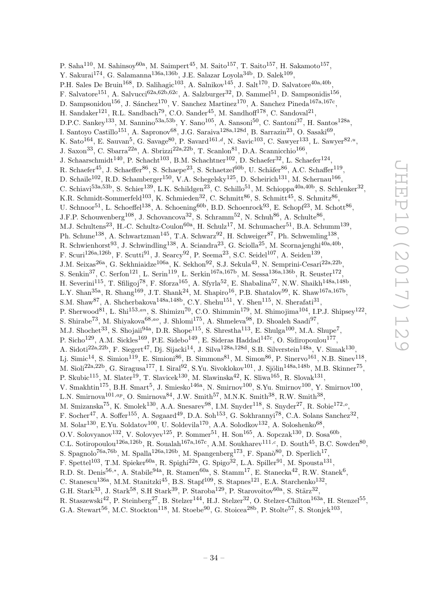P. Saha<sup>110</sup>, M. Sahinsoy<sup>60a</sup>, M. Saimpert<sup>45</sup>, M. Saito<sup>157</sup>, T. Saito<sup>157</sup>, H. Sakamoto<sup>157</sup>, Y. Sakurai $^{174}$ , G. Salamanna $^{136a,136b}$ , J.E. Salazar Loyola $^{34b}$ , D. Salek $^{109}$ , P.H. Sales De Bruin<sup>168</sup>, D. Salihagic<sup>103</sup>, A. Salnikov<sup>145</sup>, J. Salt<sup>170</sup>, D. Salvatore<sup>40a,40b</sup>, F. Salvatore<sup>151</sup>, A. Salvucci<sup>62a,62b,62c</sup>, A. Salzburger<sup>32</sup>, D. Sammel<sup>51</sup>, D. Sampsonidis<sup>156</sup>, D. Sampsonidou<sup>156</sup>, J. Sánchez<sup>170</sup>, V. Sanchez Martinez<sup>170</sup>, A. Sanchez Pineda<sup>167a,167c</sup>, H. Sandaker<sup>121</sup>, R.L. Sandbach<sup>79</sup>, C.O. Sander<sup>45</sup>, M. Sandhoff<sup>178</sup>, C. Sandoval<sup>21</sup>, D.P.C. Sankey<sup>133</sup>, M. Sannino<sup>53a,53b</sup>, Y. Sano<sup>105</sup>, A. Sansoni<sup>50</sup>, C. Santoni<sup>37</sup>, H. Santos<sup>128a</sup>, I. Santoyo Castillo<sup>151</sup>, A. Sapronov<sup>68</sup>, J.G. Saraiva<sup>128a,128d</sup>, B. Sarrazin<sup>23</sup>, O. Sasaki<sup>69</sup>, K. Sato<sup>164</sup>, E. Sauvan<sup>5</sup>, G. Savage<sup>80</sup>, P. Savard<sup>161,d</sup>, N. Savic<sup>103</sup>, C. Sawyer<sup>133</sup>, L. Sawyer<sup>82,u</sup>, J. Saxon<sup>33</sup>, C. Sbarra<sup>22a</sup>, A. Sbrizzi<sup>22a,22b</sup>, T. Scanlon<sup>81</sup>, D.A. Scannicchio<sup>166</sup>, J. Schaarschmidt<sup>140</sup>, P. Schacht<sup>103</sup>, B.M. Schachtner<sup>102</sup>, D. Schaefer<sup>32</sup>, L. Schaefer<sup>124</sup>, R. Schaefer<sup>45</sup>, J. Schaeffer<sup>86</sup>, S. Schaepe<sup>23</sup>, S. Schaetzel<sup>60b</sup>, U. Schäfer<sup>86</sup>, A.C. Schaffer<sup>119</sup>, D. Schaile<sup>102</sup>, R.D. Schamberger<sup>150</sup>, V.A. Schegelsky<sup>125</sup>, D. Scheirich<sup>131</sup>, M. Schernau<sup>166</sup>, C. Schiavi<sup>53a,53b</sup>, S. Schier<sup>139</sup>, L.K. Schildgen<sup>23</sup>, C. Schillo<sup>51</sup>, M. Schioppa<sup>40a,40b</sup>, S. Schlenker<sup>32</sup>, K.R. Schmidt-Sommerfeld<sup>103</sup>, K. Schmieden<sup>32</sup>, C. Schmitt<sup>86</sup>, S. Schmitt<sup>45</sup>, S. Schmitz<sup>86</sup>, U. Schnoor<sup>51</sup>, L. Schoeffel<sup>138</sup>, A. Schoening<sup>60b</sup>, B.D. Schoenrock<sup>93</sup>, E. Schopf<sup>23</sup>, M. Schott<sup>86</sup>, J.F.P. Schouwenberg<sup>108</sup>, J. Schovancova<sup>32</sup>, S. Schramm<sup>52</sup>, N. Schuh<sup>86</sup>, A. Schulte<sup>86</sup>, M.J. Schultens<sup>23</sup>, H.-C. Schultz-Coulon<sup>60a</sup>, H. Schulz<sup>17</sup>, M. Schumacher<sup>51</sup>, B.A. Schumm<sup>139</sup>, Ph. Schune<sup>138</sup>, A. Schwartzman<sup>145</sup>, T.A. Schwarz<sup>92</sup>, H. Schweiger<sup>87</sup>, Ph. Schwemling<sup>138</sup>, R. Schwienhorst<sup>93</sup>, J. Schwindling<sup>138</sup>, A. Sciandra<sup>23</sup>, G. Sciolla<sup>25</sup>, M. Scornajenghi<sup>40a,40b</sup>, F. Scuri<sup>126a,126b</sup>, F. Scutti<sup>91</sup>, J. Searcy<sup>92</sup>, P. Seema<sup>23</sup>, S.C. Seidel<sup>107</sup>, A. Seiden<sup>139</sup>, J.M. Seixas<sup>26a</sup>, G. Sekhniaidze<sup>106a</sup>, K. Sekhon<sup>92</sup>, S.J. Sekula<sup>43</sup>, N. Semprini-Cesari<sup>22a,22b</sup>, S. Senkin<sup>37</sup>, C. Serfon<sup>121</sup>, L. Serin<sup>119</sup>, L. Serkin<sup>167a,167b</sup>, M. Sessa<sup>136a,136b</sup>, R. Seuster<sup>172</sup>, H. Severini<sup>115</sup>, T. Sfiligoj<sup>78</sup>, F. Sforza<sup>165</sup>, A. Sfyrla<sup>52</sup>, E. Shabalina<sup>57</sup>, N.W. Shaikh<sup>148a,148b</sup>, L.Y. Shan<sup>35a</sup>, R. Shang<sup>169</sup>, J.T. Shank<sup>24</sup>, M. Shapiro<sup>16</sup>, P.B. Shatalov<sup>99</sup>, K. Shaw<sup>167a,167b</sup>, S.M. Shaw<sup>87</sup>, A. Shcherbakova<sup>148a,148b</sup>, C.Y. Shehu<sup>151</sup>, Y. Shen<sup>115</sup>, N. Sherafati<sup>31</sup>, P. Sherwood<sup>81</sup>, L. Shi<sup>153,an</sup>, S. Shimizu<sup>70</sup>, C.O. Shimmin<sup>179</sup>, M. Shimojima<sup>104</sup>, I.P.J. Shipsey<sup>122</sup>, S. Shirabe<sup>73</sup>, M. Shiyakova<sup>68,*ao*</sup>, J. Shlomi<sup>175</sup>, A. Shmeleva<sup>98</sup>, D. Shoaleh Saadi<sup>97</sup>, M.J. Shochet<sup>33</sup>, S. Shojaii<sup>94a</sup>, D.R. Shope<sup>115</sup>, S. Shrestha<sup>113</sup>, E. Shulga<sup>100</sup>, M.A. Shupe<sup>7</sup>, P. Sicho<sup>129</sup>, A.M. Sickles<sup>169</sup>, P.E. Sidebo<sup>149</sup>, E. Sideras Haddad<sup>147c</sup>, O. Sidiropoulou<sup>177</sup>, A. Sidoti<sup>22a,22b</sup>, F. Siegert<sup>47</sup>, Dj. Sijacki<sup>14</sup>, J. Silva<sup>128a,128d</sup>, S.B. Silverstein<sup>148a</sup>, V. Simak<sup>130</sup>, Lj. Simic $^{14}$ , S. Simion $^{119}$ , E. Simioni $^{86}$ , B. Simmons $^{81}$ , M. Simon $^{86}$ , P. Sinervo $^{161}$ , N.B. Sinev $^{118}$ , M. Sioli $^{22a,22b}$ , G. Siragusa $^{177}$ , I. Siral $^{92}$ , S.Yu. Sivoklokov $^{101}$ , J. Sjölin $^{148a,148b}$ , M.B. Skinner $^{75}$ , P. Skubic<sup>115</sup>, M. Slater<sup>19</sup>, T. Slavicek<sup>130</sup>, M. Slawinska<sup>42</sup>, K. Sliwa<sup>165</sup>, R. Slovak<sup>131</sup>, V. Smakhtin<sup>175</sup>, B.H. Smart<sup>5</sup>, J. Smiesko<sup>146a</sup>, N. Smirnov<sup>100</sup>, S.Yu. Smirnov<sup>100</sup>, Y. Smirnov<sup>100</sup>, L.N. Smirnova<sup>101,ap</sup>, O. Smirnova<sup>84</sup>, J.W. Smith<sup>57</sup>, M.N.K. Smith<sup>38</sup>, R.W. Smith<sup>38</sup>, M. Smizanska<sup>75</sup>, K. Smolek<sup>130</sup>, A.A. Snesarev<sup>98</sup>, I.M. Snyder<sup>118</sup>, S. Snyder<sup>27</sup>, R. Sobie<sup>172,0</sup>, F. Socher<sup>47</sup>, A. Soffer<sup>155</sup>, A. Søgaard<sup>49</sup>, D.A. Soh<sup>153</sup>, G. Sokhrannyi<sup>78</sup>, C.A. Solans Sanchez<sup>32</sup>, M. Solar<sup>130</sup>, E.Yu. Soldatov<sup>100</sup>, U. Soldevila<sup>170</sup>, A.A. Solodkov<sup>132</sup>, A. Soloshenko<sup>68</sup>, O.V. Solovyanov<sup>132</sup>, V. Solovyev<sup>125</sup>, P. Sommer<sup>51</sup>, H. Son<sup>165</sup>, A. Sopczak<sup>130</sup>, D. Sosa<sup>60b</sup>, C.L. Sotiropoulou<sup>126a,126b</sup>, R. Soualah<sup>167a,167c</sup>, A.M. Soukharev<sup>111,c</sup>, D. South<sup>45</sup>, B.C. Sowden<sup>80</sup>, S. Spagnolo<sup>76a,76b</sup>, M. Spalla<sup>126a,126b</sup>, M. Spangenberg<sup>173</sup>, F. Spanò<sup>80</sup>, D. Sperlich<sup>17</sup>, F. Spettel<sup>103</sup>, T.M. Spieker<sup>60a</sup>, R. Spighi<sup>22a</sup>, G. Spigo<sup>32</sup>, L.A. Spiller<sup>91</sup>, M. Spousta<sup>131</sup>, R.D. St. Denis<sup>56,\*</sup>, A. Stabile<sup>94a</sup>, R. Stamen<sup>60a</sup>, S. Stamm<sup>17</sup>, E. Stanecka<sup>42</sup>, R.W. Stanek<sup>6</sup>, C. Stanescu<sup>136a</sup>, M.M. Stanitzki<sup>45</sup>, B.S. Stapf<sup>109</sup>, S. Stapnes<sup>121</sup>, E.A. Starchenko<sup>132</sup>, G.H. Stark<sup>33</sup>, J. Stark<sup>58</sup>, S.H Stark<sup>39</sup>, P. Staroba<sup>129</sup>, P. Starovoitov<sup>60a</sup>, S. Stärz<sup>32</sup>, R. Staszewski<sup>42</sup>, P. Steinberg<sup>27</sup>, B. Stelzer<sup>144</sup>, H.J. Stelzer<sup>32</sup>, O. Stelzer-Chilton<sup>163a</sup>, H. Stenzel<sup>55</sup>,

G.A. Stewart<sup>56</sup>, M.C. Stockton<sup>118</sup>, M. Stoebe<sup>90</sup>, G. Stoicea<sup>28b</sup>, P. Stolte<sup>57</sup>, S. Stonjek<sup>103</sup>,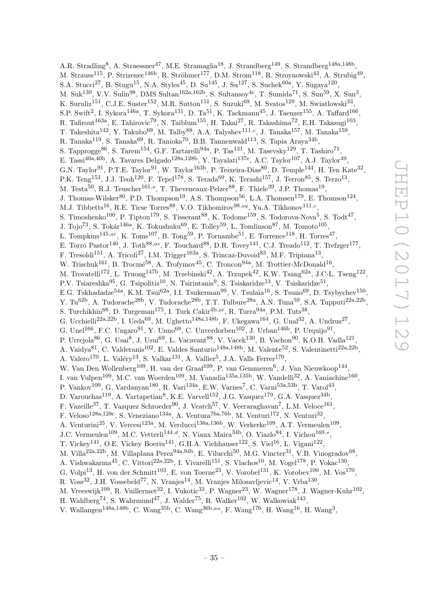A.R. Stradling<sup>8</sup>, A. Straessner<sup>47</sup>, M.E. Stramaglia<sup>18</sup>, J. Strandberg<sup>149</sup>, S. Strandberg<sup>148a,148b</sup>, M. Strauss<sup>115</sup>, P. Strizenec<sup>146b</sup>, R. Ströhmer<sup>177</sup>, D.M. Strom<sup>118</sup>, R. Stroynowski<sup>43</sup>, A. Strubig<sup>49</sup>, S.A. Stucci<sup>27</sup>, B. Stugu<sup>15</sup>, N.A. Styles<sup>45</sup>, D. Su<sup>145</sup>, J. Su<sup>127</sup>, S. Suchek<sup>60a</sup>, Y. Sugaya<sup>120</sup>, M. Suk<sup>130</sup>, V.V. Sulin<sup>98</sup>, DMS Sultan<sup>162a,162b</sup>, S. Sultansoy<sup>4c</sup>, T. Sumida<sup>71</sup>, S. Sun<sup>59</sup>, X. Sun<sup>3</sup>, K. Suruliz<sup>151</sup>, C.J.E. Suster<sup>152</sup>, M.R. Sutton<sup>151</sup>, S. Suzuki<sup>69</sup>, M. Svatos<sup>129</sup>, M. Swiatlowski<sup>33</sup>, S.P. Swift<sup>2</sup>, I. Sykora<sup>146a</sup>, T. Sykora<sup>131</sup>, D. Ta<sup>51</sup>, K. Tackmann<sup>45</sup>, J. Taenzer<sup>155</sup>, A. Taffard<sup>166</sup>, R. Tafirout<sup>163a</sup>, E. Tahirovic<sup>79</sup>, N. Taiblum<sup>155</sup>, H. Takai<sup>27</sup>, R. Takashima<sup>72</sup>, E.H. Takasugi<sup>103</sup>, T. Takeshita<sup>142</sup>, Y. Takubo<sup>69</sup>, M. Talby<sup>88</sup>, A.A. Talyshev<sup>111,c</sup>, J. Tanaka<sup>157</sup>, M. Tanaka<sup>159</sup>, R. Tanaka $^{119}$ , S. Tanaka $^{69}$ , R. Tanioka $^{70}$ , B.B. Tannenwald $^{113}$ , S. Tapia Araya $^{34b}$ , S. Tapprogge<sup>86</sup>, S. Tarem<sup>154</sup>, G.F. Tartarelli<sup>94a</sup>, P. Tas<sup>131</sup>, M. Tasevsky<sup>129</sup>, T. Tashiro<sup>71</sup>, E. Tassi<sup>40a,40b</sup>, A. Tavares Delgado<sup>128a,128b</sup>, Y. Tayalati<sup>137e</sup>, A.C. Taylor<sup>107</sup>, A.J. Taylor<sup>49</sup>, G.N. Taylor<sup>91</sup>, P.T.E. Taylor<sup>91</sup>, W. Taylor<sup>163b</sup>, P. Teixeira-Dias<sup>80</sup>, D. Temple<sup>144</sup>, H. Ten Kate<sup>32</sup>, P.K. Teng<sup>153</sup>, J.J. Teoh<sup>120</sup>, F. Tepel<sup>178</sup>, S. Terada<sup>69</sup>, K. Terashi<sup>157</sup>, J. Terron<sup>85</sup>, S. Terzo<sup>13</sup>, M. Testa<sup>50</sup>, R.J. Teuscher<sup>161,</sup><sup>o</sup>, T. Theveneaux-Pelzer<sup>88</sup>, F. Thiele<sup>39</sup>, J.P. Thomas<sup>19</sup>, J. Thomas-Wilsker<sup>80</sup>, P.D. Thompson<sup>19</sup>, A.S. Thompson<sup>56</sup>, L.A. Thomsen<sup>179</sup>, E. Thomson<sup>124</sup>, M.J. Tibbetts<sup>16</sup>, R.E. Ticse Torres<sup>88</sup>, V.O. Tikhomirov<sup>98,aq</sup>, Yu.A. Tikhonov<sup>111,c</sup>, S. Timoshenko<sup>100</sup>, P. Tipton<sup>179</sup>, S. Tisserant<sup>88</sup>, K. Todome<sup>159</sup>, S. Todorova-Nova<sup>5</sup>, S. Todt<sup>47</sup>, J. Tojo<sup>73</sup>, S. Tokár<sup>146a</sup>, K. Tokushuku<sup>69</sup>, E. Tolley<sup>59</sup>, L. Tomlinson<sup>87</sup>, M. Tomoto<sup>105</sup>, L. Tompkins<sup>145,ar</sup>, K. Toms<sup>107</sup>, B. Tong<sup>59</sup>, P. Tornambe<sup>51</sup>, E. Torrence<sup>118</sup>, H. Torres<sup>47</sup>, E. Torró Pastor<sup>140</sup>, J. Toth<sup>88,as</sup>, F. Touchard<sup>88</sup>, D.R. Tovey<sup>141</sup>, C.J. Treado<sup>112</sup>, T. Trefzger<sup>177</sup>, F. Tresoldi<sup>151</sup>, A. Tricoli<sup>27</sup>, I.M. Trigger<sup>163a</sup>, S. Trincaz-Duvoid<sup>83</sup>, M.F. Tripiana<sup>13</sup>, W. Trischuk<sup>161</sup>, B. Trocmé<sup>58</sup>, A. Trofymov<sup>45</sup>, C. Troncon<sup>94a</sup>, M. Trottier-McDonald<sup>16</sup>, M. Trovatelli<sup>172</sup>, L. Truong<sup>147b</sup>, M. Trzebinski<sup>42</sup>, A. Trzupek<sup>42</sup>, K.W. Tsang<sup>62a</sup>, J.C-L. Tseng<sup>122</sup>, P.V. Tsiareshka $^{95}$ , G. Tsipolitis<sup>10</sup>, N. Tsirintanis<sup>9</sup>, S. Tsiskaridze<sup>13</sup>, V. Tsiskaridze<sup>51</sup>, E.G. Tskhadadze<sup>54a</sup>, K.M. Tsui<sup>62a</sup>, I.I. Tsukerman<sup>99</sup>, V. Tsulaia<sup>16</sup>, S. Tsuno<sup>69</sup>, D. Tsybychev<sup>150</sup>, Y. Tu<sup>62b</sup>, A. Tudorache<sup>28b</sup>, V. Tudorache<sup>28b</sup>, T.T. Tulbure<sup>28a</sup>, A.N. Tuna<sup>59</sup>, S.A. Tupputi<sup>22a,22b</sup>, S. Turchikhin<sup>68</sup>, D. Turgeman<sup>175</sup>, I. Turk Cakir<sup>4b,at</sup>, R. Turra<sup>94a</sup>, P.M. Tuts<sup>38</sup>, G. Ucchielli<sup>22a,22b</sup>, I. Ueda<sup>69</sup>, M. Ughetto<sup>148a,148b</sup>, F. Ukegawa<sup>164</sup>, G. Unal<sup>32</sup>, A. Undrus<sup>27</sup>, G. Unel<sup>166</sup>, F.C. Ungaro<sup>91</sup>, Y. Unno<sup>69</sup>, C. Unverdorben<sup>102</sup>, J. Urban<sup>146b</sup>, P. Urquijo<sup>91</sup>, P. Urrejola<sup>86</sup>, G. Usai<sup>8</sup>, J. Usui<sup>69</sup>, L. Vacavant<sup>88</sup>, V. Vacek<sup>130</sup>, B. Vachon<sup>90</sup>, K.O.H. Vadla<sup>121</sup>, A. Vaidya<sup>81</sup>, C. Valderanis<sup>102</sup>, E. Valdes Santurio<sup>148a,148b</sup>, M. Valente<sup>52</sup>, S. Valentinetti<sup>22a,22b</sup>, A. Valero<sup>170</sup>, L. Valéry<sup>13</sup>, S. Valkar<sup>131</sup>, A. Vallier<sup>5</sup>, J.A. Valls Ferrer<sup>170</sup>, W. Van Den Wollenberg<sup>109</sup>, H. van der Graaf<sup>109</sup>, P. van Gemmeren<sup>6</sup>, J. Van Nieuwkoop<sup>144</sup>, I. van Vulpen<sup>109</sup>, M.C. van Woerden<sup>109</sup>, M. Vanadia<sup>135a,135b</sup>, W. Vandelli<sup>32</sup>, A. Vaniachine<sup>160</sup>, P. Vankov<sup>109</sup>, G. Vardanyan<sup>180</sup>, R. Vari<sup>134a</sup>, E.W. Varnes<sup>7</sup>, C. Varni<sup>53a,53b</sup>, T. Varol<sup>43</sup>, D. Varouchas<sup>119</sup>, A. Vartapetian<sup>8</sup>, K.E. Varvell<sup>152</sup>, J.G. Vasquez<sup>179</sup>, G.A. Vasquez<sup>34b</sup>, F. Vazeille<sup>37</sup>, T. Vazquez Schroeder<sup>90</sup>, J. Veatch<sup>57</sup>, V. Veeraraghavan<sup>7</sup>, L.M. Veloce<sup>161</sup>, F. Veloso<sup>128a,128c</sup>, S. Veneziano<sup>134a</sup>, A. Ventura<sup>76a,76b</sup>, M. Venturi<sup>172</sup>, N. Venturi<sup>32</sup>, A. Venturini<sup>25</sup>, V. Vercesi<sup>123a</sup>, M. Verducci<sup>136a,136b</sup>, W. Verkerke<sup>109</sup>, A.T. Vermeulen<sup>109</sup>, J.C. Vermeulen<sup>109</sup>, M.C. Vetterli<sup>144,d</sup>, N. Viaux Maira<sup>34b</sup>, O. Viazlo<sup>84</sup>, I. Vichou<sup>169,\*</sup>, T. Vickey<sup>141</sup>, O.E. Vickey Boeriu<sup>141</sup>, G.H.A. Viehhauser<sup>122</sup>, S. Viel<sup>16</sup>, L. Vigani<sup>122</sup>, M. Villa<sup>22a,22b</sup>, M. Villaplana Perez<sup>94a,94b</sup>, E. Vilucchi<sup>50</sup>, M.G. Vincter<sup>31</sup>, V.B. Vinogradov<sup>68</sup>, A. Vishwakarma<sup>45</sup>, C. Vittori<sup>22a,22b</sup>, I. Vivarelli<sup>151</sup>, S. Vlachos<sup>10</sup>, M. Vogel<sup>178</sup>, P. Vokac<sup>130</sup>, G. Volpi<sup>13</sup>, H. von der Schmitt<sup>103</sup>, E. von Toerne<sup>23</sup>, V. Vorobel<sup>131</sup>, K. Vorobev<sup>100</sup>, M. Vos<sup>170</sup>, R. Voss<sup>32</sup>, J.H. Vossebeld<sup>77</sup>, N. Vranjes<sup>14</sup>, M. Vranjes Milosavljevic<sup>14</sup>, V. Vrba<sup>130</sup>, M. Vreeswijk $^{109}$ , R. Vuillermet $^{32}$ , I. Vukotic $^{33}$ , P. Wagner $^{23}$ , W. Wagner $^{178}$ , J. Wagner-Kuhr $^{102}$ ,

- H. Wahlberg<sup>74</sup>, S. Wahrmund<sup>47</sup>, J. Walder<sup>75</sup>, R. Walker<sup>102</sup>, W. Walkowiak<sup>143</sup>,
- V. Wallangen<sup>148a,148b</sup>, C. Wang<sup>35b</sup>, C. Wang<sup>36b,au</sup>, F. Wang<sup>176</sup>, H. Wang<sup>16</sup>, H. Wang<sup>3</sup>,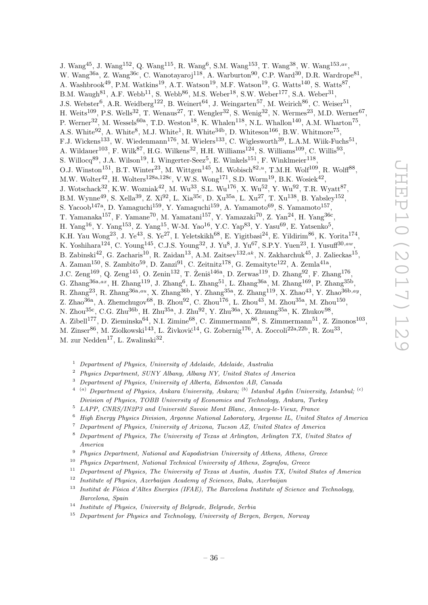J. Wang<sup>45</sup>, J. Wang<sup>152</sup>, Q. Wang<sup>115</sup>, R. Wang<sup>6</sup>, S.M. Wang<sup>153</sup>, T. Wang<sup>38</sup>, W. Wang<sup>153,av</sup>, W. Wang<sup>36a</sup>, Z. Wang<sup>36c</sup>, C. Wanotayaroj<sup>118</sup>, A. Warburton<sup>90</sup>, C.P. Ward<sup>30</sup>, D.R. Wardrope<sup>81</sup>, A. Washbrook<sup>49</sup>, P.M. Watkins<sup>19</sup>, A.T. Watson<sup>19</sup>, M.F. Watson<sup>19</sup>, G. Watts<sup>140</sup>, S. Watts<sup>87</sup>, B.M. Waugh<sup>81</sup>, A.F. Webb<sup>11</sup>, S. Webb<sup>86</sup>, M.S. Weber<sup>18</sup>, S.W. Weber<sup>177</sup>, S.A. Weber<sup>31</sup>, J.S. Webster<sup>6</sup>, A.R. Weidberg<sup>122</sup>, B. Weinert<sup>64</sup>, J. Weingarten<sup>57</sup>, M. Weirich<sup>86</sup>, C. Weiser<sup>51</sup>, H. Weits<sup>109</sup>, P.S. Wells<sup>32</sup>, T. Wenaus<sup>27</sup>, T. Wengler<sup>32</sup>, S. Wenig<sup>32</sup>, N. Wermes<sup>23</sup>, M.D. Werner<sup>67</sup>, P. Werner<sup>32</sup>, M. Wessels<sup>60a</sup>, T.D. Weston<sup>18</sup>, K. Whalen<sup>118</sup>, N.L. Whallon<sup>140</sup>, A.M. Wharton<sup>75</sup>, A.S. White<sup>92</sup>, A. White<sup>8</sup>, M.J. White<sup>1</sup>, R. White<sup>34b</sup>, D. Whiteson<sup>166</sup>, B.W. Whitmore<sup>75</sup>, F.J. Wickens<sup>133</sup>, W. Wiedenmann<sup>176</sup>, M. Wielers<sup>133</sup>, C. Wiglesworth<sup>39</sup>, L.A.M. Wiik-Fuchs<sup>51</sup>, A. Wildauer<sup>103</sup>, F. Wilk<sup>87</sup>, H.G. Wilkens<sup>32</sup>, H.H. Williams<sup>124</sup>, S. Williams<sup>109</sup>, C. Willis<sup>93</sup>, S. Willocq<sup>89</sup>, J.A. Wilson<sup>19</sup>, I. Wingerter-Seez<sup>5</sup>, E. Winkels<sup>151</sup>, F. Winklmeier<sup>118</sup>, O.J. Winston<sup>151</sup>, B.T. Winter<sup>23</sup>, M. Wittgen<sup>145</sup>, M. Wobisch<sup>82,u</sup>, T.M.H. Wolf<sup>109</sup>, R. Wolff<sup>88</sup>, M.W. Wolter<sup>42</sup>, H. Wolters<sup>128a,128c</sup>, V.W.S. Wong<sup>171</sup>, S.D. Worm<sup>19</sup>, B.K. Wosiek<sup>42</sup>, J. Wotschack<sup>32</sup>, K.W. Wozniak<sup>42</sup>, M. Wu<sup>33</sup>, S.L. Wu<sup>176</sup>, X. Wu<sup>52</sup>, Y. Wu<sup>92</sup>, T.R. Wyatt<sup>87</sup>, B.M. Wynne<sup>49</sup>, S. Xella<sup>39</sup>, Z. Xi<sup>92</sup>, L. Xia<sup>35c</sup>, D. Xu<sup>35a</sup>, L. Xu<sup>27</sup>, T. Xu<sup>138</sup>, B. Yabsley<sup>152</sup>, S. Yacoob<sup>147a</sup>, D. Yamaguchi<sup>159</sup>, Y. Yamaguchi<sup>159</sup>, A. Yamamoto<sup>69</sup>, S. Yamamoto<sup>157</sup>, T. Yamanaka<sup>157</sup>, F. Yamane<sup>70</sup>, M. Yamatani<sup>157</sup>, Y. Yamazaki<sup>70</sup>, Z. Yan<sup>24</sup>, H. Yang<sup>36c</sup>, H. Yang<sup>16</sup>, Y. Yang<sup>153</sup>, Z. Yang<sup>15</sup>, W-M. Yao<sup>16</sup>, Y.C. Yap<sup>83</sup>, Y. Yasu<sup>69</sup>, E. Yatsenko<sup>5</sup>, K.H. Yau Wong<sup>23</sup>, J. Ye<sup>43</sup>, S. Ye<sup>27</sup>, I. Yeletskikh<sup>68</sup>, E. Yigitbasi<sup>24</sup>, E. Yildirim<sup>86</sup>, K. Yorita<sup>174</sup>, K. Yoshihara $^{124}$ , C. Young $^{145}$ , C.J.S. Young $^{32}$ , J. Yu $^8$ , J. Yu $^{67}$ , S.P.Y. Yuen $^{23}$ , I. Yusuff $^{30,aw}$ , B. Zabinski<sup>42</sup>, G. Zacharis<sup>10</sup>, R. Zaidan<sup>13</sup>, A.M. Zaitsev<sup>132,ak</sup>, N. Zakharchuk<sup>45</sup>, J. Zalieckas<sup>15</sup>, A. Zaman<sup>150</sup>, S. Zambito<sup>59</sup>, D. Zanzi<sup>91</sup>, C. Zeitnitz<sup>178</sup>, G. Zemaityte<sup>122</sup>, A. Zemla<sup>41a</sup>, J.C. Zeng<sup>169</sup>, Q. Zeng<sup>145</sup>, O. Zenin<sup>132</sup>, T. Ženiš<sup>146a</sup>, D. Zerwas<sup>119</sup>, D. Zhang<sup>92</sup>, F. Zhang<sup>176</sup>, G. Zhang<sup>36a,ax</sup>, H. Zhang<sup>119</sup>, J. Zhang<sup>6</sup>, L. Zhang<sup>51</sup>, L. Zhang<sup>36a</sup>, M. Zhang<sup>169</sup>, P. Zhang<sup>35b</sup>, R. Zhang<sup>23</sup>, R. Zhang<sup>36a,au</sup>, X. Zhang<sup>36b</sup>, Y. Zhang<sup>35a</sup>, Z. Zhang<sup>119</sup>, X. Zhao<sup>43</sup>, Y. Zhao<sup>36b,ay</sup>, Z. Zhao<sup>36a</sup>, A. Zhemchugov<sup>68</sup>, B. Zhou<sup>92</sup>, C. Zhou<sup>176</sup>, L. Zhou<sup>43</sup>, M. Zhou<sup>35a</sup>, M. Zhou<sup>150</sup>, N. Zhou $^{35c}$ , C.G. Zhu $^{36b}$ , H. Zhu $^{35a}$ , J. Zhu $^{92}$ , Y. Zhu $^{36a}$ , X. Zhuang $^{35a}$ , K. Zhukov $^{98}$ , A. Zibell<sup>177</sup>, D. Zieminska<sup>64</sup>, N.I. Zimine<sup>68</sup>, C. Zimmermann<sup>86</sup>, S. Zimmermann<sup>51</sup>, Z. Zinonos<sup>103</sup>, M. Zinser $^{86}$ , M. Ziolkowski $^{143}$ , L. Živković $^{14}$ , G. Zobernig $^{176}$ , A. Zoccoli $^{22a,22b}$ , R. Zou $^{33}$ , M. zur Nedden<sup>17</sup>, L. Zwalinski $^{32}$ .

- <sup>1</sup> Department of Physics, University of Adelaide, Adelaide, Australia
- <sup>2</sup> Physics Department, SUNY Albany, Albany NY, United States of America
- <sup>3</sup> Department of Physics, University of Alberta, Edmonton AB, Canada
- $^{4-(a)}$  Department of Physics, Ankara University, Ankara;  $^{(b)}$  Istanbul Aydin University, Istanbul;  $^{(c)}$ Division of Physics, TOBB University of Economics and Technology, Ankara, Turkey
- $5$  LAPP, CNRS/IN2P3 and Université Savoie Mont Blanc, Annecy-le-Vieux, France
- <sup>6</sup> High Energy Physics Division, Argonne National Laboratory, Argonne IL, United States of America
- <sup>7</sup> Department of Physics, University of Arizona, Tucson AZ, United States of America
- <sup>8</sup> Department of Physics, The University of Texas at Arlington, Arlington TX, United States of America
- <sup>9</sup> Physics Department, National and Kapodistrian University of Athens, Athens, Greece
- <sup>10</sup> Physics Department, National Technical University of Athens, Zografou, Greece
- $11$  Department of Physics, The University of Texas at Austin, Austin TX, United States of America
- <sup>12</sup> Institute of Physics, Azerbaijan Academy of Sciences, Baku, Azerbaijan
- <sup>13</sup> Institut de Física d'Altes Energies (IFAE), The Barcelona Institute of Science and Technology, Barcelona, Spain
- <sup>14</sup> Institute of Physics, University of Belgrade, Belgrade, Serbia
- <sup>15</sup> Department for Physics and Technology, University of Bergen, Bergen, Norway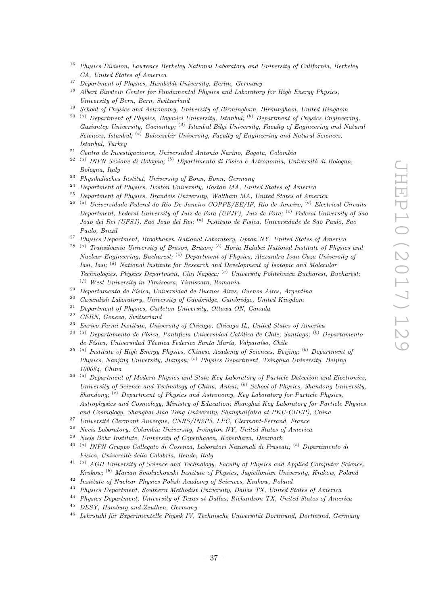- <sup>16</sup> Physics Division, Lawrence Berkeley National Laboratory and University of California, Berkeley CA, United States of America
- <sup>17</sup> Department of Physics, Humboldt University, Berlin, Germany
- <sup>18</sup> Albert Einstein Center for Fundamental Physics and Laboratory for High Energy Physics, University of Bern, Bern, Switzerland
- <sup>19</sup> School of Physics and Astronomy, University of Birmingham, Birmingham, United Kingdom
- $20$  (a) Department of Physics, Bogazici University, Istanbul; <sup>(b)</sup> Department of Physics Engineering, Gaziantep University, Gaziantep; <sup>(d)</sup> Istanbul Bilgi University, Faculty of Engineering and Natural Sciences, Istanbul; <sup>(e)</sup> Bahcesehir University, Faculty of Engineering and Natural Sciences, Istanbul, Turkey
- <sup>21</sup> Centro de Investigaciones, Universidad Antonio Narino, Bogota, Colombia
- <sup>22 (a)</sup> INFN Sezione di Bologna; <sup>(b)</sup> Dipartimento di Fisica e Astronomia, Università di Bologna, Bologna, Italy
- <sup>23</sup> Physikalisches Institut, University of Bonn, Bonn, Germany
- <sup>24</sup> Department of Physics, Boston University, Boston MA, United States of America
- $^{25}$  Department of Physics, Brandeis University, Waltham MA, United States of America
- <sup>26 (a)</sup> Universidade Federal do Rio De Janeiro COPPE/EE/IF, Rio de Janeiro; <sup>(b)</sup> Electrical Circuits Department, Federal University of Juiz de Fora (UFJF), Juiz de Fora;  $\frac{(c)}{c}$  Federal University of Sao Joao del Rei (UFSJ), Sao Joao del Rei; <sup>(d)</sup> Instituto de Fisica, Universidade de Sao Paulo, Sao Paulo, Brazil
- <sup>27</sup> Physics Department, Brookhaven National Laboratory, Upton NY, United States of America
- <sup>28 (a)</sup> Transilvania University of Brasov, Brasov; <sup>(b)</sup> Horia Hulubei National Institute of Physics and Nuclear Engineering, Bucharest; <sup>(c)</sup> Department of Physics, Alexandru Ioan Cuza University of *Iasi, Iasi;* <sup>(d)</sup> National Institute for Research and Development of Isotopic and Molecular Technologies, Physics Department, Cluj Napoca; (e) University Politehnica Bucharest, Bucharest;  $(f)$  West University in Timisoara, Timisoara, Romania
- <sup>29</sup> Departamento de Física, Universidad de Buenos Aires, Buenos Aires, Argentina
- <sup>30</sup> Cavendish Laboratory, University of Cambridge, Cambridge, United Kingdom
- <sup>31</sup> Department of Physics, Carleton University, Ottawa ON, Canada
- <sup>32</sup> CERN, Geneva, Switzerland
- <sup>33</sup> Enrico Fermi Institute, University of Chicago, Chicago IL, United States of America
- $34$ <sup>(a)</sup> Departamento de Física, Pontificia Universidad Católica de Chile, Santiago; <sup>(b)</sup> Departamento de Física, Universidad Técnica Federico Santa María, Valparaíso, Chile
- $35$ <sup>(a)</sup> Institute of High Energy Physics, Chinese Academy of Sciences, Beijing; <sup>(b)</sup> Department of Physics, Nanjing University, Jiangsu;  $^{(c)}$  Physics Department, Tsinghua University, Beijing 100084, China
- <sup>36</sup> (a) Department of Modern Physics and State Key Laboratory of Particle Detection and Electronics, University of Science and Technology of China, Anhui;  $^{(b)}$  School of Physics, Shandong University, Shandong;  $^{(c)}$  Department of Physics and Astronomy, Key Laboratory for Particle Physics, Astrophysics and Cosmology, Ministry of Education; Shanghai Key Laboratory for Particle Physics and Cosmology, Shanghai Jiao Tong University, Shanghai(also at PKU-CHEP), China
- <sup>37</sup> Université Clermont Auvergne, CNRS/IN2P3, LPC, Clermont-Ferrand, France
- <sup>38</sup> Nevis Laboratory, Columbia University, Irvington NY, United States of America<br><sup>39</sup> Niele Reka Institute, University of Canankasan, Kehankawa, Danmark
- <sup>39</sup> Niels Bohr Institute, University of Copenhagen, Kobenhavn, Denmark
- <sup>40 (a)</sup> INFN Gruppo Collegato di Cosenza, Laboratori Nazionali di Frascati; <sup>(b)</sup> Dipartimento di Fisica, Università della Calabria, Rende, Italy
- <sup>41</sup> <sup>(a)</sup> AGH University of Science and Technology, Faculty of Physics and Applied Computer Science, Krakow; (b) Marian Smoluchowski Institute of Physics, Jagiellonian University, Krakow, Poland
- <sup>42</sup> Institute of Nuclear Physics Polish Academy of Sciences, Krakow, Poland
- <sup>43</sup> Physics Department, Southern Methodist University, Dallas TX, United States of America
- <sup>44</sup> Physics Department, University of Texas at Dallas, Richardson TX, United States of America
- <sup>45</sup> DESY, Hamburg and Zeuthen, Germany
- $46$  Lehrstuhl für Experimentelle Physik IV, Technische Universität Dortmund, Dortmund, Germany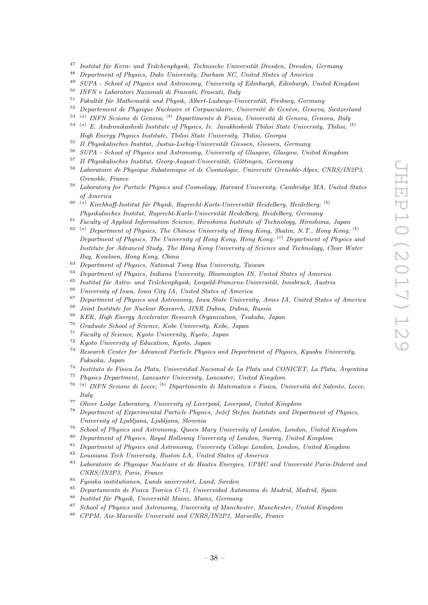- $47$  Institut für Kern- und Teilchenphysik, Technische Universität Dresden, Dresden, Germany
- <sup>48</sup> Department of Physics, Duke University, Durham NC, United States of America
- <sup>49</sup> SUPA School of Physics and Astronomy, University of Edinburgh, Edinburgh, United Kingdom
- <sup>50</sup> INFN e Laboratori Nazionali di Frascati, Frascati, Italy
- $51$  Fakultät für Mathematik und Physik, Albert-Ludwigs-Universität, Freiburg, Germany
- $52$  Departement de Physique Nucleaire et Corpusculaire, Université de Genève, Geneva, Switzerland
- <sup>53 (a</sup>) INFN Sezione di Genova; <sup>(b</sup>) Dipartimento di Fisica, Università di Genova, Genova, Italy
- $54$ <sup>(a)</sup> E. Andronikashvili Institute of Physics, Iv. Javakhishvili Tbilisi State University, Tbilisi; <sup>(b)</sup> High Energy Physics Institute, Tbilisi State University, Tbilisi, Georgia
- $55$  II Physikalisches Institut, Justus-Liebig-Universität Giessen, Giessen, Germany
- <sup>56</sup> SUPA School of Physics and Astronomy, University of Glasgow, Glasgow, United Kingdom
- $57$  II Physikalisches Institut, Georg-August-Universität, Göttingen, Germany<br> $58$  Isteratoire de Physicus Substantinus et de Coemplogie Université Grenologie
- <sup>58</sup> Laboratoire de Physique Subatomique et de Cosmologie, Universit´e Grenoble-Alpes, CNRS/IN2P3, Grenoble, France
- <sup>59</sup> Laboratory for Particle Physics and Cosmology, Harvard University, Cambridge MA, United States of America
- $\overset{60}{\phantom{6}}$  (a) Kirchhoff-Institut für Physik, Ruprecht-Karls-Universität Heidelberg, Heidelberg; (b) Physikalisches Institut, Ruprecht-Karls-Universität Heidelberg, Heidelberg, Germany
- $61$  Faculty of Applied Information Science, Hiroshima Institute of Technology, Hiroshima, Japan
- $^{62}$  (a) Department of Physics, The Chinese University of Hong Kong, Shatin, N.T., Hong Kong; (b) Department of Physics, The University of Hong Kong, Hong Kong; <sup>(c)</sup> Department of Physics and Institute for Advanced Study, The Hong Kong University of Science and Technology, Clear Water Bay, Kowloon, Hong Kong, China
- <sup>63</sup> Department of Physics, National Tsing Hua University, Taiwan<br><sup>64</sup> Department of Physics, Indiana University, Plasmington IN Un
- $^{64}$  Department of Physics, Indiana University, Bloomington IN, United States of America<br> $^{65}$  Institut film Actres and Teilshambusik Leonald Francesc University Innabush Austri
- $^{65}$  Institut für Astro- und Teilchenphysik, Leopold-Franzens-Universität, Innsbruck, Austria
- <sup>66</sup> University of Iowa, Iowa City IA, United States of America<br><sup>67</sup> Department of Planting and Action and Jan State University
- $^{67}$  Department of Physics and Astronomy, Iowa State University, Ames IA, United States of America<br> $^{68}$  Jaint Institute for Nuclear Bessereh, IND Duhne, Duhne, Bussie
- <sup>68</sup> Joint Institute for Nuclear Research, JINR Dubna, Dubna, Russia
- <sup>69</sup> KEK, High Energy Accelerator Research Organization, Tsukuba, Japan
- <sup>70</sup> Graduate School of Science, Kobe University, Kobe, Japan  $71$  Equally of Science, Kusta University, Kusta, Japan
- <sup>71</sup> Faculty of Science, Kyoto University, Kyoto, Japan<br><sup>72</sup> Kyota University of Education, Kyota, Japan
- <sup>72</sup> Kyoto University of Education, Kyoto, Japan
- $73$  Research Center for Advanced Particle Physics and Department of Physics, Kyushu University, Fukuoka, Japan
- <sup>74</sup> Instituto de Física La Plata, Universidad Nacional de La Plata and CONICET, La Plata, Argentina
- <sup>75</sup> Physics Department, Lancaster University, Lancaster, United Kingdom
- <sup>76 (a)</sup> INFN Sezione di Lecce; <sup>(b)</sup> Dipartimento di Matematica e Fisica, Università del Salento, Lecce, **Italy**
- <sup>77</sup> Oliver Lodge Laboratory, University of Liverpool, Liverpool, United Kingdom
- $78$  Department of Experimental Particle Physics, Jožef Stefan Institute and Department of Physics, University of Ljubljana, Ljubljana, Slovenia
- <sup>79</sup> School of Physics and Astronomy, Queen Mary University of London, London, United Kingdom<br><sup>80</sup> Department of Physics, Rayal Hellaway University of London, Summy United Kingdom
- $80$  Department of Physics, Royal Holloway University of London, Surrey, United Kingdom<br> $81$  Department of Physics and Astronomy, University College London, London, United King
- <sup>81</sup> Department of Physics and Astronomy, University College London, London, United Kingdom
- $82$  Louisiana Tech University, Ruston LA, United States of America<br> $83$  Lebenstian de Physican Marking at the Hartre Francisco HDMC
- Laboratoire de Physique Nucléaire et de Hautes Energies, UPMC and Université Paris-Diderot and CNRS/IN2P3, Paris, France
- <sup>84</sup> Fysiska institutionen, Lunds universitet, Lund, Sweden
- <sup>85</sup> Departamento de Fisica Teorica C-15, Universidad Autonoma de Madrid, Madrid, Spain
- $86$  Institut für Physik, Universität Mainz, Mainz, Germany
- <sup>87</sup> School of Physics and Astronomy, University of Manchester, Manchester, United Kingdom
- $88$  CPPM, Aix-Marseille Université and CNRS/IN2P3, Marseille, France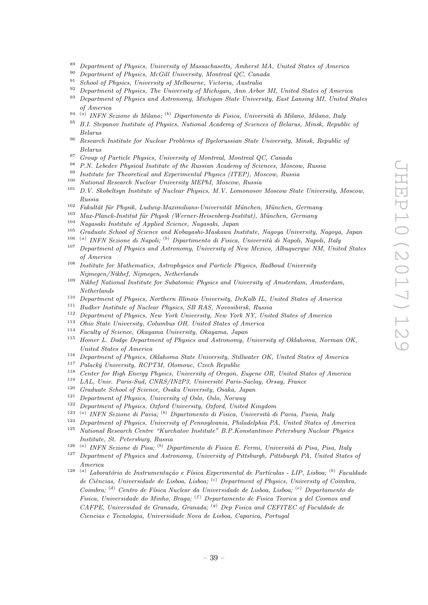- <sup>89</sup> Department of Physics, University of Massachusetts, Amherst MA, United States of America
- <sup>90</sup> Department of Physics, McGill University, Montreal QC, Canada
- <sup>91</sup> School of Physics, University of Melbourne, Victoria, Australia
- $\frac{92}{100}$  Department of Physics, The University of Michigan, Ann Arbor MI, United States of America
- <sup>93</sup> Department of Physics and Astronomy, Michigan State University, East Lansing MI, United States of America
- <sup>94 (a)</sup> INFN Sezione di Milano; <sup>(b)</sup> Dipartimento di Fisica, Università di Milano, Milano, Italy
- <sup>95</sup> B.I. Stepanov Institute of Physics, National Academy of Sciences of Belarus, Minsk, Republic of Belarus
- <sup>96</sup> Research Institute for Nuclear Problems of Byelorussian State University, Minsk, Republic of Belarus
- <sup>97</sup> Group of Particle Physics, University of Montreal, Montreal QC, Canada
- <sup>98</sup> P.N. Lebedev Physical Institute of the Russian Academy of Sciences, Moscow, Russia
- <sup>99</sup> Institute for Theoretical and Experimental Physics (ITEP), Moscow, Russia
- <sup>100</sup> National Research Nuclear University MEPhI, Moscow, Russia<br><sup>101</sup> D.V. Skakeltown Institute of Nuclear Physics M.V. Lamences
- <sup>101</sup> D.V. Skobeltsyn Institute of Nuclear Physics, M.V. Lomonosov Moscow State University, Moscow, Russia
- $102$  Fakultät für Physik, Ludwig-Maximilians-Universität München, München, Germany
- $103$  Max-Planck-Institut für Physik (Werner-Heisenberg-Institut), München, Germany<br> $104$  Magaashi Institute of Applied Seignae, Nagaashi, Japan
- <sup>104</sup> Nagasaki Institute of Applied Science, Nagasaki, Japan<br><sup>105</sup> Craduate School of Science and Kehausaki Machause In
- <sup>105</sup> Graduate School of Science and Kobayashi-Maskawa Institute, Nagoya University, Nagoya, Japan<br><sup>106</sup> (a) IMFN Serience di Napolis (b) Dipertimenta di Fisice, Università di Napoli, Napolis Italy
- <sup>106 (a)</sup> INFN Sezione di Napoli; <sup>(b)</sup> Dipartimento di Fisica, Università di Napoli, Napoli, Italy
- <sup>107</sup> Department of Physics and Astronomy, University of New Mexico, Albuquerque NM, United States of America
- <sup>108</sup> Institute for Mathematics, Astrophysics and Particle Physics, Radboud University Nijmegen/Nikhef, Nijmegen, Netherlands
- <sup>109</sup> Nikhef National Institute for Subatomic Physics and University of Amsterdam, Amsterdam, Netherlands
- <sup>110</sup> Department of Physics, Northern Illinois University, DeKalb IL, United States of America
- <sup>111</sup> Budker Institute of Nuclear Physics, SB RAS, Novosibirsk, Russia<br><sup>112</sup> Department of Physics, New York University, New York NV, Unit,
- <sup>112</sup> Department of Physics, New York University, New York NY, United States of America
- <sup>113</sup> Ohio State University, Columbus OH, United States of America
- <sup>114</sup> Faculty of Science, Okayama University, Okayama, Japan
- <sup>115</sup> Homer L. Dodge Department of Physics and Astronomy, University of Oklahoma, Norman OK, United States of America
- <sup>116</sup> Department of Physics, Oklahoma State University, Stillwater OK, United States of America<br><sup>117</sup> Palackí University, *PCPTM, Olamous, Crash Pamellia*
- <sup>117</sup> Palacký University, RCPTM, Olomouc, Czech Republic  $\frac{118}{118}$  Center for *High Francy Physics*, *Hainanity of Organ*
- <sup>118</sup> Center for High Energy Physics, University of Oregon, Eugene OR, United States of America
- <sup>119</sup> LAL, Univ. Paris-Sud, CNRS/IN2P3, Université Paris-Saclay, Orsay, France
- <sup>120</sup> Graduate School of Science, Osaka University, Osaka, Japan<br><sup>121</sup> Department of Physics University of Oslo, Oslo, Namuru
- <sup>121</sup> Department of Physics, University of Oslo, Oslo, Norway<br><sup>122</sup> Department of Physics, Orford University, Orford United
- <sup>122</sup> Department of Physics, Oxford University, Oxford, United Kingdom
- <sup>123 (a)</sup> INFN Sezione di Pavia; <sup>(b)</sup> Dipartimento di Fisica, Università di Pavia, Pavia, Italy
- <sup>124</sup> Department of Physics, University of Pennsylvania, Philadelphia PA, United States of America
- <sup>125</sup> National Research Centre "Kurchatov Institute" B.P.Konstantinov Petersburg Nuclear Physics Institute, St. Petersburg, Russia
- <sup>126 (a)</sup> INFN Sezione di Pisa; <sup>(b)</sup> Dipartimento di Fisica E. Fermi, Università di Pisa, Pisa, Italy
- <sup>127</sup> Department of Physics and Astronomy, University of Pittsburgh, Pittsburgh PA, United States of America
- <sup>128 (a)</sup> Laboratório de Instrumentação e Física Experimental de Partículas LIP, Lisboa; <sup>(b)</sup> Faculdade de Ciências, Universidade de Lisboa, Lisboa;  $^{(c)}$  Department of Physics, University of Coimbra, Coimbra; <sup>(d)</sup> Centro de Física Nuclear da Universidade de Lisboa, Lisboa; <sup>(e)</sup> Departamento de Fisica, Universidade do Minho, Braga;  $(f)$  Departamento de Fisica Teorica y del Cosmos and  $CAFPE$ , Universidad de Granada, Granada;  $(g)$  Dep Fisica and CEFITEC of Faculdade de Ciencias e Tecnologia, Universidade Nova de Lisboa, Caparica, Portugal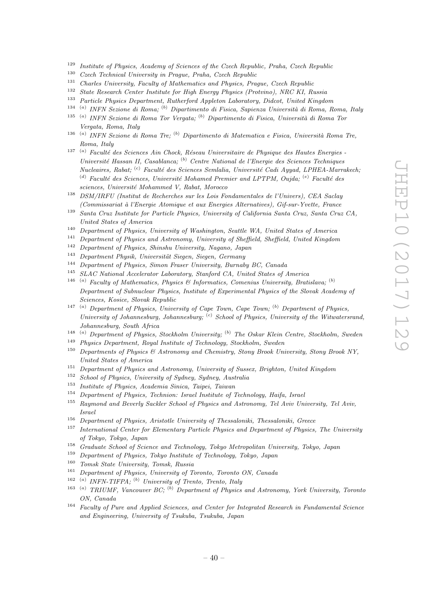- <sup>129</sup> Institute of Physics, Academy of Sciences of the Czech Republic, Praha, Czech Republic
- <sup>130</sup> Czech Technical University in Prague, Praha, Czech Republic
- <sup>131</sup> Charles University, Faculty of Mathematics and Physics, Prague, Czech Republic
- <sup>132</sup> State Research Center Institute for High Energy Physics (Protvino), NRC KI, Russia<br><sup>133</sup> Bertiels Physics Department, Butherford Appleton Lebenstern, Dideet, United Kingdon
- <sup>133</sup> Particle Physics Department, Rutherford Appleton Laboratory, Didcot, United Kingdom
- <sup>134 (a)</sup> INFN Sezione di Roma; <sup>(b)</sup> Dipartimento di Fisica, Sapienza Università di Roma, Roma, Italy
- <sup>135 (a)</sup> INFN Sezione di Roma Tor Vergata; <sup>(b)</sup> Dipartimento di Fisica, Università di Roma Tor Vergata, Roma, Italy
- <sup>136 (a)</sup> INFN Sezione di Roma Tre; <sup>(b)</sup> Dipartimento di Matematica e Fisica, Università Roma Tre, Roma, Italy
- $137$  (a) Faculté des Sciences Ain Chock, Réseau Universitaire de Physique des Hautes Energies -Université Hassan II, Casablanca; <sup>(b)</sup> Centre National de l'Energie des Sciences Techniques  $Nucleaires, Rabat; {}^{(c)}$  Faculté des Sciences Semlalia, Université Cadi Ayyad, LPHEA-Marrakech; (d) Faculté des Sciences, Université Mohamed Premier and LPTPM, Oujda;  $(e)$  Faculté des sciences, Université Mohammed V, Rabat, Morocco
- <sup>138</sup> DSM/IRFU (Institut de Recherches sur les Lois Fondamentales de l'Univers), CEA Saclay (Commissariat `a l'Energie Atomique et aux Energies Alternatives), Gif-sur-Yvette, France
- <sup>139</sup> Santa Cruz Institute for Particle Physics, University of California Santa Cruz, Santa Cruz CA, United States of America
- <sup>140</sup> Department of Physics, University of Washington, Seattle WA, United States of America
- <sup>141</sup> Department of Physics and Astronomy, University of Sheffield, Sheffield, United Kingdom
- <sup>142</sup> Department of Physics, Shinshu University, Nagano, Japan
- $143$  Department Physik, Universität Siegen, Siegen, Germany
- <sup>144</sup> Department of Physics, Simon Fraser University, Burnaby BC, Canada
- <sup>145</sup> SLAC National Accelerator Laboratory, Stanford CA, United States of America
- <sup>146</sup> <sup>(a)</sup> Faculty of Mathematics, Physics & Informatics, Comenius University, Bratislava; <sup>(b)</sup> Department of Subnuclear Physics, Institute of Experimental Physics of the Slovak Academy of Sciences, Kosice, Slovak Republic
- <sup>147</sup> (a) Department of Physics, University of Cape Town, Cape Town; <sup>(b)</sup> Department of Physics, University of Johannesburg, Johannesburg;  $(c)$  School of Physics, University of the Witwatersrand, Johannesburg, South Africa
- <sup>148</sup> <sup>(a)</sup> Department of Physics, Stockholm University; <sup>(b)</sup> The Oskar Klein Centre, Stockholm, Sweden<br><sup>149</sup> Physics Department, Bayel Institute of Technology, Stockholm, Syeden
- <sup>149</sup> Physics Department, Royal Institute of Technology, Stockholm, Sweden
- <sup>150</sup> Departments of Physics & Astronomy and Chemistry, Stony Brook University, Stony Brook NY, United States of America
- <sup>151</sup> Department of Physics and Astronomy, University of Sussex, Brighton, United Kingdom
- <sup>152</sup> School of Physics, University of Sydney, Sydney, Australia
- <sup>153</sup> Institute of Physics, Academia Sinica, Taipei, Taiwan
- <sup>154</sup> Department of Physics, Technion: Israel Institute of Technology, Haifa, Israel
- <sup>155</sup> Raymond and Beverly Sackler School of Physics and Astronomy, Tel Aviv University, Tel Aviv, Israel
- <sup>156</sup> Department of Physics, Aristotle University of Thessaloniki, Thessaloniki, Greece
- <sup>157</sup> International Center for Elementary Particle Physics and Department of Physics, The University of Tokyo, Tokyo, Japan
- <sup>158</sup> Graduate School of Science and Technology, Tokyo Metropolitan University, Tokyo, Japan<br><sup>159</sup> Danastyce and Physics Technology, Tokyo Japan Telesa Japan
- <sup>159</sup> Department of Physics, Tokyo Institute of Technology, Tokyo, Japan
- <sup>160</sup> Tomsk State University, Tomsk, Russia
- <sup>161</sup> Department of Physics, University of Toronto, Toronto ON, Canada
- $162$  (a) INFN-TIFPA; (b) University of Trento, Trento, Italy
- <sup>163</sup> (a) TRIUMF, Vancouver BC; <sup>(b)</sup> Department of Physics and Astronomy, York University, Toronto ON, Canada
- <sup>164</sup> Faculty of Pure and Applied Sciences, and Center for Integrated Research in Fundamental Science and Engineering, University of Tsukuba, Tsukuba, Japan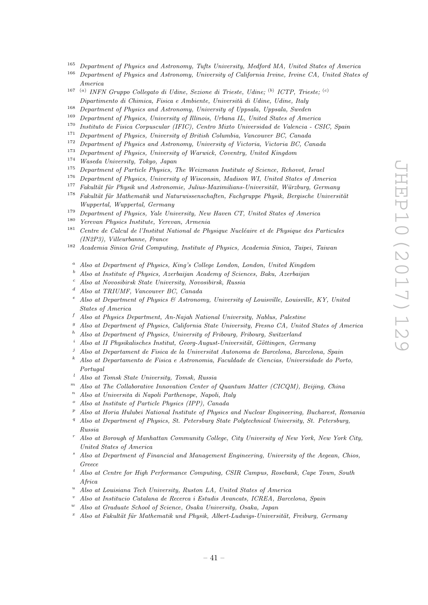- <sup>165</sup> Department of Physics and Astronomy, Tufts University, Medford MA, United States of America
- <sup>166</sup> Department of Physics and Astronomy, University of California Irvine, Irvine CA, United States of America
- <sup>167 (a)</sup> INFN Gruppo Collegato di Udine, Sezione di Trieste, Udine; <sup>(b)</sup> ICTP, Trieste; <sup>(c)</sup> Dipartimento di Chimica, Fisica e Ambiente, Università di Udine, Udine, Italy
- <sup>168</sup> Department of Physics and Astronomy, University of Uppsala, Uppsala, Sweden
- <sup>169</sup> Department of Physics, University of Illinois, Urbana IL, United States of America
- <sup>170</sup> Instituto de Fisica Corpuscular (IFIC), Centro Mixto Universidad de Valencia CSIC, Spain<br><sup>171</sup> Department of Planting Instituto Colombia Vancouver PC Current
- <sup>171</sup> Department of Physics, University of British Columbia, Vancouver BC, Canada
- <sup>172</sup> Department of Physics and Astronomy, University of Victoria, Victoria BC, Canada<br><sup>173</sup> Department of Physics Hairmaits of Wannish Country Haited Kingdom
- <sup>173</sup> Department of Physics, University of Warwick, Coventry, United Kingdom<br> $\frac{174}{17}$  Western University Tribes, Large
- <sup>174</sup> Waseda University, Tokyo, Japan
- <sup>175</sup> Department of Particle Physics, The Weizmann Institute of Science, Rehovot, Israel
- <sup>176</sup> Department of Physics, University of Wisconsin, Madison WI, United States of America
- $1^{177}$  Fakultät für Physik und Astronomie, Julius-Maximilians-Universität, Würzburg, Germany
- $178$  Fakultät für Mathematik und Naturwissenschaften, Fachgruppe Physik, Bergische Universität Wuppertal, Wuppertal, Germany
- <sup>179</sup> Department of Physics, Yale University, New Haven CT, United States of America
- <sup>180</sup> Yerevan Physics Institute, Yerevan, Armenia
- $181$  Centre de Calcul de l'Institut National de Physique Nucléaire et de Physique des Particules (IN2P3), Villeurbanne, France
- <sup>182</sup> Academia Sinica Grid Computing, Institute of Physics, Academia Sinica, Taipei, Taiwan
	- <sup>a</sup> Also at Department of Physics, King's College London, London, United Kingdom
	- <sup>b</sup> Also at Institute of Physics, Azerbaijan Academy of Sciences, Baku, Azerbaijan
	- <sup>c</sup> Also at Novosibirsk State University, Novosibirsk, Russia
	- <sup>d</sup> Also at TRIUMF, Vancouver BC, Canada
	- Also at Department of Physics & Astronomy, University of Louisville, Louisville, KY, United States of America
	- <sup>f</sup> Also at Physics Department, An-Najah National University, Nablus, Palestine
	- <sup>9</sup> Also at Department of Physics, California State University, Fresno CA, United States of America
	- <sup>h</sup> Also at Department of Physics, University of Fribourg, Fribourg, Switzerland
	- Also at II Physikalisches Institut, Georg-August-Universität, Göttingen, Germany
	- <sup>j</sup> Also at Departament de Fisica de la Universitat Autonoma de Barcelona, Barcelona, Spain
	- <sup>k</sup> Also at Departamento de Fisica e Astronomia, Faculdade de Ciencias, Universidade do Porto, Portugal
	- <sup>l</sup> Also at Tomsk State University, Tomsk, Russia
- $<sup>m</sup>$  Also at The Collaborative Innovation Center of Quantum Matter (CICQM), Beijing, China</sup>
- <sup>n</sup> Also at Universita di Napoli Parthenope, Napoli, Italy
- Also at Institute of Particle Physics (IPP), Canada
- <sup>p</sup> Also at Horia Hulubei National Institute of Physics and Nuclear Engineering, Bucharest, Romania
- <sup>q</sup> Also at Department of Physics, St. Petersburg State Polytechnical University, St. Petersburg, Russia
- $r$  Also at Borough of Manhattan Community College, City University of New York, New York City, United States of America
- <sup>s</sup> Also at Department of Financial and Management Engineering, University of the Aegean, Chios, Greece
- <sup>t</sup> Also at Centre for High Performance Computing, CSIR Campus, Rosebank, Cape Town, South Africa
- <sup>u</sup> Also at Louisiana Tech University, Ruston LA, United States of America
- <sup>v</sup> Also at Institucio Catalana de Recerca i Estudis Avancats, ICREA, Barcelona, Spain
- Also at Graduate School of Science, Osaka University, Osaka, Japan
- Also at Fakultät für Mathematik und Physik, Albert-Ludwigs-Universität, Freiburg, Germany